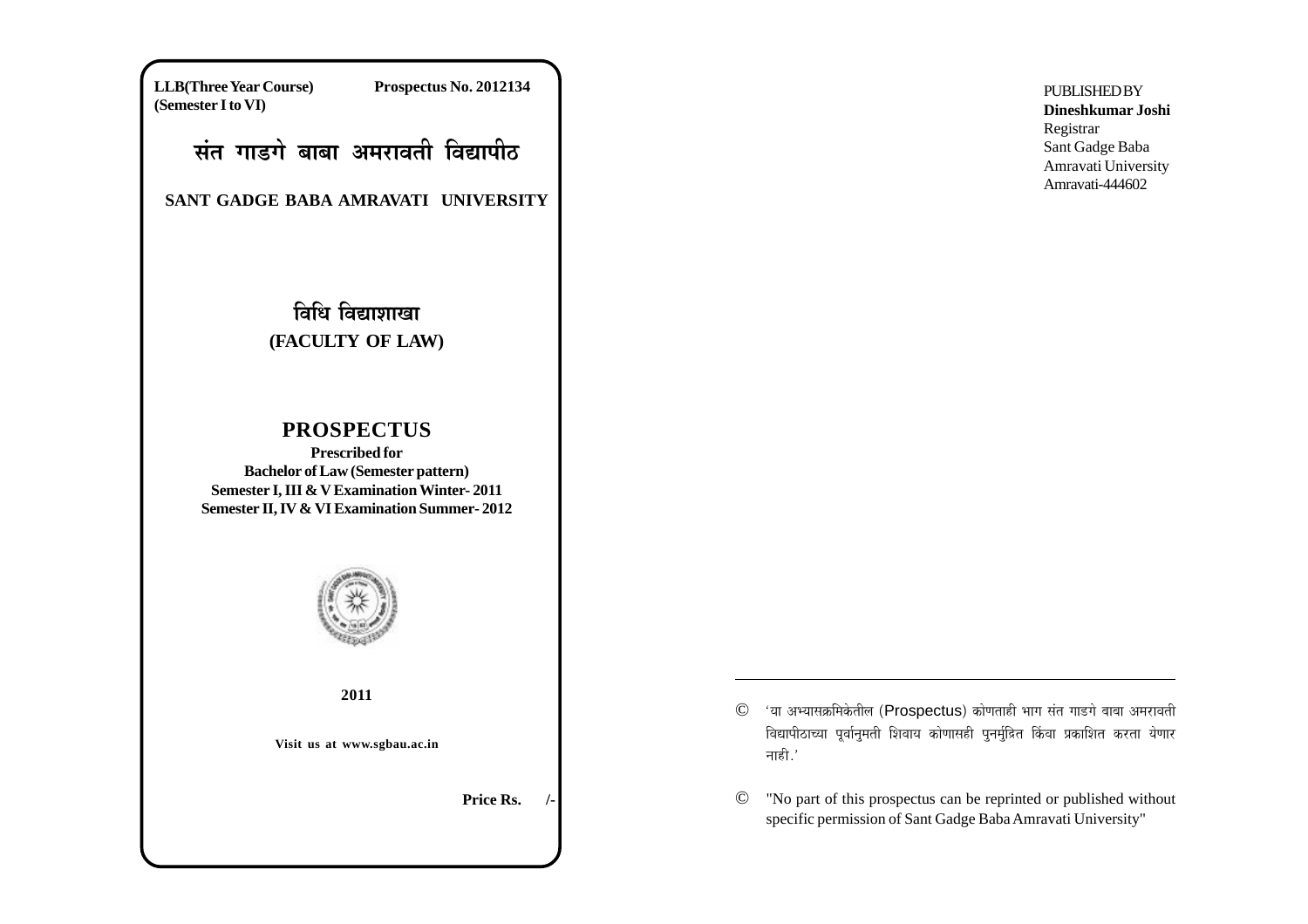**LLB(Three Year Course) Prospectus No. 2012134 (Semester I to VI)**

# ्संत गाडगे बाबा अमरावती विद्यापी**ठ**

**SANT GADGE BABA AMRAVATI UNIVERSITY**

# <u>विधि विद्याशाखा</u> **(FACULTY OF LAW)**

# **PROSPECTUS**

**Prescribed for Bachelor of Law (Semester pattern) Semester I, III & V Examination Winter- 2011 Semester II, IV & VI Examination Summer- 2012**



**2011**

**Visit us at www.sgbau.ac.in**

**Price Rs.** 

- © 'या अभ्यासक्रमिकेतील (Prospectus) कोणताही भाग संत गाडगे बाबा अमरावती विद्यापीठाच्या पूर्वानुमती शिवाय कोणासही पुनर्मुद्रित किंवा प्रकाशित करता येणार नाही $.^\prime$
- © "No part of this prospectus can be reprinted or published without specific permission of Sant Gadge Baba Amravati University"

**PUBLISHED BY Dineshkumar Joshi** Registrar Sant Gadge Baba Amravati University Amravati-444602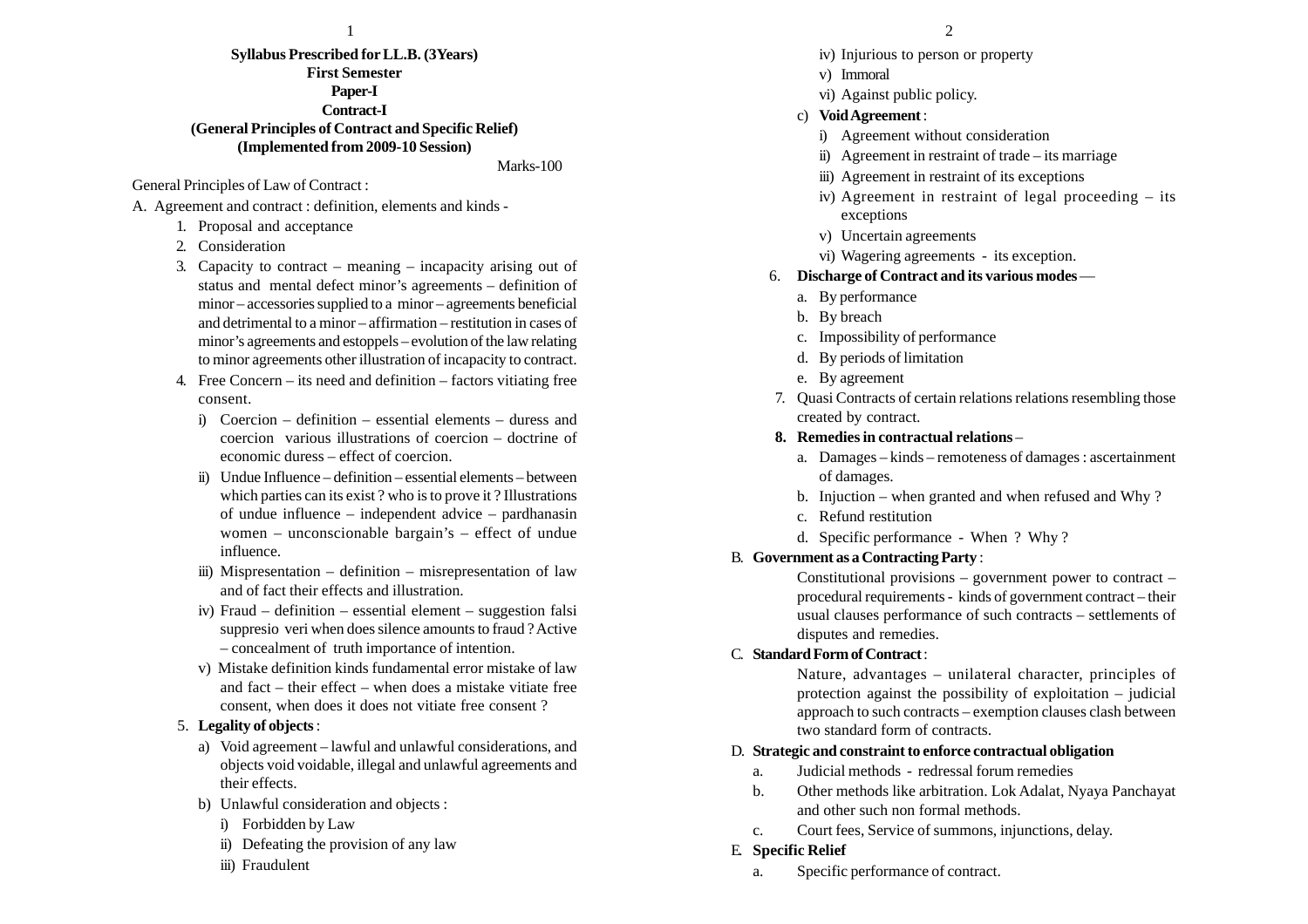#### $\frac{1}{2}$

## **Syllabus Prescribed for LL.B. (3Years) First Semester Paper-I Contract-I (General Principles of Contract and Specific Relief) (Implemented from 2009-10 Session)**

Marks-100

General Principles of Law of Contract :

A. Agreement and contract : definition, elements and kinds -

- 1. Proposal and acceptance
- 2. Consideration
- 3. Capacity to contract meaning incapacity arising out of status and mental defect minor's agreements – definition of minor – accessories supplied to a minor – agreements beneficial and detrimental to a minor – affirmation – restitution in cases of minor's agreements and estoppels – evolution of the law relating to minor agreements other illustration of incapacity to contract.
- 4. Free Concern its need and definition factors vitiating free consent.
	- i) Coercion definition essential elements duress and coercion various illustrations of coercion – doctrine of economic duress – effect of coercion.
	- ii) Undue Influence definition essential elements between which parties can its exist ? who is to prove it ? Illustrations of undue influence – independent advice – pardhanasin women – unconscionable bargain's – effect of undue influence.
	- iii) Mispresentation definition misrepresentation of law and of fact their effects and illustration.
	- iv) Fraud definition essential element suggestion falsi suppresio veri when does silence amounts to fraud ? Active – concealment of truth importance of intention.
	- v) Mistake definition kinds fundamental error mistake of law and fact – their effect – when does a mistake vitiate free consent, when does it does not vitiate free consent ?

#### 5. **Legality of objects** :

- a) Void agreement lawful and unlawful considerations, and objects void voidable, illegal and unlawful agreements and their effects.
- b) Unlawful consideration and objects :
	- i) Forbidden by Law
	- ii) Defeating the provision of any law
	- iii) Fraudulent
- iv) Injurious to person or property
- v) Immoral
- vi) Against public policy.
- c) **Void Agreement** :
	- i) Agreement without consideration
	- ii) Agreement in restraint of trade its marriage
	- iii) Agreement in restraint of its exceptions
	- iv) Agreement in restraint of legal proceeding its exceptions
	- v) Uncertain agreements
	- vi) Wagering agreements its exception.
- 6. **Discharge of Contract and its various modes**
	- a. By performance
	- b. By breach
	- c. Impossibility of performance
	- d. By periods of limitation
	- e. By agreement
- 7. Quasi Contracts of certain relations relations resembling those created by contract.
- **8. Remedies in contractual relations**
	- a. Damages kinds remoteness of damages : ascertainment of damages.
	- b. Injuction when granted and when refused and Why ?
	- c. Refund restitution
	- d. Specific performance When ? Why ?

#### B. **Government as a Contracting Party** :

Constitutional provisions – government power to contract – procedural requirements - kinds of government contract – their usual clauses performance of such contracts – settlements of disputes and remedies.

#### C. **Standard Form of Contract** :

Nature, advantages – unilateral character, principles of protection against the possibility of exploitation – judicial approach to such contracts – exemption clauses clash between two standard form of contracts.

#### D. **Strategic and constraint to enforce contractual obligation**

- a. Judicial methods redressal forum remedies
- b. Other methods like arbitration. Lok Adalat, Nyaya Panchayat and other such non formal methods.
- c. Court fees, Service of summons, injunctions, delay.

#### E. **Specific Relief**

a. Specific performance of contract.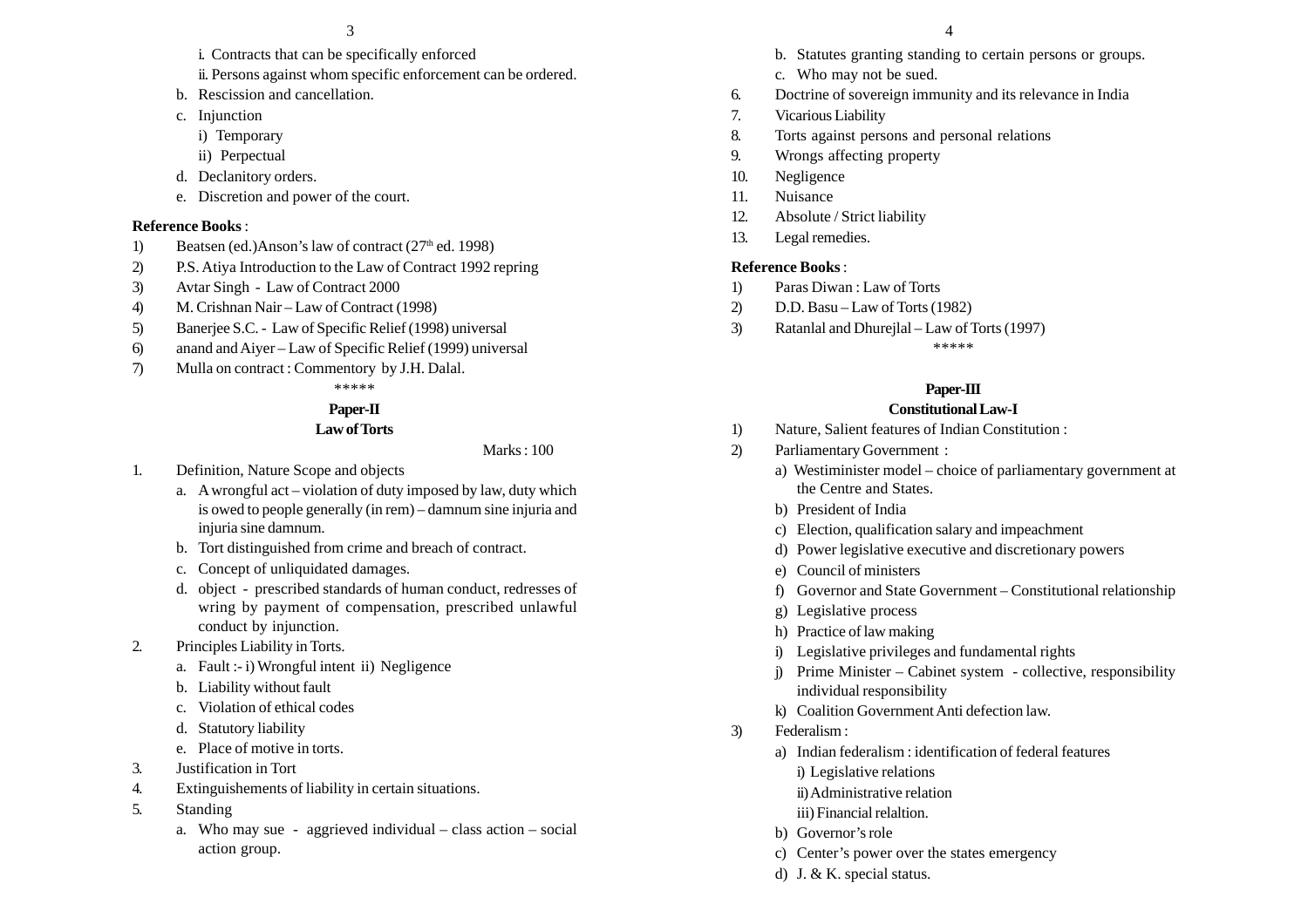- i. Contracts that can be specifically enforced
- ii. Persons against whom specific enforcement can be ordered.
- b. Rescission and cancellation.
- c. Injunction
	- i) Temporary
	- ii) Perpectual
- d. Declanitory orders.
- e. Discretion and power of the court.

#### **Reference Books** :

- 1) Beatsen (ed.)Anson's law of contract  $(27<sup>th</sup>$  ed. 1998)
- 2) P.S. Atiya Introduction to the Law of Contract 1992 repring
- 3) Avtar Singh Law of Contract 2000
- 4) M. Crishnan Nair Law of Contract (1998)
- 5) Banerjee S.C. Law of Specific Relief (1998) universal
- 6) anand and Aiyer Law of Specific Relief (1999) universal
- 7) Mulla on contract : Commentory by J.H. Dalal.

# \*\*\*\*\*

# **Paper-II**

#### **Law of Torts**

Marks : 100

- 1. Definition, Nature Scope and objects
	- a. A wrongful act violation of duty imposed by law, duty which is owed to people generally (in rem) – damnum sine injuria and injuria sine damnum.
	- b. Tort distinguished from crime and breach of contract.
	- c. Concept of unliquidated damages.
	- d. object prescribed standards of human conduct, redresses of wring by payment of compensation, prescribed unlawful conduct by injunction.
- 2. Principles Liability in Torts.
	- a. Fault :- i) Wrongful intent ii) Negligence
	- b. Liability without fault
	- c. Violation of ethical codes
	- d. Statutory liability
	- e. Place of motive in torts.
- 3. Justification in Tort
- 4. Extinguishements of liability in certain situations.
- 5. Standing
	- a. Who may sue aggrieved individual class action social action group.
- b. Statutes granting standing to certain persons or groups.
- c. Who may not be sued.
- 6. Doctrine of sovereign immunity and its relevance in India
- 7. Vicarious Liability
- 8. Torts against persons and personal relations
- 9. Wrongs affecting property
- 10. Negligence
- 11. Nuisance
- 12. Absolute / Strict liability
- 13. Legal remedies.

#### **Reference Books** :

- 1) Paras Diwan : Law of Torts
- 2) D.D. Basu Law of Torts (1982)
- 3) Ratanlal and Dhurejlal Law of Torts (1997)

\*\*\*\*\*

#### **Paper-III**

#### **Constitutional Law-I**

- 1) Nature, Salient features of Indian Constitution :
- 2) Parliamentary Government :
	- a) Westiminister model choice of parliamentary government at the Centre and States.
	- b) President of India
	- c) Election, qualification salary and impeachment
	- d) Power legislative executive and discretionary powers
	- e) Council of ministers
	- f) Governor and State Government Constitutional relationship
	- g) Legislative process
	- h) Practice of law making
	- i) Legislative privileges and fundamental rights
	- j) Prime Minister Cabinet system collective, responsibility individual responsibility
	- k) Coalition Government Anti defection law.
- 3) Federalism :
	- a) Indian federalism : identification of federal features
		- i) Legislative relations
		- ii)Administrative relation
		- iii) Financial relaltion.
	- b) Governor's role
	- c) Center's power over the states emergency
	- d) J. & K. special status.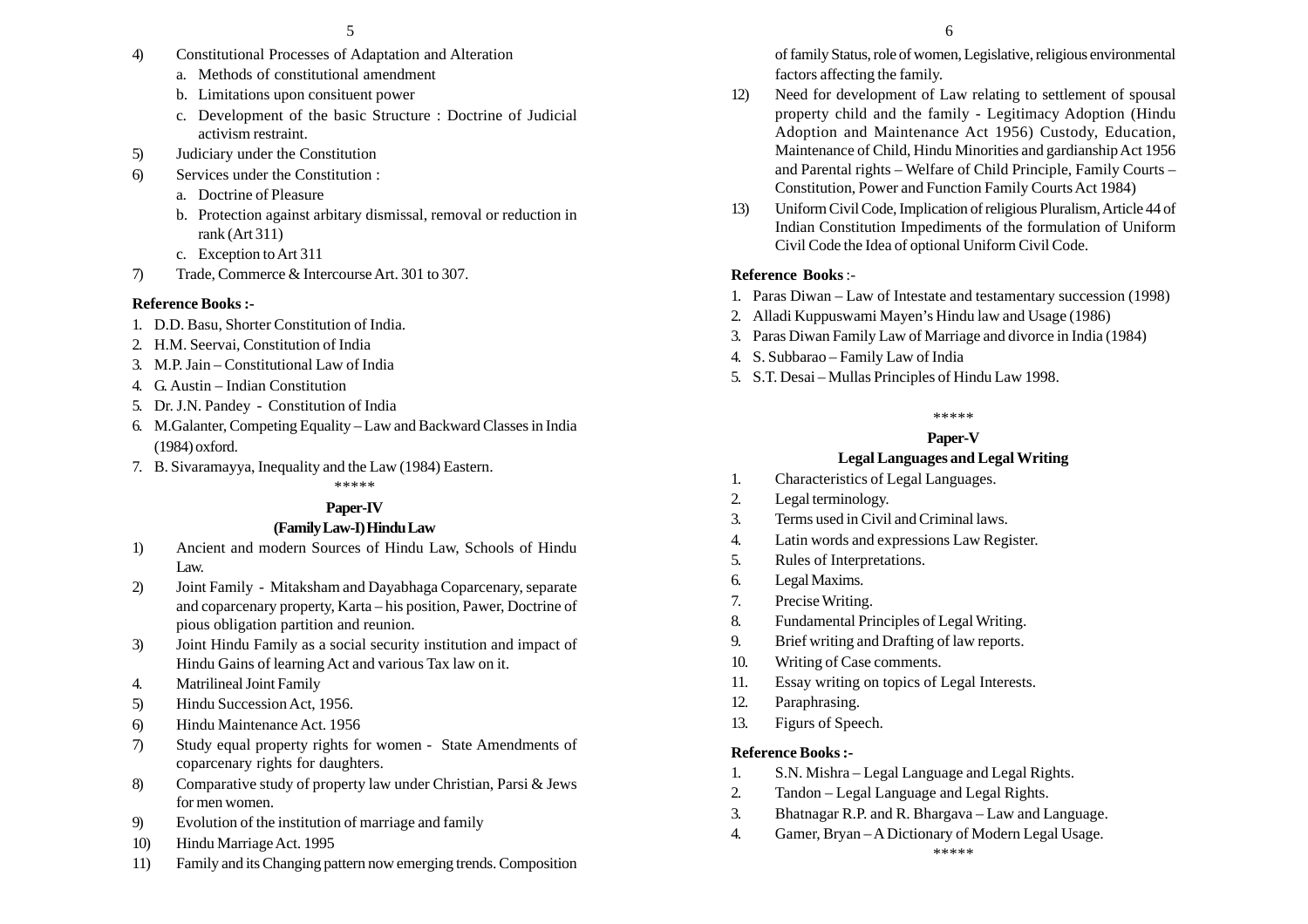- 4) Constitutional Processes of Adaptation and Alteration
	- a. Methods of constitutional amendment
	- b. Limitations upon consituent power
	- c. Development of the basic Structure : Doctrine of Judicial activism restraint.
- 5) Judiciary under the Constitution
- 6) Services under the Constitution :
	- a. Doctrine of Pleasure
	- b. Protection against arbitary dismissal, removal or reduction in rank (Art 311)
	- c. Exception to Art 311
- 7) Trade, Commerce & Intercourse Art. 301 to 307.

## **Reference Books :-**

- 1. D.D. Basu, Shorter Constitution of India.
- 2. H.M. Seervai, Constitution of India
- 3. M.P. Jain Constitutional Law of India
- 4. G. Austin Indian Constitution
- 5. Dr. J.N. Pandey Constitution of India
- 6. M.Galanter, Competing Equality Law and Backward Classes in India (1984) oxford.
- 7. B. Sivaramayya, Inequality and the Law (1984) Eastern.

\*\*\*\*\*

# **Paper-IV**

# **(Family Law-I) Hindu Law**

- 1) Ancient and modern Sources of Hindu Law, Schools of Hindu Law.
- 2) Joint Family Mitaksham and Dayabhaga Coparcenary, separate and coparcenary property, Karta – his position, Pawer, Doctrine of pious obligation partition and reunion.
- 3) Joint Hindu Family as a social security institution and impact of Hindu Gains of learning Act and various Tax law on it.
- 4. Matrilineal Joint Family
- 5) Hindu Succession Act, 1956.
- 6) Hindu Maintenance Act. 1956
- 7) Study equal property rights for women State Amendments of coparcenary rights for daughters.
- 8) Comparative study of property law under Christian, Parsi & Jews for men women.
- 9) Evolution of the institution of marriage and family
- 10) Hindu Marriage Act. 1995
- 11) Family and its Changing pattern now emerging trends. Composition
- 12) Need for development of Law relating to settlement of spousal property child and the family - Legitimacy Adoption (Hindu Adoption and Maintenance Act 1956) Custody, Education, Maintenance of Child, Hindu Minorities and gardianship Act 1956 and Parental rights – Welfare of Child Principle, Family Courts – Constitution, Power and Function Family Courts Act 1984)
- 13) Uniform Civil Code, Implication of religious Pluralism, Article 44 of Indian Constitution Impediments of the formulation of Uniform Civil Code the Idea of optional Uniform Civil Code.

# **Reference Books** :-

- 1. Paras Diwan Law of Intestate and testamentary succession (1998)
- 2. Alladi Kuppuswami Mayen's Hindu law and Usage (1986)
- 3. Paras Diwan Family Law of Marriage and divorce in India (1984)
- 4. S. Subbarao Family Law of India
- 5. S.T. Desai Mullas Principles of Hindu Law 1998.

#### \*\*\*\*\*

# **Paper-V**

# **Legal Languages and Legal Writing**

- 1. Characteristics of Legal Languages.
- 2. Legal terminology.
- 3. Terms used in Civil and Criminal laws.
- 4. Latin words and expressions Law Register.
- 5. Rules of Interpretations.
- 6. Legal Maxims.
- 7. Precise Writing.
- 8. Fundamental Principles of Legal Writing.
- 9. Brief writing and Drafting of law reports.
- 10. Writing of Case comments.
- 11. Essay writing on topics of Legal Interests.
- 12. Paraphrasing.
- 13. Figurs of Speech.

# **Reference Books :-**

- 1. S.N. Mishra Legal Language and Legal Rights.
- 2. Tandon Legal Language and Legal Rights.
- 3. Bhatnagar R.P. and R. Bhargava Law and Language.
- 4. Gamer, Bryan A Dictionary of Modern Legal Usage. \*\*\*\*\*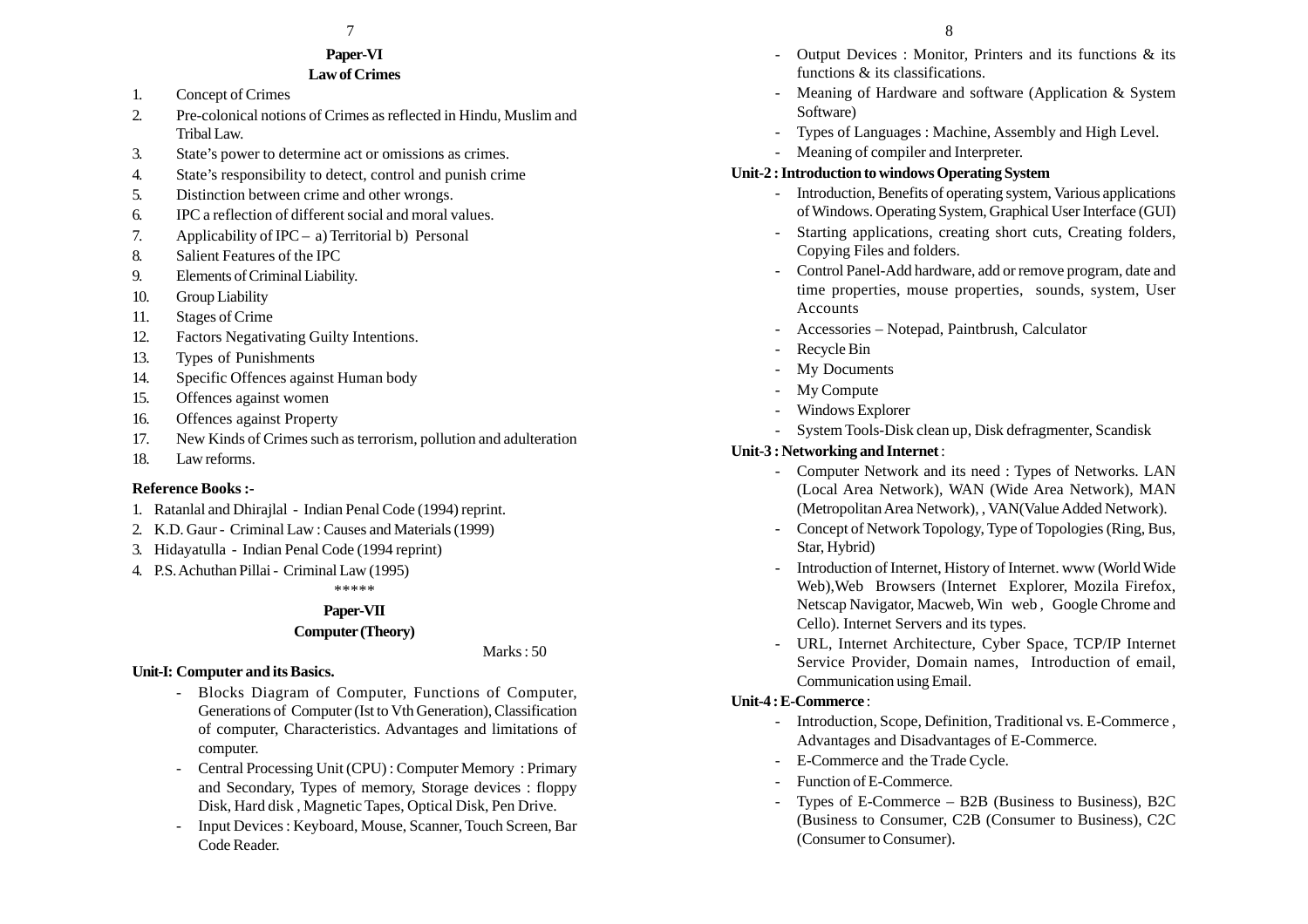#### $7$  8

#### **Paper-VI Law of Crimes**

- 1. Concept of Crimes
- 2. Pre-colonical notions of Crimes as reflected in Hindu, Muslim and Tribal Law.
- 3. State's power to determine act or omissions as crimes.
- 4. State's responsibility to detect, control and punish crime
- 5. Distinction between crime and other wrongs.
- 6. IPC a reflection of different social and moral values.
- 7. Applicability of IPC a) Territorial b) Personal
- 8. Salient Features of the IPC
- 9. Elements of Criminal Liability.
- 10. Group Liability
- 11. Stages of Crime
- 12. Factors Negativating Guilty Intentions.
- 13. Types of Punishments
- 14. Specific Offences against Human body
- 15. Offences against women
- 16. Offences against Property
- 17. New Kinds of Crimes such as terrorism, pollution and adulteration
- 18. Law reforms.

#### **Reference Books :-**

- 1. Ratanlal and Dhirajlal Indian Penal Code (1994) reprint.
- 2. K.D. Gaur Criminal Law : Causes and Materials (1999)
- 3. Hidayatulla Indian Penal Code (1994 reprint)
- 4. P.S. Achuthan Pillai Criminal Law (1995)

\*\*\*\*\*

#### **Paper-VII**

#### **Computer (Theory)**

Marks : 50

#### **Unit-I: Computer and its Basics.**

- Blocks Diagram of Computer, Functions of Computer, Generations of Computer (Ist to Vth Generation), Classification of computer, Characteristics. Advantages and limitations of computer.
- Central Processing Unit (CPU) : Computer Memory : Primary and Secondary, Types of memory, Storage devices : floppy Disk, Hard disk , Magnetic Tapes, Optical Disk, Pen Drive.
- Input Devices : Keyboard, Mouse, Scanner, Touch Screen, Bar Code Reader.
- - Output Devices : Monitor, Printers and its functions & its functions & its classifications.
- - Meaning of Hardware and software (Application & System Software)
- -Types of Languages : Machine, Assembly and High Level.
- Meaning of compiler and Interpreter.

#### **Unit-2 : Introduction to windows Operating System**

- Introduction, Benefits of operating system, Various applications of Windows. Operating System, Graphical User Interface (GUI)
- - Starting applications, creating short cuts, Creating folders, Copying Files and folders.
- - Control Panel-Add hardware, add or remove program, date and time properties, mouse properties, sounds, system, User Accounts
- -Accessories – Notepad, Paintbrush, Calculator
- Recycle Bin
- My Documents
- -My Compute
- -Windows Explorer
- -System Tools-Disk clean up, Disk defragmenter, Scandisk

#### **Unit-3 : Networking and Internet** :

- Computer Network and its need : Types of Networks. LAN (Local Area Network), WAN (Wide Area Network), MAN (Metropolitan Area Network), , VAN(Value Added Network).
- - Concept of Network Topology, Type of Topologies (Ring, Bus, Star, Hybrid)
- - Introduction of Internet, History of Internet. www (World Wide Web),Web Browsers (Internet Explorer, Mozila Firefox, Netscap Navigator, Macweb, Win web , Google Chrome and Cello). Internet Servers and its types.
- URL, Internet Architecture, Cyber Space, TCP/IP Internet Service Provider, Domain names, Introduction of email, Communication using Email.

#### **Unit-4 : E-Commerce** :

- Introduction, Scope, Definition, Traditional vs. E-Commerce , Advantages and Disadvantages of E-Commerce.
- -E-Commerce and the Trade Cycle.
- -Function of E-Commerce.
- Types of E-Commerce B2B (Business to Business), B2C (Business to Consumer, C2B (Consumer to Business), C2C (Consumer to Consumer).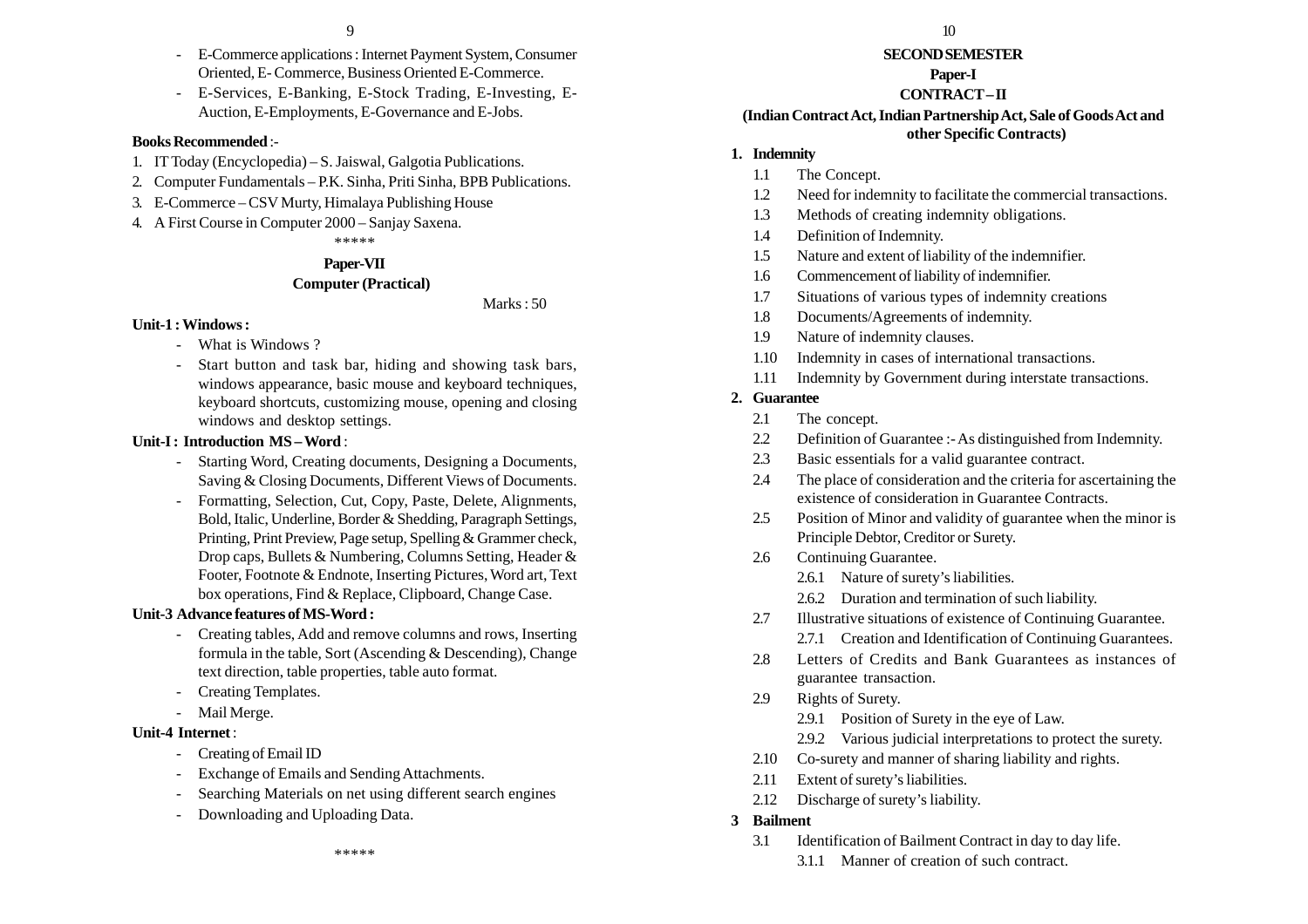- E-Commerce applications : Internet Payment System, Consumer Oriented, E- Commerce, Business Oriented E-Commerce.
- E-Services, E-Banking, E-Stock Trading, E-Investing, E-Auction, E-Employments, E-Governance and E-Jobs.

#### **Books Recommended** :-

- 1. IT Today (Encyclopedia) S. Jaiswal, Galgotia Publications.
- 2. Computer Fundamentals P.K. Sinha, Priti Sinha, BPB Publications.
- 3. E-Commerce CSV Murty, Himalaya Publishing House
- 4. A First Course in Computer 2000 Sanjay Saxena. \*\*\*\*\*

# **Paper-VII**

# **Computer (Practical)**

Marks : 50

#### **Unit-1 : Windows :**

- -What is Windows ?
- Start button and task bar, hiding and showing task bars, windows appearance, basic mouse and keyboard techniques, keyboard shortcuts, customizing mouse, opening and closing windows and desktop settings.

#### **Unit-I : Introduction MS – Word** :

- Starting Word, Creating documents, Designing a Documents, Saving & Closing Documents, Different Views of Documents.
- Formatting, Selection, Cut, Copy, Paste, Delete, Alignments, Bold, Italic, Underline, Border & Shedding, Paragraph Settings, Printing, Print Preview, Page setup, Spelling & Grammer check, Drop caps, Bullets & Numbering, Columns Setting, Header & Footer, Footnote & Endnote, Inserting Pictures, Word art, Text box operations, Find & Replace, Clipboard, Change Case.

## **Unit-3 Advance features of MS-Word :**

- Creating tables, Add and remove columns and rows, Inserting formula in the table, Sort (Ascending & Descending), Change text direction, table properties, table auto format.
- Creating Templates.
- Mail Merge.

## **Unit-4 Internet** :

- Creating of Email ID
- Exchange of Emails and Sending Attachments.
- Searching Materials on net using different search engines
- Downloading and Uploading Data.

\*\*\*\*\*

## **SECOND SEMESTER**

# **Paper-I**

## **CONTRACT – II**

#### **(Indian Contract Act, Indian Partnership Act, Sale of Goods Act and other Specific Contracts)**

## **1. Indemnity**

- 1.1 The Concept.
- 1.2 Need for indemnity to facilitate the commercial transactions.
- 1.3 Methods of creating indemnity obligations.
- 1.4 Definition of Indemnity.
- 1.5 Nature and extent of liability of the indemnifier.
- 1.6 Commencement of liability of indemnifier.
- 1.7 Situations of various types of indemnity creations
- 1.8 Documents/Agreements of indemnity.
- 1.9 Nature of indemnity clauses.
- 1.10 Indemnity in cases of international transactions.
- 1.11 Indemnity by Government during interstate transactions.

## **2. Guarantee**

- 2.1 The concept.
- 2.2 Definition of Guarantee :- As distinguished from Indemnity.
- 2.3 Basic essentials for a valid guarantee contract.
- 2.4 The place of consideration and the criteria for ascertaining the existence of consideration in Guarantee Contracts.
- 2.5 Position of Minor and validity of guarantee when the minor is Principle Debtor, Creditor or Surety.
- 2.6 Continuing Guarantee.
	- 2.6.1 Nature of surety's liabilities.
	- 2.6.2 Duration and termination of such liability.
- 2.7 Illustrative situations of existence of Continuing Guarantee. 2.7.1 Creation and Identification of Continuing Guarantees.
- 2.8 Letters of Credits and Bank Guarantees as instances of guarantee transaction.
- 2.9 Rights of Surety.
	- 2.9.1 Position of Surety in the eye of Law.
	- 2.9.2 Various judicial interpretations to protect the surety.
- 2.10 Co-surety and manner of sharing liability and rights.
- 2.11 Extent of surety's liabilities.
- 2.12 Discharge of surety's liability.
- **3 Bailment**
	- 3.1 Identification of Bailment Contract in day to day life.
		- 3.1.1 Manner of creation of such contract.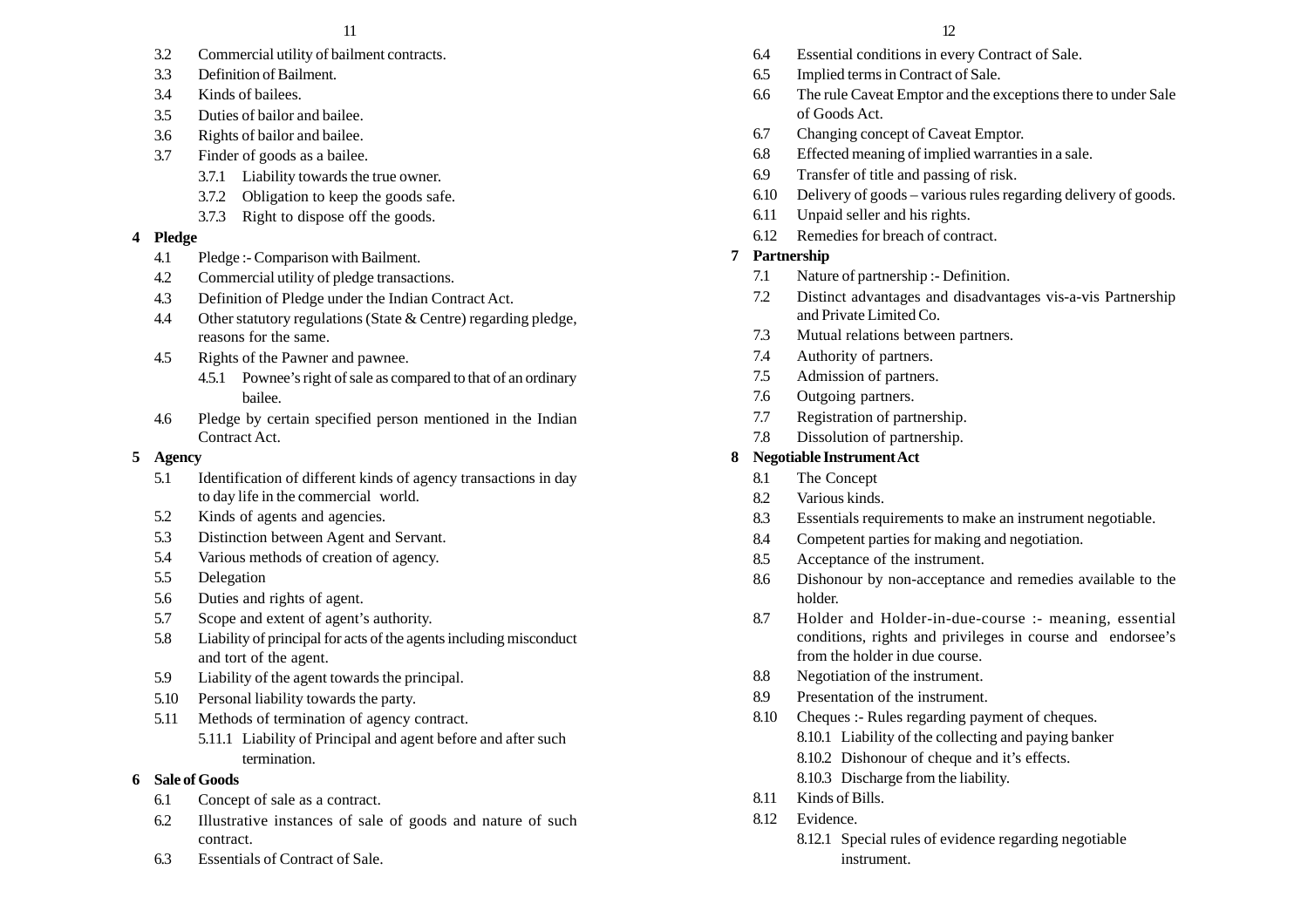- 3.2 Commercial utility of bailment contracts.
- 3.3 Definition of Bailment.
- 3.4 Kinds of bailees.
- 3.5 Duties of bailor and bailee.
- 3.6 Rights of bailor and bailee.
- 3.7 Finder of goods as a bailee.
	- 3.7.1 Liability towards the true owner.
	- 3.7.2 Obligation to keep the goods safe.
	- 3.7.3 Right to dispose off the goods.

# **4 Pledge**

- 4.1 Pledge :- Comparison with Bailment.
- 4.2 Commercial utility of pledge transactions.
- 4.3 Definition of Pledge under the Indian Contract Act.
- 4.4 Other statutory regulations (State & Centre) regarding pledge, reasons for the same.
- 4.5 Rights of the Pawner and pawnee.
	- 4.5.1 Pownee's right of sale as compared to that of an ordinary bailee.
- 4.6 Pledge by certain specified person mentioned in the Indian Contract Act.

# **5 Agency**

- 5.1 Identification of different kinds of agency transactions in day to day life in the commercial world.
- 5.2 Kinds of agents and agencies.
- 5.3 Distinction between Agent and Servant.
- 5.4 Various methods of creation of agency.
- 5.5 Delegation
- 5.6 Duties and rights of agent.
- 5.7 Scope and extent of agent's authority.
- 5.8 Liability of principal for acts of the agents including misconduct and tort of the agent.
- 5.9 Liability of the agent towards the principal.
- 5.10 Personal liability towards the party.
- 5.11 Methods of termination of agency contract.
	- 5.11.1 Liability of Principal and agent before and after such termination.
- **6 Sale of Goods**
	- 6.1 Concept of sale as a contract.
	- 6.2 Illustrative instances of sale of goods and nature of such contract.
	- 6.3 Essentials of Contract of Sale.
- 6.4 Essential conditions in every Contract of Sale.
- 6.5 Implied terms in Contract of Sale.
- 6.6 The rule Caveat Emptor and the exceptions there to under Sale of Goods Act.
- 6.7 Changing concept of Caveat Emptor.
- 6.8 Effected meaning of implied warranties in a sale.
- 6.9 Transfer of title and passing of risk.
- 6.10 Delivery of goods various rules regarding delivery of goods.
- 6.11 Unpaid seller and his rights.
- 6.12 Remedies for breach of contract.

# **7 Partnership**

- 7.1 Nature of partnership :- Definition.
- 7.2 Distinct advantages and disadvantages vis-a-vis Partnership and Private Limited Co.
- 7.3 Mutual relations between partners.
- 7.4 Authority of partners.
- 7.5 Admission of partners.
- 7.6 Outgoing partners.
- 7.7 Registration of partnership.
- 7.8 Dissolution of partnership.

# **8 Negotiable Instrument Act**

- 8.1 The Concept
- 8.2 Various kinds.
- 8.3 Essentials requirements to make an instrument negotiable.
- 8.4 Competent parties for making and negotiation.
- 8.5 Acceptance of the instrument.
- 8.6 Dishonour by non-acceptance and remedies available to the holder.
- 8.7 Holder and Holder-in-due-course :- meaning, essential conditions, rights and privileges in course and endorsee's from the holder in due course.
- 8.8 Negotiation of the instrument.
- 8.9 Presentation of the instrument.
- 8.10 Cheques :- Rules regarding payment of cheques.
	- 8.10.1 Liability of the collecting and paying banker
	- 8.10.2 Dishonour of cheque and it's effects.
	- 8.10.3 Discharge from the liability.
- 8.11 Kinds of Bills.
- 8.12 Evidence.
	- 8.12.1 Special rules of evidence regarding negotiable instrument.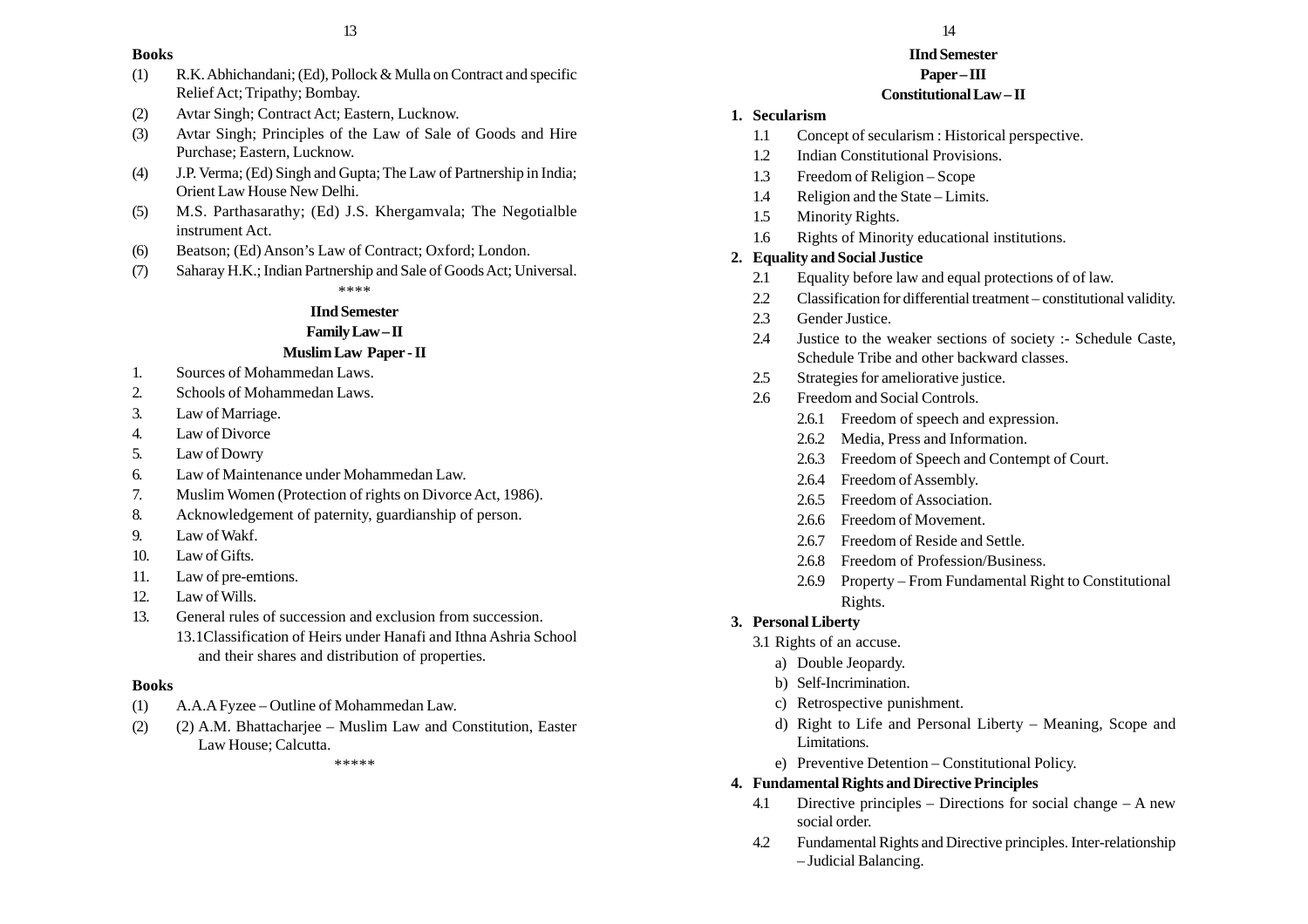#### **Books**

- (1) R.K. Abhichandani; (Ed), Pollock & Mulla on Contract and specific Relief Act; Tripathy; Bombay.
- (2) Avtar Singh; Contract Act; Eastern, Lucknow.
- (3) Avtar Singh; Principles of the Law of Sale of Goods and Hire Purchase; Eastern, Lucknow.
- (4) J.P. Verma; (Ed) Singh and Gupta; The Law of Partnership in India; Orient Law House New Delhi.
- (5) M.S. Parthasarathy; (Ed) J.S. Khergamvala; The Negotialble instrument Act.
- (6) Beatson; (Ed) Anson's Law of Contract; Oxford; London.
- (7) Saharay H.K.; Indian Partnership and Sale of Goods Act; Universal.

\*\*\*\*

#### **IInd Semester**

#### **Family Law – II**

#### **Muslim Law Paper - II**

- 1. Sources of Mohammedan Laws.
- 2. Schools of Mohammedan Laws.
- 3. Law of Marriage.
- 4. Law of Divorce
- 5. Law of Dowry
- 6. Law of Maintenance under Mohammedan Law.
- 7. Muslim Women (Protection of rights on Divorce Act, 1986).
- 8. Acknowledgement of paternity, guardianship of person.
- 9. Law of Wakf.
- 10. Law of Gifts.
- 11. Law of pre-emtions.
- 12. Law of Wills.
- 13. General rules of succession and exclusion from succession. 13.1Classification of Heirs under Hanafi and Ithna Ashria School and their shares and distribution of properties.

#### **Books**

- (1) A.A.A Fyzee Outline of Mohammedan Law.
- (2) (2) A.M. Bhattacharjee Muslim Law and Constitution, Easter Law House; Calcutta.

\*\*\*\*\*

#### **IInd Semester Paper – III**

# **Constitutional Law – II**

#### **1. Secularism**

- 1.1 Concept of secularism : Historical perspective.
- 1.2 Indian Constitutional Provisions.
- 1.3 Freedom of Religion Scope
- 1.4 Religion and the State Limits.
- 1.5 Minority Rights.
- 1.6 Rights of Minority educational institutions.

#### **2. Equality and Social Justice**

- 2.1 Equality before law and equal protections of of law.
- 2.2 Classification for differential treatment constitutional validity.
- 2.3 Gender Justice.
- 2.4 Justice to the weaker sections of society :- Schedule Caste, Schedule Tribe and other backward classes.
- 2.5 Strategies for ameliorative justice.
- 2.6 Freedom and Social Controls.
	- 2.6.1 Freedom of speech and expression.
	- 2.6.2 Media, Press and Information.
	- 2.6.3 Freedom of Speech and Contempt of Court.
	- 2.6.4 Freedom of Assembly.
	- 2.6.5 Freedom of Association.
	- 2.6.6 Freedom of Movement.
	- 2.6.7 Freedom of Reside and Settle.
	- 2.6.8 Freedom of Profession/Business.
	- 2.6.9 Property From Fundamental Right to Constitutional Rights.

## **3. Personal Liberty**

- 3.1 Rights of an accuse.
	- a) Double Jeopardy.
	- b) Self-Incrimination.
	- c) Retrospective punishment.
	- d) Right to Life and Personal Liberty Meaning, Scope and Limitations.
	- e) Preventive Detention Constitutional Policy.

## **4. Fundamental Rights and Directive Principles**

- 4.1 Directive principles Directions for social change A new social order.
- 4.2 Fundamental Rights and Directive principles. Inter-relationship – Judicial Balancing.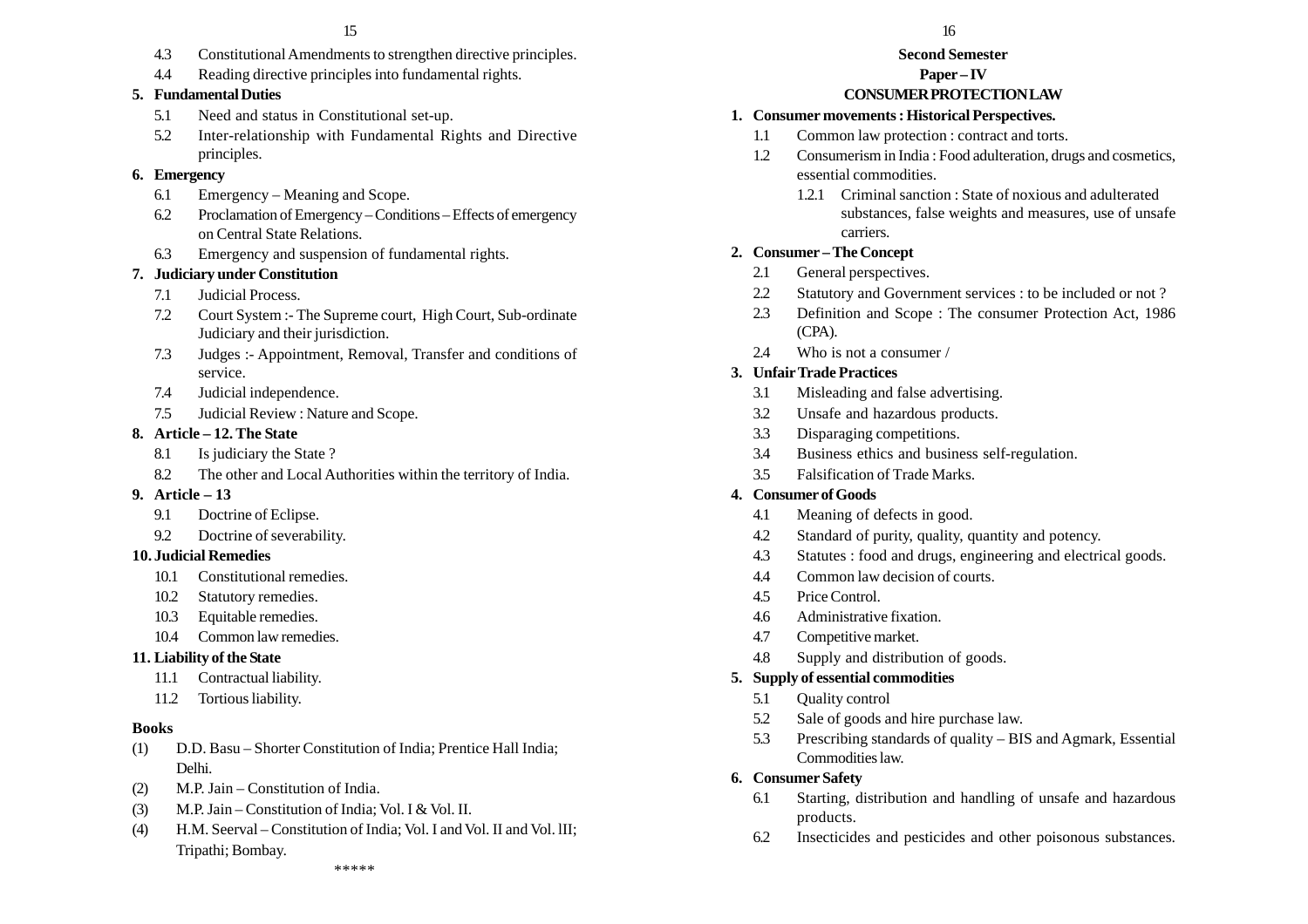- 4.3 Constitutional Amendments to strengthen directive principles.
- 4.4 Reading directive principles into fundamental rights.

# **5. Fundamental Duties**

- 5.1 Need and status in Constitutional set-up.
- 5.2 Inter-relationship with Fundamental Rights and Directive principles.

# **6. Emergency**

- 6.1 Emergency Meaning and Scope.
- 6.2 Proclamation of Emergency Conditions Effects of emergency on Central State Relations.
- 6.3 Emergency and suspension of fundamental rights.

# **7. Judiciary under Constitution**

- 7.1 Judicial Process.
- 7.2 Court System :- The Supreme court, High Court, Sub-ordinate Judiciary and their jurisdiction.
- 7.3 Judges :- Appointment, Removal, Transfer and conditions of service.
- 7.4 Judicial independence.
- 7.5 Judicial Review : Nature and Scope.

# **8. Article – 12. The State**

- 8.1 Is judiciary the State ?
- 8.2 The other and Local Authorities within the territory of India.
- **9. Article 13**
	- 9.1 Doctrine of Eclipse.
	- 9.2 Doctrine of severability.

# **10. Judicial Remedies**

- 10.1 Constitutional remedies.
- 10.2 Statutory remedies.
- 10.3 Equitable remedies.
- 10.4 Common law remedies.

# **11. Liability of the State**

- 11.1 Contractual liability.
- 11.2 Tortious liability.

# **Books**

- (1) D.D. Basu Shorter Constitution of India; Prentice Hall India; Delhi.
- (2) M.P. Jain Constitution of India.
- (3) M.P. Jain Constitution of India; Vol. I & Vol. II.
- (4) H.M. Seerval Constitution of India; Vol. I and Vol. II and Vol. lII; Tripathi; Bombay.

# **Second Semester**

# **Paper – IV**

# **CONSUMER PROTECTION LAW**

# **1. Consumer movements : Historical Perspectives.**

- 1.1 Common law protection : contract and torts.
- 1.2 Consumerism in India : Food adulteration, drugs and cosmetics, essential commodities.
	- 1.2.1 Criminal sanction : State of noxious and adulterated substances, false weights and measures, use of unsafe carriers.

# **2. Consumer – The Concept**

- 2.1 General perspectives.
- 2.2 Statutory and Government services : to be included or not ?
- 2.3 Definition and Scope : The consumer Protection Act, 1986 (CPA).
- 2.4 Who is not a consumer /

# **3. Unfair Trade Practices**

- 3.1 Misleading and false advertising.
- 3.2 Unsafe and hazardous products.
- 3.3 Disparaging competitions.
- 3.4 Business ethics and business self-regulation.
- 3.5 Falsification of Trade Marks.

# **4. Consumer of Goods**

- 4.1 Meaning of defects in good.
- 4.2 Standard of purity, quality, quantity and potency.
- 4.3 Statutes : food and drugs, engineering and electrical goods.
- 4.4 Common law decision of courts.
- 4.5 Price Control.
- 4.6 Administrative fixation.
- 4.7 Competitive market.
- 4.8 Supply and distribution of goods.

# **5. Supply of essential commodities**

- 5.1 Quality control
- 5.2 Sale of goods and hire purchase law.
- 5.3 Prescribing standards of quality BIS and Agmark, Essential Commodities law.
- **6. Consumer Safety**
	- 6.1 Starting, distribution and handling of unsafe and hazardous products.
	- 6.2 Insecticides and pesticides and other poisonous substances.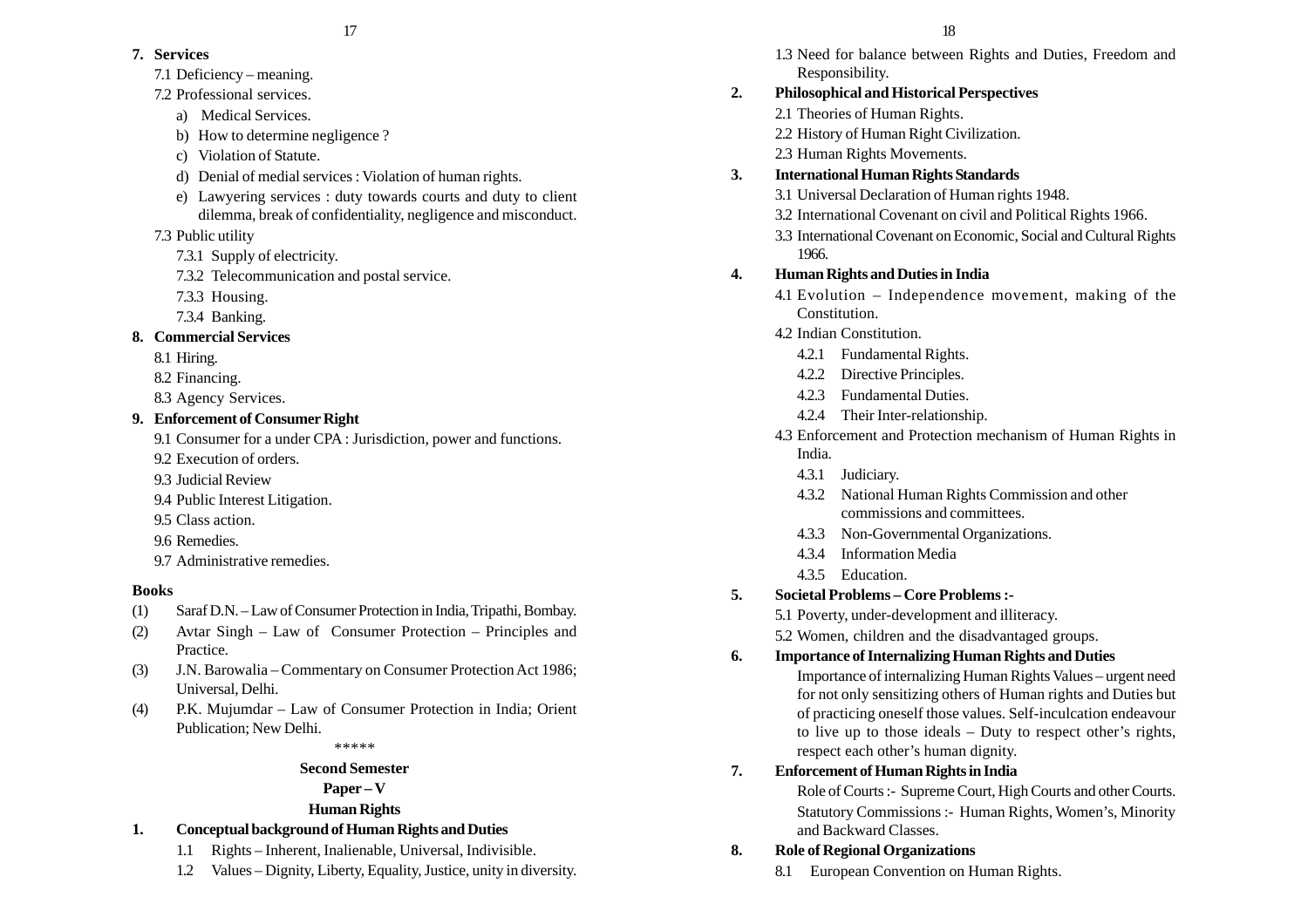## **7. Services**

- 7.1 Deficiency meaning.
- 7.2 Professional services.
	- a) Medical Services.
	- b) How to determine negligence ?
	- c) Violation of Statute.
	- d) Denial of medial services : Violation of human rights.
	- e) Lawyering services : duty towards courts and duty to client dilemma, break of confidentiality, negligence and misconduct.
- 7.3 Public utility
	- 7.3.1 Supply of electricity.
	- 7.3.2 Telecommunication and postal service.
	- 7.3.3 Housing.
	- 7.3.4 Banking.

# **8. Commercial Services**

- 8.1 Hiring.
- 8.2 Financing.
- 8.3 Agency Services.

# **9. Enforcement of Consumer Right**

- 9.1 Consumer for a under CPA : Jurisdiction, power and functions.
- 9.2 Execution of orders.
- 9.3 Judicial Review
- 9.4 Public Interest Litigation.
- 9.5 Class action.
- 9.6 Remedies.
- 9.7 Administrative remedies.

# **Books**

- (1) Saraf D.N. Law of Consumer Protection in India, Tripathi, Bombay.
- (2) Avtar Singh Law of Consumer Protection Principles and Practice.
- (3) J.N. Barowalia Commentary on Consumer Protection Act 1986; Universal, Delhi.
- (4) P.K. Mujumdar Law of Consumer Protection in India; Orient Publication; New Delhi.

\*\*\*\*\*

# **Second Semester**

# **Paper – V**

# **Human Rights**

- **1. Conceptual background of Human Rights and Duties**
	- 1.1 Rights Inherent, Inalienable, Universal, Indivisible.
	- 1.2 Values Dignity, Liberty, Equality, Justice, unity in diversity.

1.3 Need for balance between Rights and Duties, Freedom and Responsibility.

# **2. Philosophical and Historical Perspectives**

- 2.1 Theories of Human Rights.
- 2.2 History of Human Right Civilization.
- 2.3 Human Rights Movements.

# **3. International Human Rights Standards**

- 3.1 Universal Declaration of Human rights 1948.
- 3.2 International Covenant on civil and Political Rights 1966.
- 3.3 International Covenant on Economic, Social and Cultural Rights 1966.

# **4. Human Rights and Duties in India**

- 4.1 Evolution Independence movement, making of the Constitution.
- 4.2 Indian Constitution.
	- 4.2.1 Fundamental Rights.
	- 4.2.2 Directive Principles.
	- 4.2.3 Fundamental Duties.
	- 4.2.4 Their Inter-relationship.
- 4.3 Enforcement and Protection mechanism of Human Rights in India.
	- 4.3.1 Judiciary.
	- 4.3.2 National Human Rights Commission and other commissions and committees.
	- 4.3.3 Non-Governmental Organizations.
	- 4.3.4 Information Media
	- 4.3.5 Education.
- **5. Societal Problems Core Problems :-**
	- 5.1 Poverty, under-development and illiteracy.
	- 5.2 Women, children and the disadvantaged groups.
- **6. Importance of Internalizing Human Rights and Duties**

Importance of internalizing Human Rights Values – urgent need for not only sensitizing others of Human rights and Duties but of practicing oneself those values. Self-inculcation endeavour to live up to those ideals – Duty to respect other's rights, respect each other's human dignity.

# **7. Enforcement of Human Rights in India**

Role of Courts :- Supreme Court, High Courts and other Courts. Statutory Commissions :- Human Rights, Women's, Minority and Backward Classes.

# **8. Role of Regional Organizations**

8.1 European Convention on Human Rights.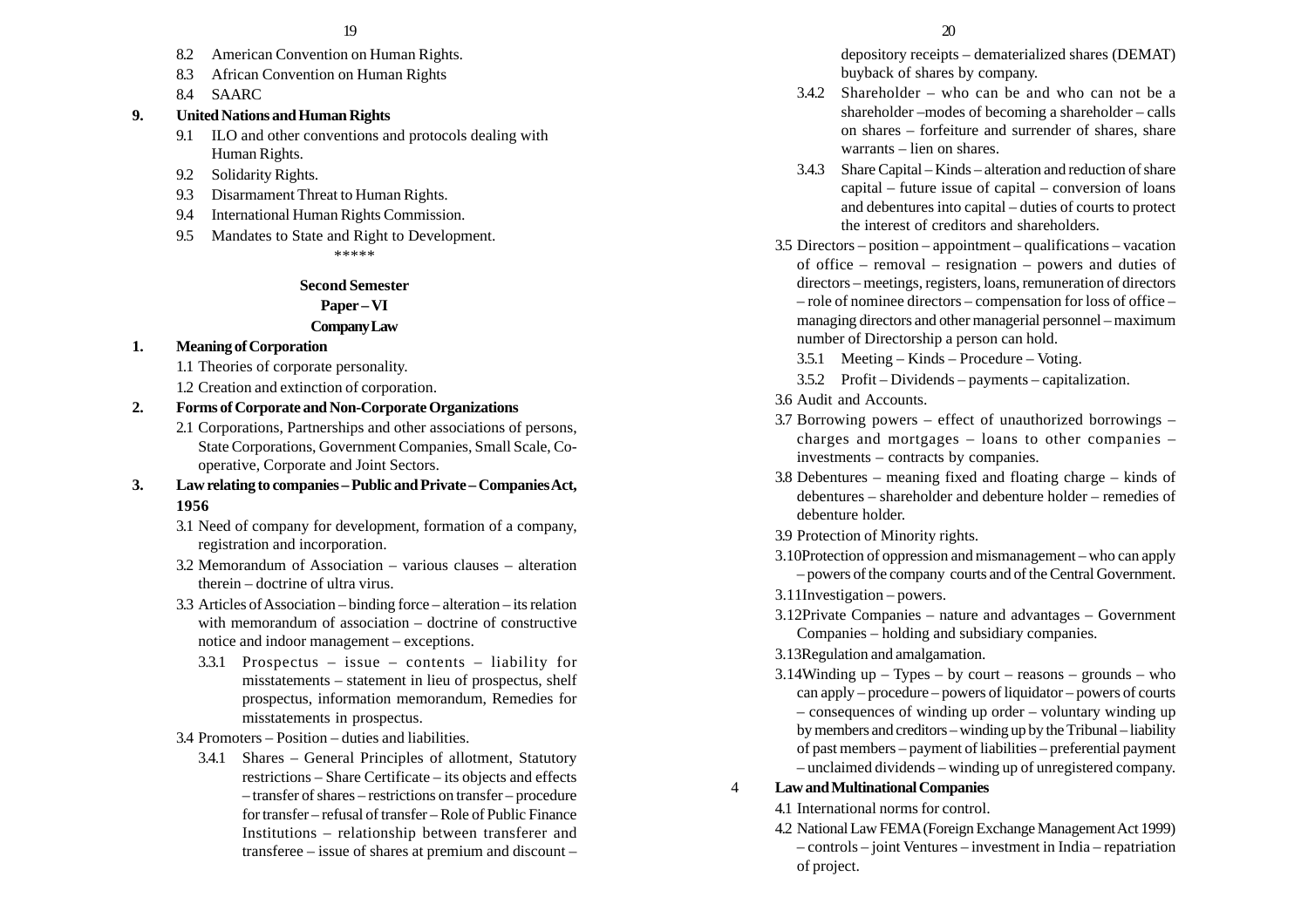- 8.2 American Convention on Human Rights.
- 8.3 African Convention on Human Rights
- 8.4 SAARC

#### **9. United Nations and Human Rights**

- 9.1 ILO and other conventions and protocols dealing with Human Rights.
- 9.2 Solidarity Rights.
- 9.3 Disarmament Threat to Human Rights.
- 9.4 International Human Rights Commission.
- 9.5 Mandates to State and Right to Development. \*\*\*\*\*

#### **Second Semester**

#### **Paper – VI**

#### **Company Law**

#### **1. Meaning of Corporation**

- 1.1 Theories of corporate personality.
- 1.2 Creation and extinction of corporation.

#### **2. Forms of Corporate and Non-Corporate Organizations**

- 2.1 Corporations, Partnerships and other associations of persons, State Corporations, Government Companies, Small Scale, Cooperative, Corporate and Joint Sectors.
- **3. Law relating to companies –Public and Private Companies Act, 1956**
	- 3.1 Need of company for development, formation of a company, registration and incorporation.
	- 3.2 Memorandum of Association various clauses alteration therein – doctrine of ultra virus.
	- 3.3 Articles of Association binding force alteration its relation with memorandum of association – doctrine of constructive notice and indoor management – exceptions.
		- 3.3.1 Prospectus issue contents liability for misstatements – statement in lieu of prospectus, shelf prospectus, information memorandum, Remedies for misstatements in prospectus.

#### 3.4 Promoters – Position – duties and liabilities.

3.4.1 Shares – General Principles of allotment, Statutory restrictions – Share Certificate – its objects and effects – transfer of shares – restrictions on transfer – procedure for transfer – refusal of transfer – Role of Public Finance Institutions – relationship between transferer and transferee – issue of shares at premium and discount –

depository receipts – dematerialized shares (DEMAT) buyback of shares by company.

- 3.4.2 Shareholder who can be and who can not be a shareholder –modes of becoming a shareholder – calls on shares – forfeiture and surrender of shares, share warrants – lien on shares.
- 3.4.3 Share Capital Kinds alteration and reduction of share capital – future issue of capital – conversion of loans and debentures into capital – duties of courts to protect the interest of creditors and shareholders.
- 3.5 Directors position appointment qualifications vacation of office – removal – resignation – powers and duties of directors – meetings, registers, loans, remuneration of directors – role of nominee directors – compensation for loss of office – managing directors and other managerial personnel – maximum number of Directorship a person can hold.
	- 3.5.1 Meeting Kinds Procedure Voting.
	- 3.5.2 Profit Dividends payments capitalization.
- 3.6 Audit and Accounts.
- 3.7 Borrowing powers effect of unauthorized borrowings charges and mortgages – loans to other companies – investments – contracts by companies.
- 3.8 Debentures meaning fixed and floating charge kinds of debentures – shareholder and debenture holder – remedies of debenture holder.
- 3.9 Protection of Minority rights.
- 3.10Protection of oppression and mismanagement who can apply – powers of the company courts and of the Central Government.
- 3.11Investigation powers.
- 3.12Private Companies nature and advantages Government Companies – holding and subsidiary companies.

#### 3.13Regulation and amalgamation.

3.14Winding up – Types – by court – reasons – grounds – who can apply – procedure – powers of liquidator – powers of courts – consequences of winding up order – voluntary winding up by members and creditors – winding up by the Tribunal – liability of past members – payment of liabilities – preferential payment – unclaimed dividends – winding up of unregistered company.

#### 4 **Law and Multinational Companies**

- 4.1 International norms for control.
- 4.2 National Law FEMA (Foreign Exchange Management Act 1999) – controls – joint Ventures – investment in India – repatriation of project.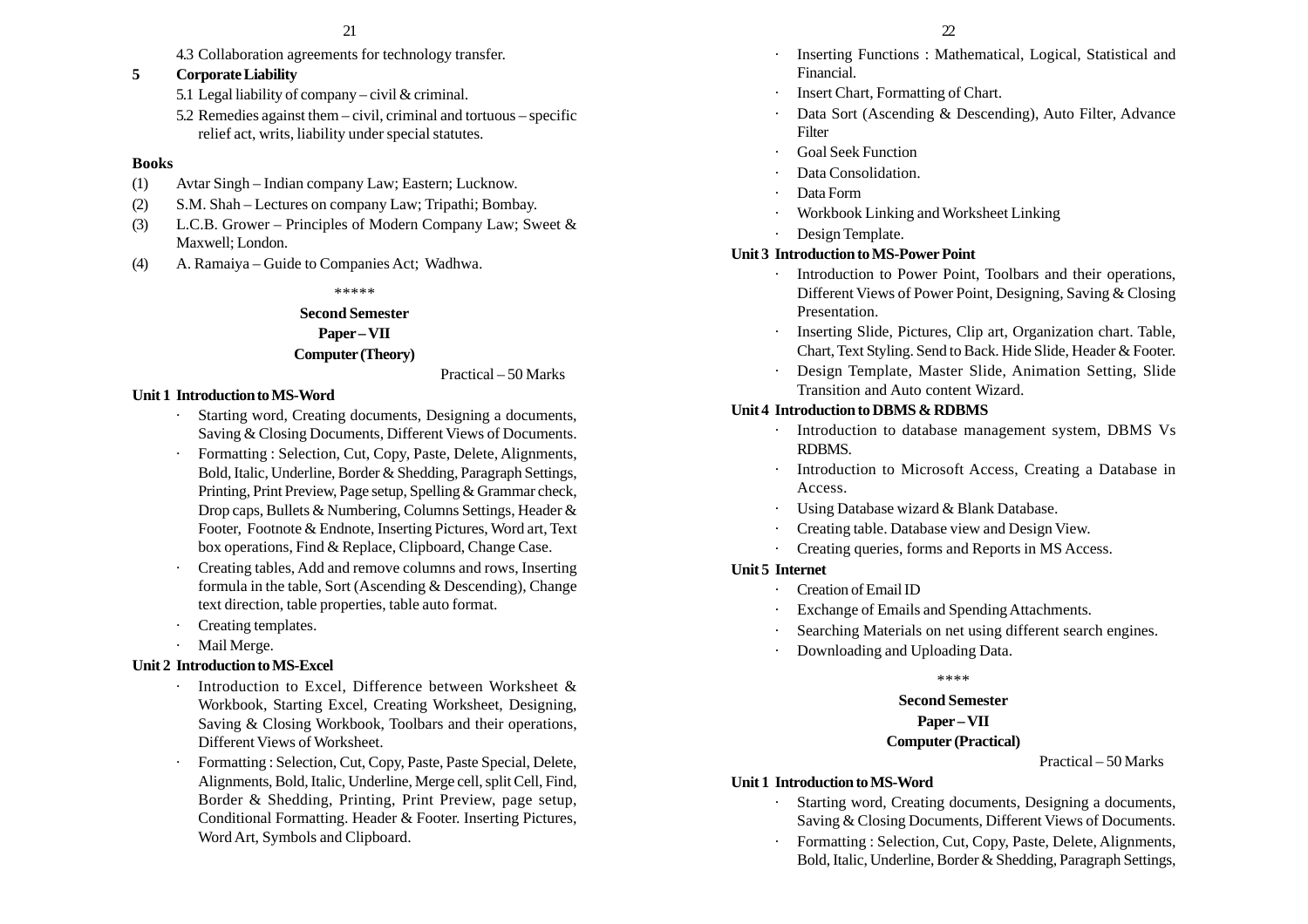- 
- 4.3 Collaboration agreements for technology transfer.

## **5 Corporate Liability**

- 5.1 Legal liability of company civil & criminal.
- 5.2 Remedies against them civil, criminal and tortuous specific relief act, writs, liability under special statutes.

#### **Books**

- (1) Avtar Singh Indian company Law; Eastern; Lucknow.
- (2) S.M. Shah Lectures on company Law; Tripathi; Bombay.
- (3) L.C.B. Grower Principles of Modern Company Law; Sweet & Maxwell; London.
- (4) A. Ramaiya Guide to Companies Act; Wadhwa.

\*\*\*\*\*

#### **Second Semester**

#### **Paper – VII**

## **Computer (Theory)**

Practical – 50 Marks

## **Unit 1 Introduction to MS-Word**

- Starting word, Creating documents, Designing a documents, Saving & Closing Documents, Different Views of Documents.
- Formatting : Selection, Cut, Copy, Paste, Delete, Alignments, Bold, Italic, Underline, Border & Shedding, Paragraph Settings, Printing, Print Preview, Page setup, Spelling & Grammar check, Drop caps, Bullets & Numbering, Columns Settings, Header & Footer, Footnote & Endnote, Inserting Pictures, Word art, Text box operations, Find & Replace, Clipboard, Change Case.
- Creating tables, Add and remove columns and rows, Inserting formula in the table, Sort (Ascending & Descending), Change text direction, table properties, table auto format.
- Creating templates.
- Mail Merge.

## **Unit 2 Introduction to MS-Excel**

- Introduction to Excel, Difference between Worksheet & Workbook, Starting Excel, Creating Worksheet, Designing, Saving & Closing Workbook, Toolbars and their operations, Different Views of Worksheet.
- Formatting : Selection, Cut, Copy, Paste, Paste Special, Delete, Alignments, Bold, Italic, Underline, Merge cell, split Cell, Find, Border & Shedding, Printing, Print Preview, page setup, Conditional Formatting. Header & Footer. Inserting Pictures, Word Art, Symbols and Clipboard.
- Inserting Functions : Mathematical, Logical, Statistical and Financial.
- Insert Chart, Formatting of Chart.
- Data Sort (Ascending & Descending), Auto Filter, Advance Filter
- Goal Seek Function
- Data Consolidation.
- Data Form
- Workbook Linking and Worksheet Linking
- Design Template.

## **Unit 3 Introduction to MS-Power Point**

- Introduction to Power Point, Toolbars and their operations, Different Views of Power Point, Designing, Saving & Closing Presentation.
- · Inserting Slide, Pictures, Clip art, Organization chart. Table, Chart, Text Styling. Send to Back. Hide Slide, Header & Footer.
- · Design Template, Master Slide, Animation Setting, Slide Transition and Auto content Wizard.

## **Unit 4 Introduction to DBMS & RDBMS**

- Introduction to database management system, DBMS Vs RDBMS.
- · Introduction to Microsoft Access, Creating a Database in Access.
- ·Using Database wizard & Blank Database.
- Creating table. Database view and Design View.
- ·Creating queries, forms and Reports in MS Access.

## **Unit 5 Internet**

- ·Creation of Email ID
- Exchange of Emails and Spending Attachments.
- Searching Materials on net using different search engines.
- Downloading and Uploading Data.

#### \*\*\*\*

# **Second Semester Paper – VII**

## **Computer (Practical)**

Practical – 50 Marks

# **Unit 1 Introduction to MS-Word**

- · Starting word, Creating documents, Designing a documents, Saving & Closing Documents, Different Views of Documents.
- · Formatting : Selection, Cut, Copy, Paste, Delete, Alignments, Bold, Italic, Underline, Border & Shedding, Paragraph Settings,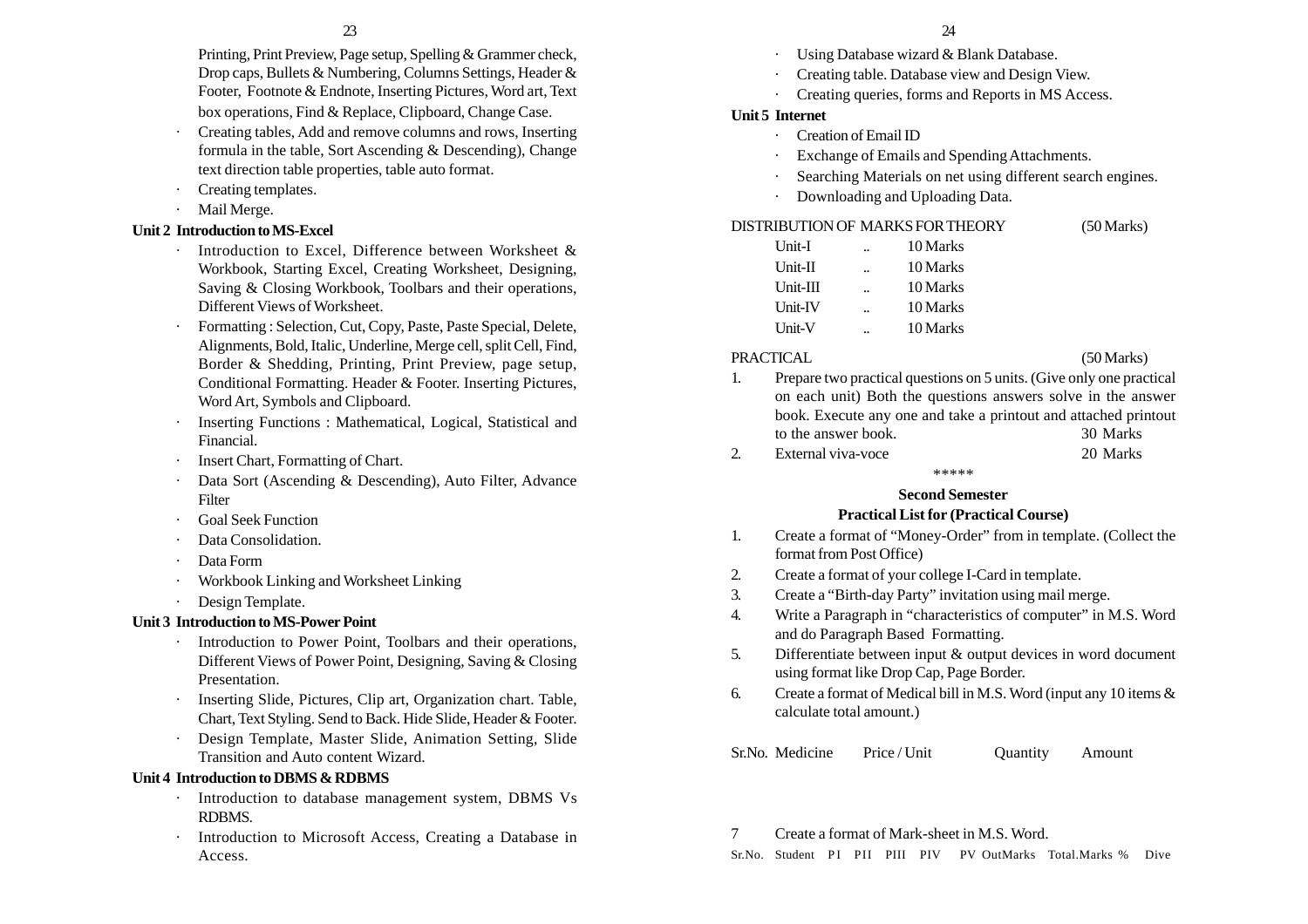Printing, Print Preview, Page setup, Spelling & Grammer check, Drop caps, Bullets & Numbering, Columns Settings, Header & Footer, Footnote & Endnote, Inserting Pictures, Word art, Text box operations, Find & Replace, Clipboard, Change Case.

- Creating tables, Add and remove columns and rows, Inserting formula in the table, Sort Ascending & Descending), Change text direction table properties, table auto format.
- Creating templates.
- Mail Merge.

## **Unit 2 Introduction to MS-Excel**

- · Introduction to Excel, Difference between Worksheet & Workbook, Starting Excel, Creating Worksheet, Designing, Saving & Closing Workbook, Toolbars and their operations, Different Views of Worksheet.
- Formatting : Selection, Cut, Copy, Paste, Paste Special, Delete, Alignments, Bold, Italic, Underline, Merge cell, split Cell, Find, Border & Shedding, Printing, Print Preview, page setup, Conditional Formatting. Header & Footer. Inserting Pictures, Word Art, Symbols and Clipboard.
- Inserting Functions : Mathematical, Logical, Statistical and Financial.
- Insert Chart, Formatting of Chart.
- Data Sort (Ascending & Descending), Auto Filter, Advance Filter
- Goal Seek Function
- Data Consolidation.
- Data Form
- Workbook Linking and Worksheet Linking
- Design Template.

# **Unit 3 Introduction to MS-Power Point**

- · Introduction to Power Point, Toolbars and their operations, Different Views of Power Point, Designing, Saving & Closing Presentation.
- · Inserting Slide, Pictures, Clip art, Organization chart. Table, Chart, Text Styling. Send to Back. Hide Slide, Header & Footer.
- Design Template, Master Slide, Animation Setting, Slide Transition and Auto content Wizard.

# **Unit 4 Introduction to DBMS & RDBMS**

- Introduction to database management system, DBMS Vs RDBMS.
- Introduction to Microsoft Access, Creating a Database in Access.
- Using Database wizard & Blank Database.
- Creating table. Database view and Design View.
- ·Creating queries, forms and Reports in MS Access.

# **Unit 5 Internet**

- ·Creation of Email ID
- Exchange of Emails and Spending Attachments.
- Searching Materials on net using different search engines.
- Downloading and Uploading Data.

# DISTRIBUTION OF MARKS FOR THEORY (50 Marks)

| Unit-I     | 10 Marks |
|------------|----------|
| $Unit-II$  | 10 Marks |
| $Unit-III$ | 10 Marks |
| Unit-IV    | 10 Marks |
| Unit-V     | 10 Marks |

# PRACTICAL (50 Marks)

- 1. Prepare two practical questions on 5 units. (Give only one practical on each unit) Both the questions answers solve in the answer book. Execute any one and take a printout and attached printout to the answer book. 30 Marks
- 2. External viva-voce 20 Marks

\*\*\*\*\*

# **Second Semester**

# **Practical List for (Practical Course)**

- 1. Create a format of "Money-Order" from in template. (Collect the format from Post Office)
- 2. Create a format of your college I-Card in template.
- 3. Create a "Birth-day Party" invitation using mail merge.
- 4. Write a Paragraph in "characteristics of computer" in M.S. Word and do Paragraph Based Formatting.
- 5. Differentiate between input & output devices in word document using format like Drop Cap, Page Border.
- 6. Create a format of Medical bill in M.S. Word (input any 10 items  $\&$ calculate total amount.)

Sr.No. Medicine Price / Unit Quantity Amount

7 Create a format of Mark-sheet in M.S. Word.

Sr.No. Student PI PII PIII PIV PV OutMarks Total.Marks % Dive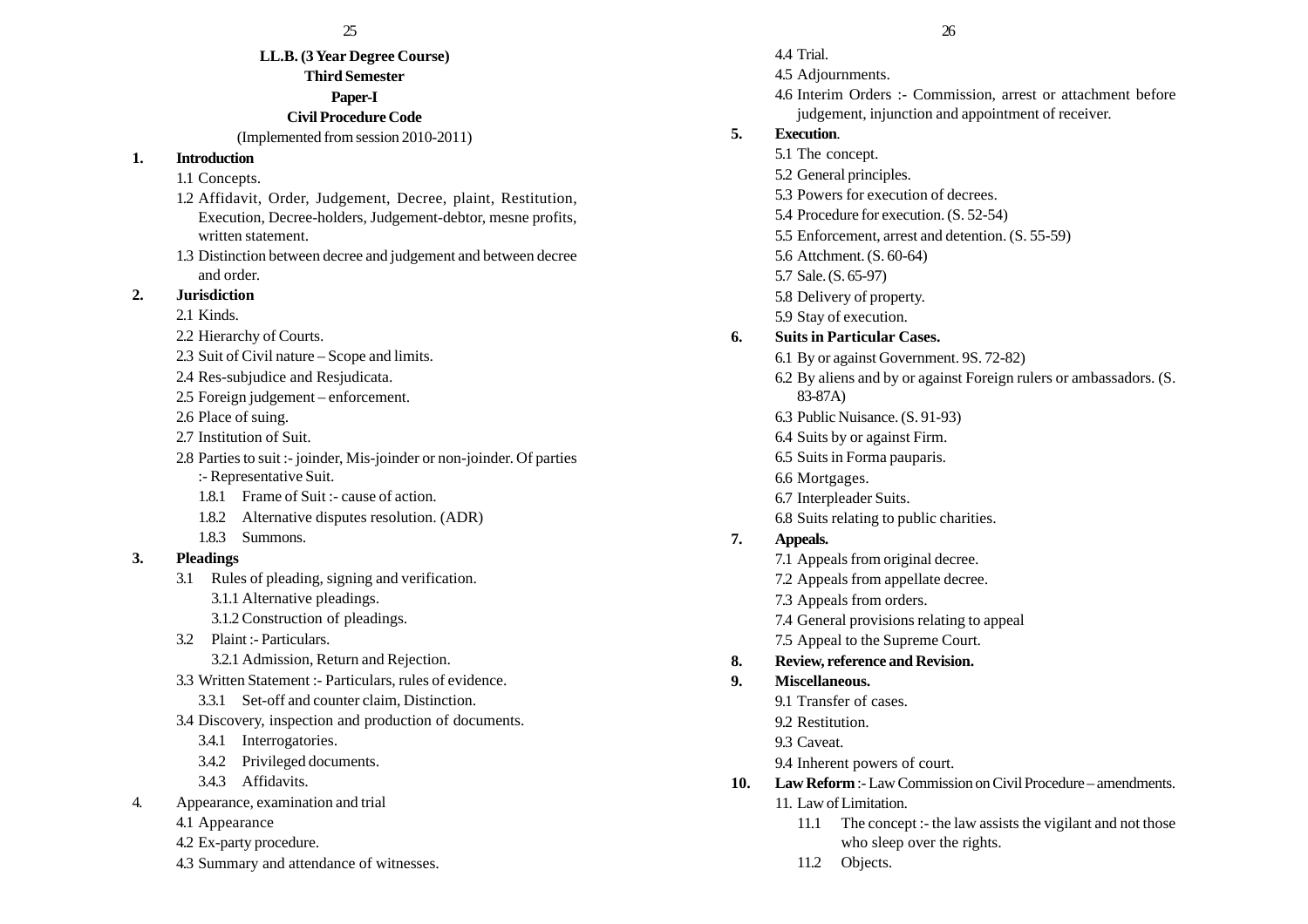# **LL.B. (3 Year Degree Course) Third Semester Paper-I Civil Procedure Code**

#### (Implemented from session 2010-2011)

#### **1. Introduction**

## 1.1 Concepts.

- 1.2 Affidavit, Order, Judgement, Decree, plaint, Restitution, Execution, Decree-holders, Judgement-debtor, mesne profits, written statement.
- 1.3 Distinction between decree and judgement and between decree and order.

# **2. Jurisdiction**

- 2.1 Kinds.
- 2.2 Hierarchy of Courts.
- 2.3 Suit of Civil nature Scope and limits.
- 2.4 Res-subjudice and Resjudicata.
- 2.5 Foreign judgement enforcement.
- 2.6 Place of suing.
- 2.7 Institution of Suit.
- 2.8 Parties to suit :- joinder, Mis-joinder or non-joinder. Of parties
	- :- Representative Suit.
	- 1.8.1 Frame of Suit :- cause of action.
	- 1.8.2 Alternative disputes resolution. (ADR)
	- 1.8.3 Summons.

# **3. Pleadings**

- 3.1 Rules of pleading, signing and verification.
	- 3.1.1 Alternative pleadings.
	- 3.1.2 Construction of pleadings.
- 3.2 Plaint :- Particulars. 3.2.1 Admission, Return and Rejection.
- 3.3 Written Statement :- Particulars, rules of evidence.
	- 3.3.1 Set-off and counter claim, Distinction.
- 3.4 Discovery, inspection and production of documents.
	- 3.4.1 Interrogatories.
	- 3.4.2 Privileged documents.
	- 3.4.3 Affidavits.
- 4. Appearance, examination and trial
	- 4.1 Appearance
	- 4.2 Ex-party procedure.
	- 4.3 Summary and attendance of witnesses.
- 4.4 Trial. 4.5 Adjournments. 4.6 Interim Orders :- Commission, arrest or attachment before judgement, injunction and appointment of receiver. **5. Execution**. 5.1 The concept. 5.2 General principles. 5.3 Powers for execution of decrees. 5.4 Procedure for execution. (S. 52-54) 5.5 Enforcement, arrest and detention. (S. 55-59) 5.6 Attchment. (S. 60-64) 5.7 Sale. (S. 65-97) 5.8 Delivery of property. 5.9 Stay of execution. **6. Suits in Particular Cases.** 6.1 By or against Government. 9S. 72-82) 6.2 By aliens and by or against Foreign rulers or ambassadors. (S. 83-87A) 6.3 Public Nuisance. (S. 91-93) 6.4 Suits by or against Firm. 6.5 Suits in Forma pauparis. 6.6 Mortgages. 6.7 Interpleader Suits. 6.8 Suits relating to public charities. **7. Appeals.** 7.1 Appeals from original decree. 7.2 Appeals from appellate decree. 7.3 Appeals from orders. 7.4 General provisions relating to appeal 7.5 Appeal to the Supreme Court. **8. Review, reference and Revision. 9. Miscellaneous.** 9.1 Transfer of cases. 9.2 Restitution.
	- 93 Caveat
	- 9.4 Inherent powers of court.
- **10. Law Reform** :- Law Commission on Civil Procedure amendments. 11. Law of Limitation.
	- 11.1 The concept :- the law assists the vigilant and not those who sleep over the rights.
	- 11.2 Objects.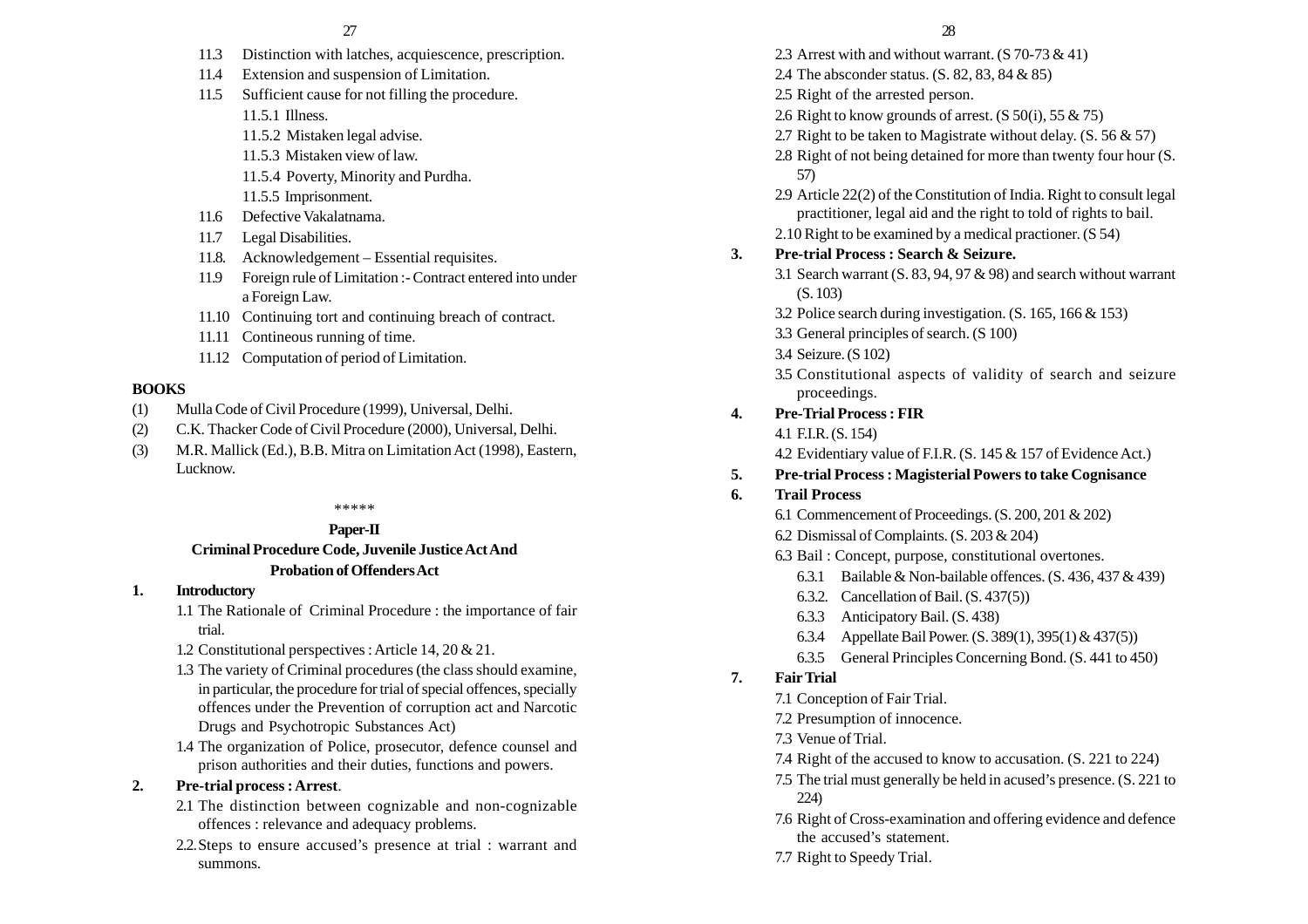- 11.3 Distinction with latches, acquiescence, prescription.
- 11.4 Extension and suspension of Limitation.
- 11.5 Sufficient cause for not filling the procedure.
	- 11.5.1 Illness.
	- 11.5.2 Mistaken legal advise.
	- 11.5.3 Mistaken view of law.
	- 11.5.4 Poverty, Minority and Purdha.
	- 11.5.5 Imprisonment.
- 11.6 Defective Vakalatnama.
- 11.7 Legal Disabilities.
- 11.8. Acknowledgement Essential requisites.
- 11.9 Foreign rule of Limitation :- Contract entered into under a Foreign Law.
- 11.10 Continuing tort and continuing breach of contract.
- 11.11 Contineous running of time.
- 11.12 Computation of period of Limitation.

#### **BOOKS**

- (1) Mulla Code of Civil Procedure (1999), Universal, Delhi.
- (2) C.K. Thacker Code of Civil Procedure (2000), Universal, Delhi.
- (3) M.R. Mallick (Ed.), B.B. Mitra on Limitation Act (1998), Eastern, Lucknow.

#### \*\*\*\*\*

## **Paper-II Criminal Procedure Code, Juvenile Justice Act And Probation of Offenders Act**

#### **1. Introductory**

- 1.1 The Rationale of Criminal Procedure : the importance of fair trial.
- 1.2 Constitutional perspectives : Article 14, 20 & 21.
- 1.3 The variety of Criminal procedures (the class should examine, in particular, the procedure for trial of special offences, specially offences under the Prevention of corruption act and Narcotic Drugs and Psychotropic Substances Act)
- 1.4 The organization of Police, prosecutor, defence counsel and prison authorities and their duties, functions and powers.

#### **2. Pre-trial process : Arrest**.

- 2.1 The distinction between cognizable and non-cognizable offences : relevance and adequacy problems.
- 2.2.Steps to ensure accused's presence at trial : warrant and summons.
- 2.3 Arrest with and without warrant. (S 70-73 & 41)
- 2.4 The absconder status. (S. 82, 83, 84 & 85)
- 2.5 Right of the arrested person.
- 2.6 Right to know grounds of arrest.  $(S 50(i), 55 \& 75)$
- 2.7 Right to be taken to Magistrate without delay.  $(S. 56 \& 57)$
- 2.8 Right of not being detained for more than twenty four hour (S. 57)
- 2.9 Article 22(2) of the Constitution of India. Right to consult legal practitioner, legal aid and the right to told of rights to bail. 2.10 Right to be examined by a medical practioner. (S 54)

#### **3. Pre-trial Process : Search & Seizure.**

- 3.1 Search warrant (S. 83, 94, 97 & 98) and search without warrant (S. 103)
- 3.2 Police search during investigation. (S. 165, 166 & 153)
- 3.3 General principles of search. (S 100)
- 3.4 Seizure. (S 102)
- 3.5 Constitutional aspects of validity of search and seizure proceedings.

#### **4. Pre-Trial Process : FIR**

- 4.1 F.I.R. (S. 154)
- 4.2 Evidentiary value of F.I.R. (S. 145 & 157 of Evidence Act.)

#### **5. Pre-trial Process : Magisterial Powers to take Cognisance**

**6. Trail Process**

6.1 Commencement of Proceedings. (S. 200, 201 & 202)

- 6.2 Dismissal of Complaints. (S. 203 & 204)
- 6.3 Bail : Concept, purpose, constitutional overtones.
	- 6.3.1 Bailable & Non-bailable offences. (S. 436, 437 & 439)
	- 6.3.2. Cancellation of Bail. (S. 437(5))
	- 6.3.3 Anticipatory Bail. (S. 438)
	- 6.3.4 Appellate Bail Power. (S. 389(1), 395(1) & 437(5))
	- 6.3.5 General Principles Concerning Bond. (S. 441 to 450)

## **7. Fair Trial**

- 7.1 Conception of Fair Trial.
- 7.2 Presumption of innocence.
- 7.3 Venue of Trial.
- 7.4 Right of the accused to know to accusation. (S. 221 to 224)
- 7.5 The trial must generally be held in acused's presence. (S. 221 to 224)
- 7.6 Right of Cross-examination and offering evidence and defence the accused's statement.
- 7.7 Right to Speedy Trial.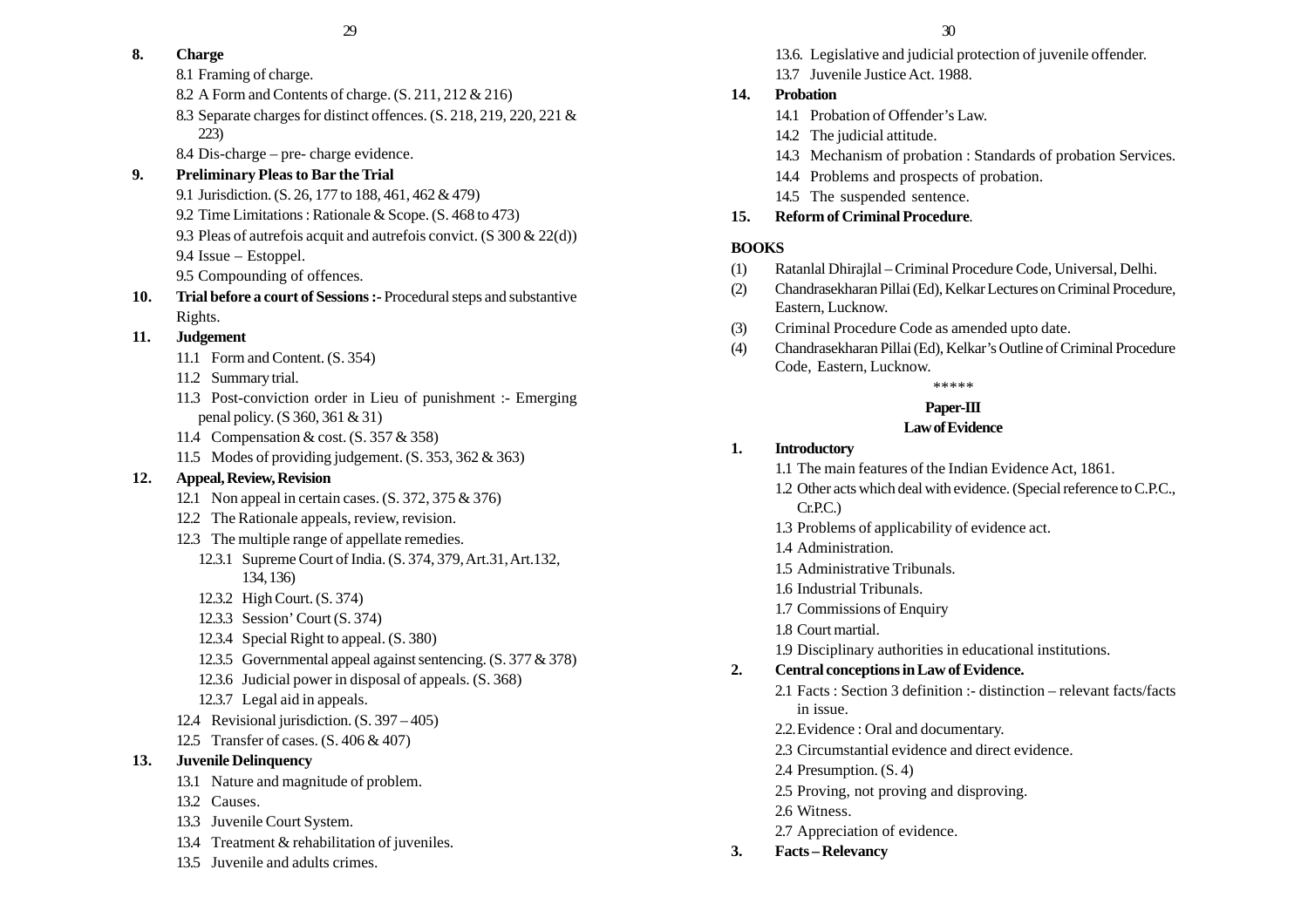# **8. Charge**

- 8.1 Framing of charge.
- 8.2 A Form and Contents of charge. (S. 211, 212 & 216)
- 8.3 Separate charges for distinct offences. (S. 218, 219, 220, 221 & 223)
- 8.4 Dis-charge pre- charge evidence.

# **9. Preliminary Pleas to Bar the Trial**

- 9.1 Jurisdiction. (S. 26, 177 to 188, 461, 462 & 479)
- 9.2 Time Limitations : Rationale & Scope. (S. 468 to 473)
- 9.3 Pleas of autrefois acquit and autrefois convict. (S 300 & 22(d))
- 9.4 Issue Estoppel.
- 9.5 Compounding of offences.
- **10. Trial before a court of Sessions :-** Procedural steps and substantive Rights.

# **11. Judgement**

- 11.1 Form and Content. (S. 354)
- 11.2 Summary trial.
- 11.3 Post-conviction order in Lieu of punishment :- Emerging penal policy. (S 360, 361 & 31)
- 11.4 Compensation & cost. (S. 357 & 358)
- 11.5 Modes of providing judgement. (S. 353, 362 & 363)

# **12. Appeal, Review, Revision**

- 12.1 Non appeal in certain cases. (S. 372, 375 & 376)
- 12.2 The Rationale appeals, review, revision.
- 12.3 The multiple range of appellate remedies.
	- 12.3.1 Supreme Court of India. (S. 374, 379, Art.31, Art.132, 134, 136)
	- 12.3.2 High Court. (S. 374)
	- 12.3.3 Session' Court (S. 374)
	- 12.3.4 Special Right to appeal. (S. 380)
	- 12.3.5 Governmental appeal against sentencing. (S. 377 & 378)
	- 12.3.6 Judicial power in disposal of appeals. (S. 368)
	- 12.3.7 Legal aid in appeals.
- 12.4 Revisional jurisdiction. (S. 397 405)
- 12.5 Transfer of cases. (S. 406 & 407)
- **13. Juvenile Delinquency**
	- 13.1 Nature and magnitude of problem.
	- 13.2 Causes.
	- 13.3 Juvenile Court System.
	- 13.4 Treatment & rehabilitation of juveniles.
	- 13.5 Juvenile and adults crimes.
- 13.6. Legislative and judicial protection of juvenile offender.
- 13.7 Juvenile Justice Act. 1988.

# **14. Probation**

- 14.1 Probation of Offender's Law.
- 14.2 The judicial attitude.
- 14.3 Mechanism of probation : Standards of probation Services.
- 14.4 Problems and prospects of probation.
- 14.5 The suspended sentence.

# **15. Reform of Criminal Procedure**.

# **BOOKS**

- (1) Ratanlal Dhirajlal Criminal Procedure Code, Universal, Delhi.
- (2) Chandrasekharan Pillai (Ed), Kelkar Lectures on Criminal Procedure, Eastern, Lucknow.
- (3) Criminal Procedure Code as amended upto date.
- (4) Chandrasekharan Pillai (Ed), Kelkar's Outline of Criminal Procedure Code, Eastern, Lucknow.

# \*\*\*\*\*

# **Paper-III**

# **Law of Evidence**

# **1. Introductory**

- 1.1 The main features of the Indian Evidence Act, 1861.
- 1.2 Other acts which deal with evidence. (Special reference to C.P.C.,  $Cr.P.C.$ )
- 1.3 Problems of applicability of evidence act.
- 1.4 Administration.
- 1.5 Administrative Tribunals.
- 1.6 Industrial Tribunals.
- 1.7 Commissions of Enquiry
- 1.8 Court martial.
- 1.9 Disciplinary authorities in educational institutions.

# **2. Central conceptions in Law of Evidence.**

- 2.1 Facts : Section 3 definition :- distinction relevant facts/facts in issue.
- 2.2.Evidence : Oral and documentary.
- 2.3 Circumstantial evidence and direct evidence.
- 2.4 Presumption. (S. 4)
- 2.5 Proving, not proving and disproving.
- 2.6 Witness.
- 2.7 Appreciation of evidence.
- **3. Facts Relevancy**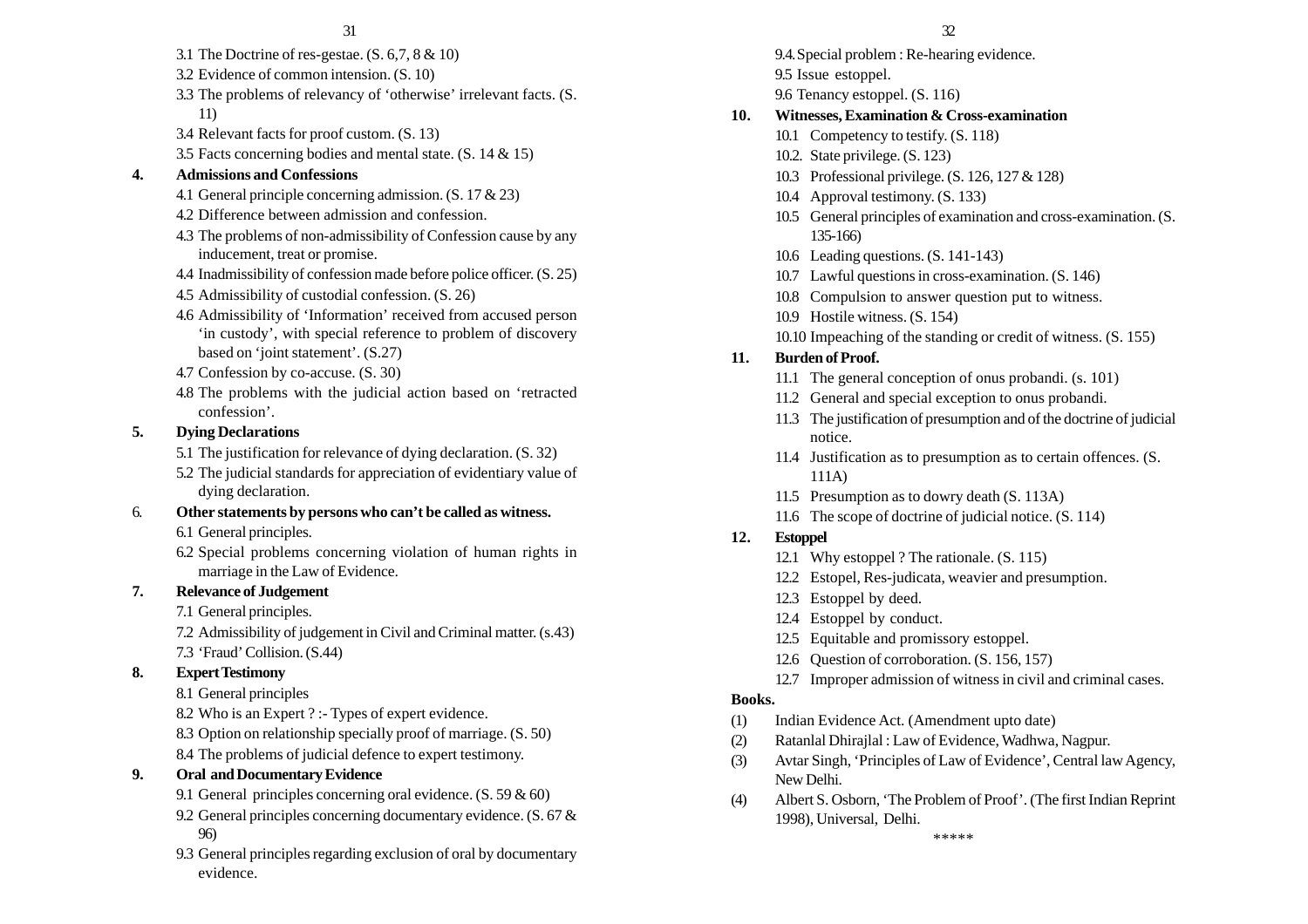- 3.1 The Doctrine of res-gestae. (S. 6,7, 8 & 10)
- 3.2 Evidence of common intension. (S. 10)
- 3.3 The problems of relevancy of 'otherwise' irrelevant facts. (S. 11)
- 3.4 Relevant facts for proof custom. (S. 13)
- 3.5 Facts concerning bodies and mental state. (S. 14 & 15)

#### **4. Admissions and Confessions**

- 4.1 General principle concerning admission. (S. 17 & 23)
- 4.2 Difference between admission and confession.
- 4.3 The problems of non-admissibility of Confession cause by any inducement, treat or promise.
- 4.4 Inadmissibility of confession made before police officer. (S. 25)
- 4.5 Admissibility of custodial confession. (S. 26)
- 4.6 Admissibility of 'Information' received from accused person 'in custody', with special reference to problem of discovery based on 'joint statement'. (S.27)
- 4.7 Confession by co-accuse. (S. 30)
- 4.8 The problems with the judicial action based on 'retracted confession'.

#### **5. Dying Declarations**

5.1 The justification for relevance of dying declaration. (S. 32)

5.2 The judicial standards for appreciation of evidentiary value of dying declaration.

#### 6. **Other statements by persons who can't be called as witness.**

6.1 General principles.

6.2 Special problems concerning violation of human rights in marriage in the Law of Evidence.

#### **7. Relevance of Judgement**

7.1 General principles.

7.2 Admissibility of judgement in Civil and Criminal matter. (s.43)

7.3 'Fraud' Collision. (S.44)

#### **8. Expert Testimony**

8.1 General principles

8.2 Who is an Expert ? :- Types of expert evidence.

8.3 Option on relationship specially proof of marriage. (S. 50)

8.4 The problems of judicial defence to expert testimony.

#### **9. Oral and Documentary Evidence**

- 9.1 General principles concerning oral evidence. (S. 59 & 60)
- 9.2 General principles concerning documentary evidence. (S. 67 & 96)
- 9.3 General principles regarding exclusion of oral by documentary evidence.

9.4.Special problem : Re-hearing evidence. 9.5 Issue estoppel.

# 9.6 Tenancy estoppel. (S. 116)

## **10. Witnesses, Examination & Cross-examination**

- 10.1 Competency to testify. (S. 118)
- 10.2. State privilege. (S. 123)
- 10.3 Professional privilege. (S. 126, 127 & 128)
- 10.4 Approval testimony. (S. 133)
- 10.5 General principles of examination and cross-examination. (S. 135-166)
- 10.6 Leading questions. (S. 141-143)
- 10.7 Lawful questions in cross-examination. (S. 146)
- 10.8 Compulsion to answer question put to witness.
- 10.9 Hostile witness. (S. 154)
- 10.10 Impeaching of the standing or credit of witness. (S. 155)

## **11. Burden of Proof.**

- 11.1 The general conception of onus probandi. (s. 101)
- 11.2 General and special exception to onus probandi.
- 11.3 The justification of presumption and of the doctrine of judicial notice.
- 11.4 Justification as to presumption as to certain offences. (S. 111A)
- 11.5 Presumption as to dowry death (S. 113A)
- 11.6 The scope of doctrine of judicial notice. (S. 114)

## **12. Estoppel**

- 12.1 Why estoppel ? The rationale. (S. 115)
- 12.2 Estopel, Res-judicata, weavier and presumption.
- 12.3 Estoppel by deed.
- 12.4 Estoppel by conduct.
- 12.5 Equitable and promissory estoppel.
- 12.6 Question of corroboration. (S. 156, 157)
- 12.7 Improper admission of witness in civil and criminal cases.

## **Books.**

- (1) Indian Evidence Act. (Amendment upto date)
- (2) Ratanlal Dhirajlal : Law of Evidence, Wadhwa, Nagpur.
- (3) Avtar Singh, 'Principles of Law of Evidence', Central law Agency, New Delhi.
- (4) Albert S. Osborn, 'The Problem of Proof'. (The first Indian Reprint 1998), Universal, Delhi.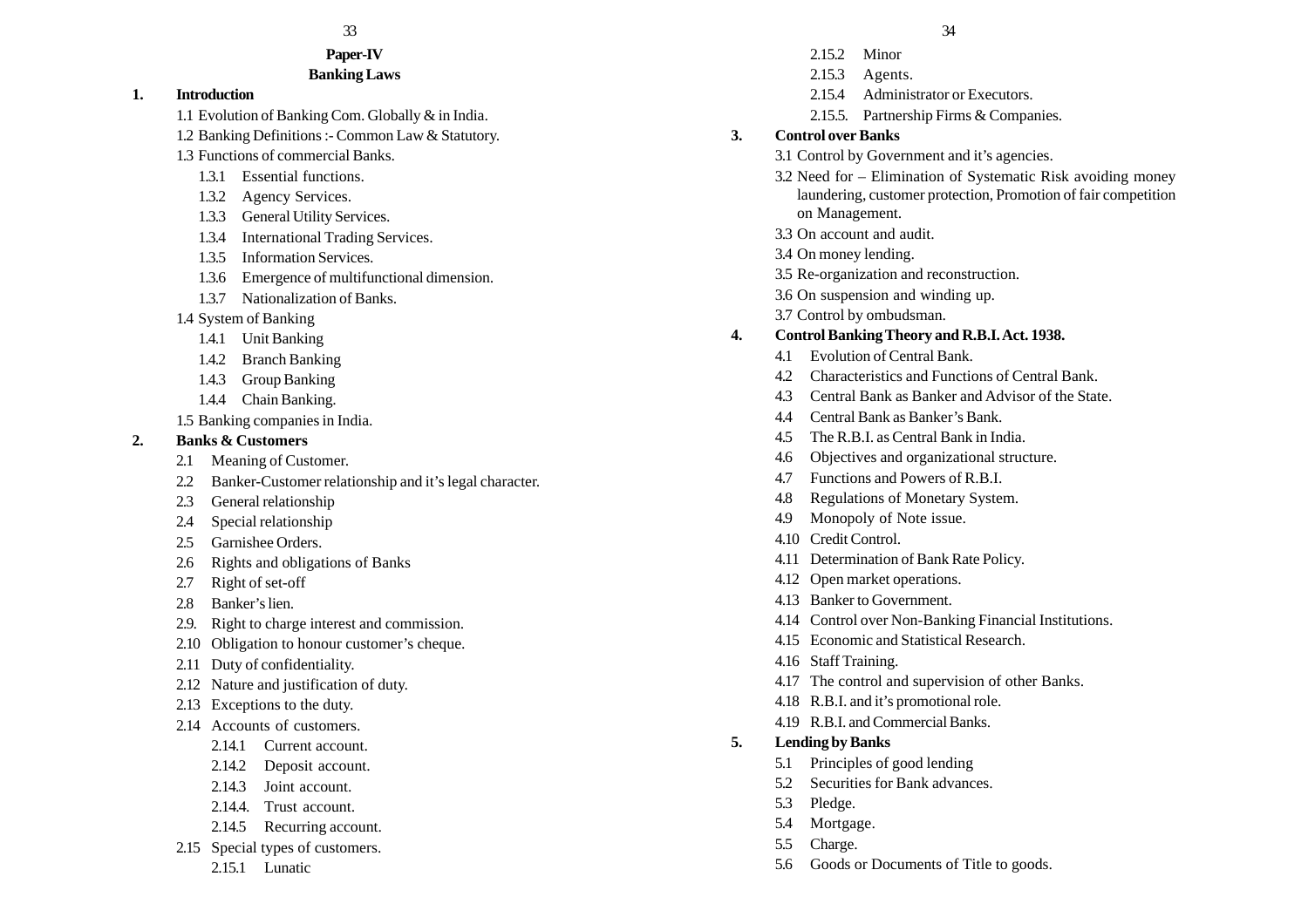#### **Paper-IV Banking Laws**

#### **1. Introduction**

1.1 Evolution of Banking Com. Globally & in India.

- 1.2 Banking Definitions :- Common Law & Statutory.
- 1.3 Functions of commercial Banks.
	- 1.3.1 Essential functions.
	- 1.3.2 Agency Services.
	- 1.3.3 General Utility Services.
	- 1.3.4 International Trading Services.
	- 1.3.5 Information Services.
	- 1.3.6 Emergence of multifunctional dimension.
	- 1.3.7 Nationalization of Banks.
- 1.4 System of Banking
	- 1.4.1 Unit Banking
	- 1.4.2 Branch Banking
	- 1.4.3 Group Banking
	- 1.4.4 Chain Banking.
- 1.5 Banking companies in India.

## **2. Banks & Customers**

- 2.1 Meaning of Customer.
- 2.2 Banker-Customer relationship and it's legal character.
- 2.3 General relationship
- 2.4 Special relationship
- 2.5 Garnishee Orders.
- 2.6 Rights and obligations of Banks
- 2.7 Right of set-off
- 2.8 Banker's lien.
- 2.9. Right to charge interest and commission.
- 2.10 Obligation to honour customer's cheque.
- 2.11 Duty of confidentiality.
- 2.12 Nature and justification of duty.
- 2.13 Exceptions to the duty.
- 2.14 Accounts of customers.
	- 2.14.1 Current account.
	- 2.14.2 Deposit account.
	- 2.14.3 Joint account.
	- 2.14.4. Trust account.
	- 2.14.5 Recurring account.
- 2.15 Special types of customers.
	- 2.15.1 Lunatic
- $33$  33
	- 2.15.2 Minor
	- 2.15.3 Agents.
	- 2.15.4 Administrator or Executors.
	- 2.15.5. Partnership Firms & Companies.

# **3. Control over Banks**

- 3.1 Control by Government and it's agencies.
- 3.2 Need for Elimination of Systematic Risk avoiding money laundering, customer protection, Promotion of fair competition on Management.
- 3.3 On account and audit.
- 3.4 On money lending.
- 3.5 Re-organization and reconstruction.
- 3.6 On suspension and winding up.
- 3.7 Control by ombudsman.

# **4. Control Banking Theory and R.B.I. Act. 1938.**

- 4.1 Evolution of Central Bank.
- 4.2 Characteristics and Functions of Central Bank.
- 4.3 Central Bank as Banker and Advisor of the State.
- 4.4 Central Bank as Banker's Bank.
- 4.5 The R.B.I. as Central Bank in India.
- 4.6 Objectives and organizational structure.
- 4.7 Functions and Powers of R.B.I.
- 4.8 Regulations of Monetary System.
- 4.9 Monopoly of Note issue.
- 4.10 Credit Control.
- 4.11 Determination of Bank Rate Policy.
- 4.12 Open market operations.
- 4.13 Banker to Government.
- 4.14 Control over Non-Banking Financial Institutions.
- 4.15 Economic and Statistical Research.
- 4.16 Staff Training.
- 4.17 The control and supervision of other Banks.
- 4.18 R.B.I. and it's promotional role.
- 4.19 R.B.I. and Commercial Banks.
- **5. Lending by Banks**
	- 5.1 Principles of good lending
	- 5.2 Securities for Bank advances
	- 5.3 Pledge.
	- 5.4 Mortgage.
	- 5.5 Charge.
	- 5.6 Goods or Documents of Title to goods.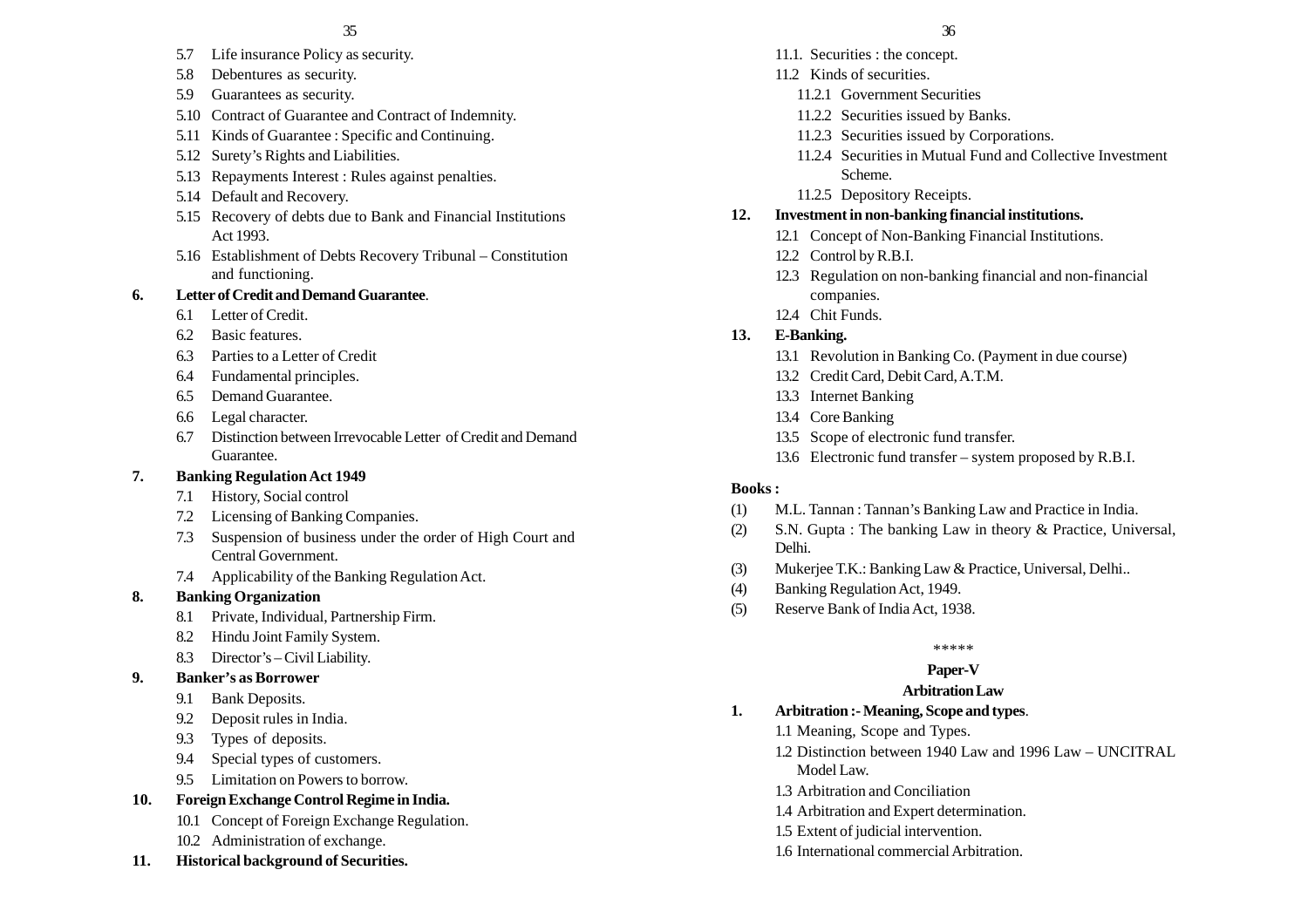- 5.7 Life insurance Policy as security.
- 5.8 Debentures as security.
- 5.9 Guarantees as security.
- 5.10 Contract of Guarantee and Contract of Indemnity.
- 5.11 Kinds of Guarantee : Specific and Continuing.
- 5.12 Surety's Rights and Liabilities.
- 5.13 Repayments Interest : Rules against penalties.
- 5.14 Default and Recovery.
- 5.15 Recovery of debts due to Bank and Financial Institutions Act 1993.
- 5.16 Establishment of Debts Recovery Tribunal Constitution and functioning.

## **6. Letter of Credit and Demand Guarantee**.

- 6.1 Letter of Credit.
- 6.2 Basic features.
- 6.3 Parties to a Letter of Credit
- 6.4 Fundamental principles.
- 6.5 Demand Guarantee.
- 6.6 Legal character.
- 6.7 Distinction between Irrevocable Letter of Credit and Demand Guarantee.

# **7. Banking Regulation Act 1949**

- 7.1 History, Social control
- 7.2 Licensing of Banking Companies.
- 7.3 Suspension of business under the order of High Court and Central Government.
- 7.4 Applicability of the Banking Regulation Act.

# **8. Banking Organization**

- 8.1 Private, Individual, Partnership Firm.
- 8.2 Hindu Joint Family System.
- 8.3 Director's Civil Liability.

# **9. Banker's as Borrower**

- 9.1 Bank Deposits.
- 9.2 Deposit rules in India.
- 9.3 Types of deposits.
- 9.4 Special types of customers.
- 9.5 Limitation on Powers to borrow.
- **10. Foreign Exchange Control Regime in India.**
	- 10.1 Concept of Foreign Exchange Regulation.
	- 10.2 Administration of exchange.
- **11. Historical background of Securities.**
- 11.1. Securities : the concept.
- 11.2 Kinds of securities.
	- 11.2.1 Government Securities
	- 11.2.2 Securities issued by Banks.
	- 11.2.3 Securities issued by Corporations.
	- 11.2.4 Securities in Mutual Fund and Collective Investment Scheme.
	- 11.2.5 Depository Receipts.

# **12. Investment in non-banking financial institutions.**

- 12.1 Concept of Non-Banking Financial Institutions.
- 12.2 Control by R.B.I.
- 12.3 Regulation on non-banking financial and non-financial companies.
- 12.4 Chit Funds.

# **13. E-Banking.**

- 13.1 Revolution in Banking Co. (Payment in due course)
- 13.2 Credit Card, Debit Card, A.T.M.
- 13.3 Internet Banking
- 13.4 Core Banking
- 13.5 Scope of electronic fund transfer.
- 13.6 Electronic fund transfer system proposed by R.B.I.

# **Books :**

- (1) M.L. Tannan : Tannan's Banking Law and Practice in India.
- (2) S.N. Gupta : The banking Law in theory & Practice, Universal, Delhi.
- (3) Mukerjee T.K.: Banking Law & Practice, Universal, Delhi..
- (4) Banking Regulation Act, 1949.
- (5) Reserve Bank of India Act, 1938.

## \*\*\*\*\*

# **Paper-V**

# **Arbitration Law**

# **1. Arbitration :- Meaning, Scope and types**.

- 1.1 Meaning, Scope and Types.
- 1.2 Distinction between 1940 Law and 1996 Law UNCITRAL Model Law.
- 1.3 Arbitration and Conciliation
- 1.4 Arbitration and Expert determination.
- 1.5 Extent of judicial intervention.
- 1.6 International commercial Arbitration.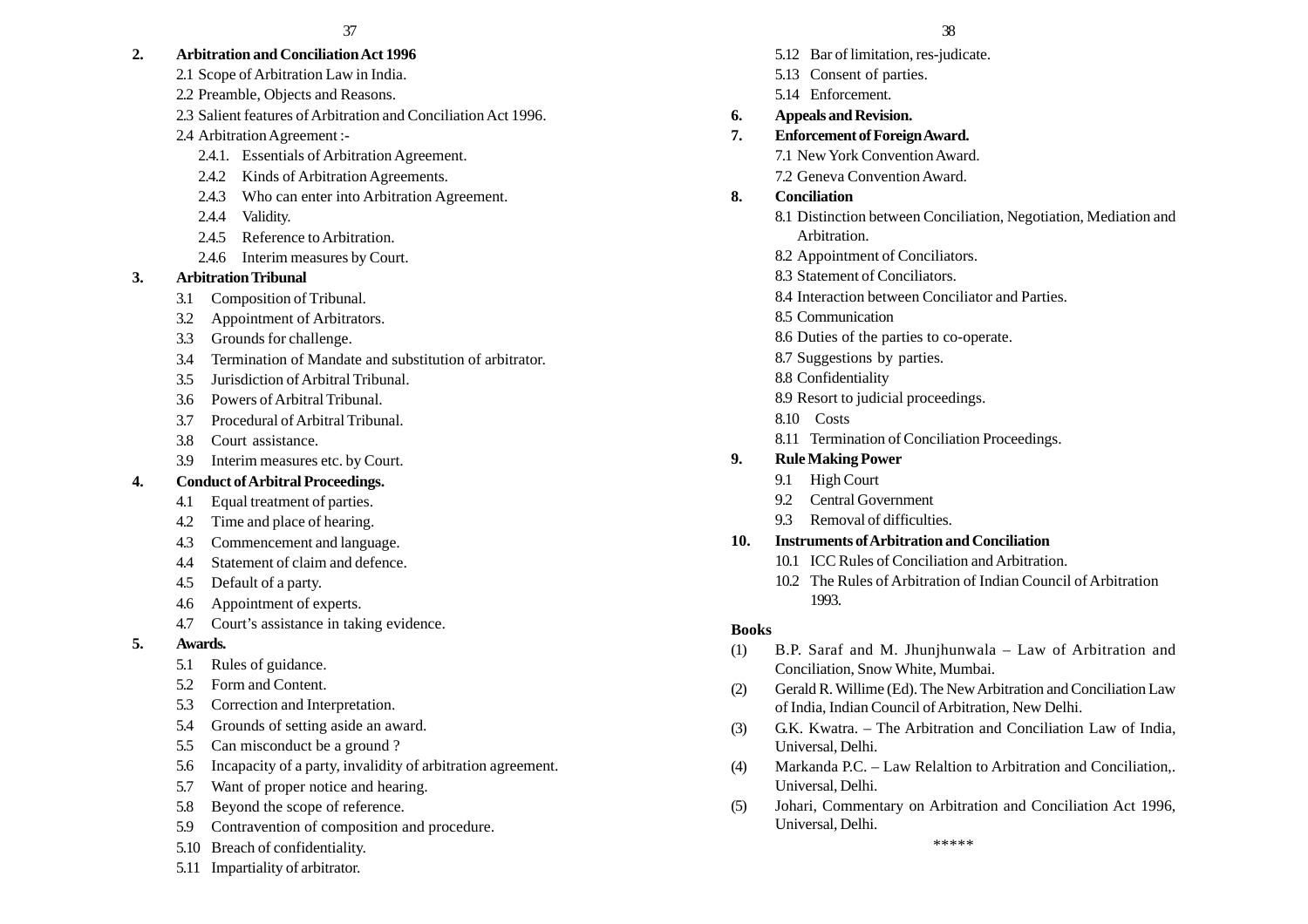## **2. Arbitration and Conciliation Act 1996**

- 2.1 Scope of Arbitration Law in India.
- 2.2 Preamble, Objects and Reasons.
- 2.3 Salient features of Arbitration and Conciliation Act 1996.
- 2.4 Arbitration Agreement :-
	- 2.4.1. Essentials of Arbitration Agreement.
	- 2.4.2 Kinds of Arbitration Agreements.
	- 2.4.3 Who can enter into Arbitration Agreement.
	- 2.4.4 Validity.
	- 2.4.5 Reference to Arbitration.
	- 2.4.6 Interim measures by Court.

# **3. Arbitration Tribunal**

- 3.1 Composition of Tribunal.
- 3.2 Appointment of Arbitrators.
- 3.3 Grounds for challenge.
- 3.4 Termination of Mandate and substitution of arbitrator.
- 3.5 Jurisdiction of Arbitral Tribunal.
- 3.6 Powers of Arbitral Tribunal.
- 3.7 Procedural of Arbitral Tribunal.
- 3.8 Court assistance.
- 3.9 Interim measures etc. by Court.

# **4. Conduct of Arbitral Proceedings.**

- 4.1 Equal treatment of parties.
- 4.2 Time and place of hearing.
- 4.3 Commencement and language.
- 4.4 Statement of claim and defence.
- 4.5 Default of a party.
- 4.6 Appointment of experts.
- 4.7 Court's assistance in taking evidence.
- **5. Awards.**
	- 5.1 Rules of guidance.
	- 5.2 Form and Content.
	- 5.3 Correction and Interpretation.
	- 5.4 Grounds of setting aside an award.
	- 5.5 Can misconduct be a ground ?
	- 5.6 Incapacity of a party, invalidity of arbitration agreement.
	- 5.7 Want of proper notice and hearing.
	- 5.8 Beyond the scope of reference.
	- 5.9 Contravention of composition and procedure.
	- 5.10 Breach of confidentiality.
	- 5.11 Impartiality of arbitrator.

#### $37$  37

- 5.12 Bar of limitation, res-judicate.
- 5.13 Consent of parties.
- 5.14 Enforcement.
- **6. Appeals and Revision.**
- **7. Enforcement of Foreign Award.**
	- 7.1 New York Convention Award.
	- 7.2 Geneva Convention Award.

# **8. Conciliation**

- 8.1 Distinction between Conciliation, Negotiation, Mediation and Arbitration.
- 8.2 Appointment of Conciliators.
- 8.3 Statement of Conciliators.
- 8.4 Interaction between Conciliator and Parties.
- 8.5 Communication
- 8.6 Duties of the parties to co-operate.
- 8.7 Suggestions by parties.
- 8.8 Confidentiality
- 8.9 Resort to judicial proceedings.
- 8.10 Costs
- 8.11 Termination of Conciliation Proceedings.

# **9. Rule Making Power**

- 9.1 High Court
- 9.2 Central Government
- 9.3 Removal of difficulties.

# **10. Instruments of Arbitration and Conciliation**

- 10.1 ICC Rules of Conciliation and Arbitration.
- 10.2 The Rules of Arbitration of Indian Council of Arbitration 1993.

# **Books**

- (1) B.P. Saraf and M. Jhunjhunwala Law of Arbitration and Conciliation, Snow White, Mumbai.
- (2) Gerald R. Willime (Ed). The New Arbitration and Conciliation Law of India, Indian Council of Arbitration, New Delhi.
- (3) G.K. Kwatra. The Arbitration and Conciliation Law of India, Universal, Delhi.
- (4) Markanda P.C. Law Relaltion to Arbitration and Conciliation,. Universal, Delhi.
- (5) Johari, Commentary on Arbitration and Conciliation Act 1996, Universal, Delhi.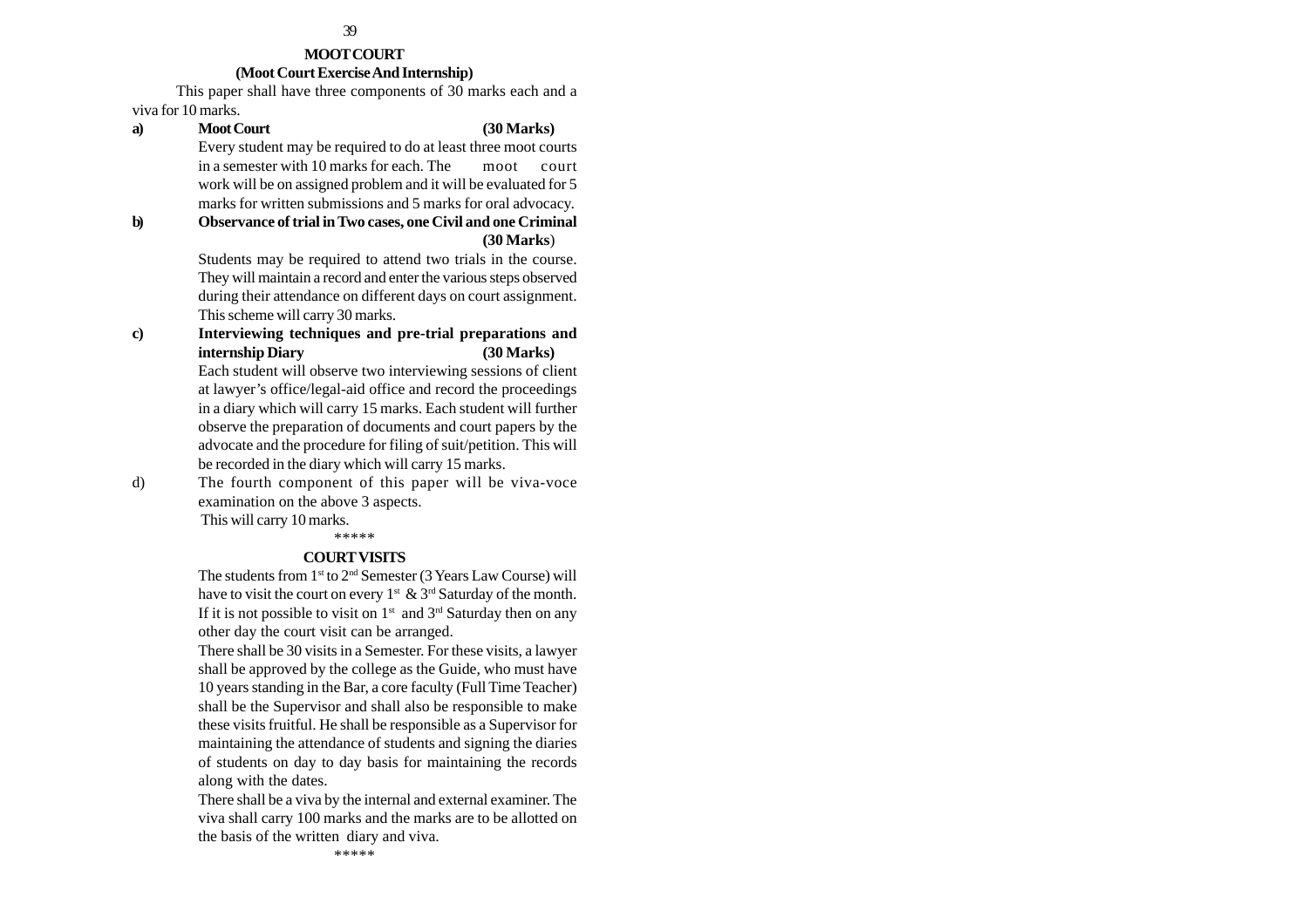#### **MOOT COURT (Moot Court Exercise And Internship)**

This paper shall have three components of 30 marks each and a viva for 10 marks.

**a) Moot Court (30 Marks)** Every student may be required to do at least three moot courts in a semester with 10 marks for each. The moot court work will be on assigned problem and it will be evaluated for 5 marks for written submissions and 5 marks for oral advocacy. **b) Observance of trial in Two cases, one Civil and one Criminal (30 Marks**) Students may be required to attend two trials in the course. They will maintain a record and enter the various steps observed during their attendance on different days on court assignment. This scheme will carry 30 marks. **c) Interviewing techniques and pre-trial preparations and internship Diary (30 Marks)** Each student will observe two interviewing sessions of client at lawyer's office/legal-aid office and record the proceedings in a diary which will carry 15 marks. Each student will further observe the preparation of documents and court papers by the advocate and the procedure for filing of suit/petition. This will be recorded in the diary which will carry 15 marks. d) The fourth component of this paper will be viva-voce examination on the above 3 aspects.

 This will carry 10 marks. \*\*\*\*\*

#### **COURT VISITS**

The students from  $1<sup>st</sup>$  to  $2<sup>nd</sup>$  Semester (3 Years Law Course) will have to visit the court on every  $1^{st} \& 3^{rd}$  Saturday of the month. If it is not possible to visit on  $1<sup>st</sup>$  and  $3<sup>rd</sup>$  Saturday then on any other day the court visit can be arranged.

There shall be 30 visits in a Semester. For these visits, a lawyer shall be approved by the college as the Guide, who must have 10 years standing in the Bar, a core faculty (Full Time Teacher) shall be the Supervisor and shall also be responsible to make these visits fruitful. He shall be responsible as a Supervisor for maintaining the attendance of students and signing the diaries of students on day to day basis for maintaining the records along with the dates.

There shall be a viva by the internal and external examiner. The viva shall carry 100 marks and the marks are to be allotted on the basis of the written diary and viva.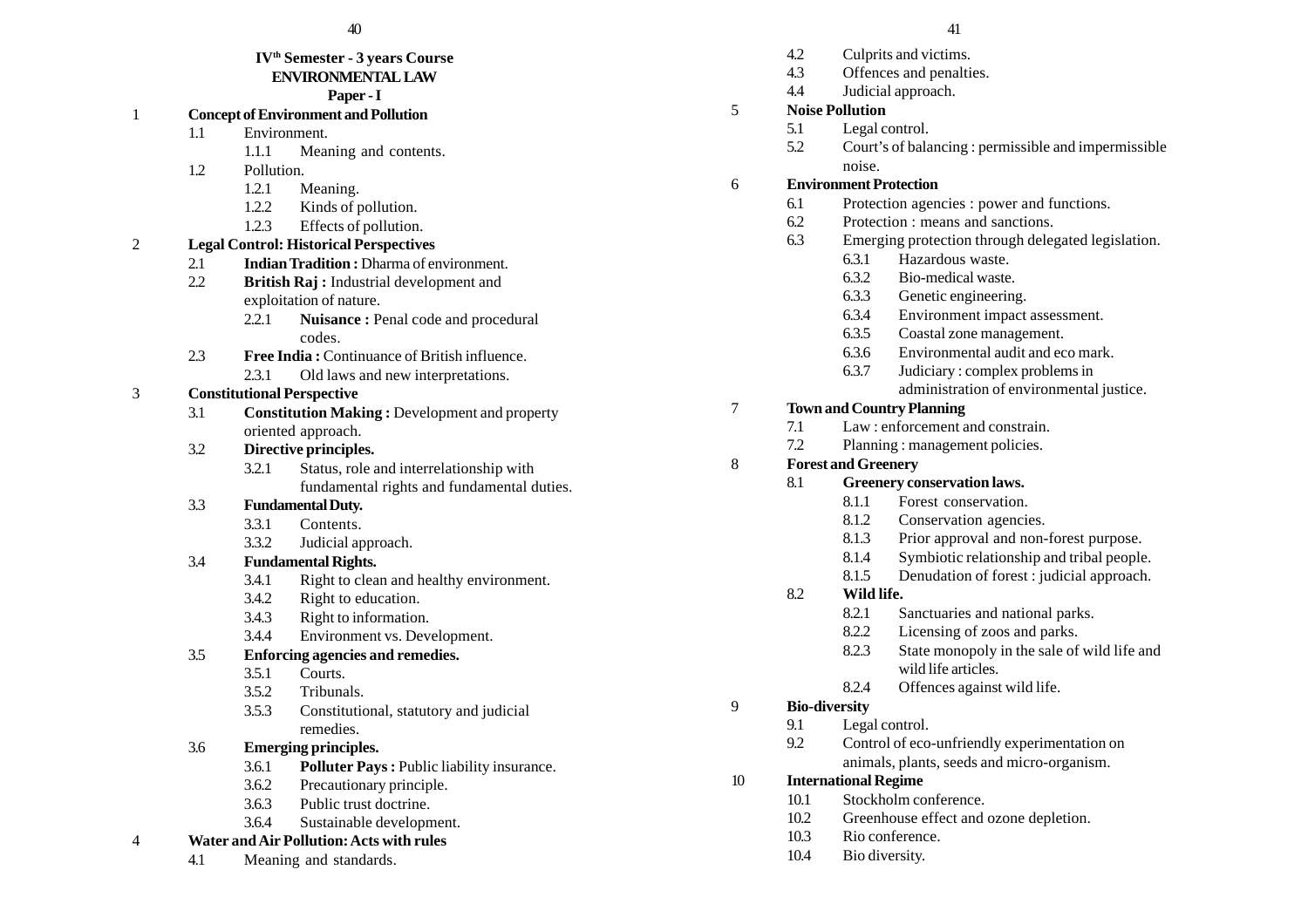#### **IVth Semester - 3 years Course ENVIRONMENTAL LAW**

## **Paper - I**

- 1 **Concept of Environment and Pollution**
	- 1.1 Environment.
		- 1.1.1 Meaning and contents.
	- 1.2 Pollution.
		- 1.2.1 Meaning.
		- 1.2.2 Kinds of pollution.
		- 1.2.3 Effects of pollution.

# 2 **Legal Control: Historical Perspectives**

- 2.1 **Indian Tradition :** Dharma of environment.
- 2.2 **British Raj :** Industrial development and exploitation of nature.
	- 2.2.1 **Nuisance :** Penal code and procedural codes.
- 2.3 **Free India :** Continuance of British influence.
	- 2.3.1 Old laws and new interpretations.

# 3 **Constitutional Perspective**

3.1 **Constitution Making :** Development and property oriented approach.

# 3.2 **Directive principles.**

3.2.1 Status, role and interrelationship with fundamental rights and fundamental duties.

# 3.3 **Fundamental Duty.**

- 3.3.1 Contents.
- 3.3.2 Judicial approach.

# 3.4 **Fundamental Rights.**

- 3.4.1 Right to clean and healthy environment.
- 3.4.2 Right to education.
- 3.4.3 Right to information.
- 3.4.4 Environment vs. Development.

# 3.5 **Enforcing agencies and remedies.**

- 3.5.1 Courts.
- 3.5.2 Tribunals.
- 3.5.3 Constitutional, statutory and judicial remedies.

# 3.6 **Emerging principles.**

- 3.6.1 **Polluter Pays :** Public liability insurance.
- 3.6.2 Precautionary principle.
- 3.6.3 Public trust doctrine.
- 3.6.4 Sustainable development.

# 4 **Water and Air Pollution: Acts with rules**

4.1 Meaning and standards.

- 4.2 Culprits and victims.
- 4.3 Offences and penalties.
- 4.4 Judicial approach.
- 5 **Noise Pollution**
	- 5.1 Legal control.
	- 5.2 Court's of balancing : permissible and impermissible noise.

# 6 **Environment Protection**

- 6.1 Protection agencies : power and functions.
- 6.2 Protection : means and sanctions.
- 6.3 Emerging protection through delegated legislation.
	- 6.3.1 Hazardous waste.
	- 6.3.2 Bio-medical waste.
	- 6.3.3 Genetic engineering.
	- 6.3.4 Environment impact assessment.
	- 6.3.5 Coastal zone management.
	- 6.3.6 Environmental audit and eco mark.
	- 6.3.7 Judiciary : complex problems in administration of environmental justice.

# 7 **Town and Country Planning**

- 7.1 Law : enforcement and constrain.
- 7.2 Planning : management policies.

# 8 **Forest and Greenery**

- 8.1 **Greenery conservation laws.**
	- 8.1.1 Forest conservation.
	- 8.1.2 Conservation agencies.
	- 8.1.3 Prior approval and non-forest purpose.
	- 8.1.4 Symbiotic relationship and tribal people.
	- 8.1.5 Denudation of forest : judicial approach.

# 8.2 **Wild life.**

- 8.2.1 Sanctuaries and national parks.
- 8.2.2 Licensing of zoos and parks.
- 8.2.3 State monopoly in the sale of wild life and wild life articles.
- 8.2.4 Offences against wild life.

# 9 **Bio-diversity**

- 9.1 Legal control.
- 9.2 Control of eco-unfriendly experimentation on animals, plants, seeds and micro-organism.

# 10 **International Regime**

- 10.1 Stockholm conference.
- 10.2 Greenhouse effect and ozone depletion.
- 10.3 Rio conference.
- 10.4 Bio diversity.
- 
- - -
- -
	-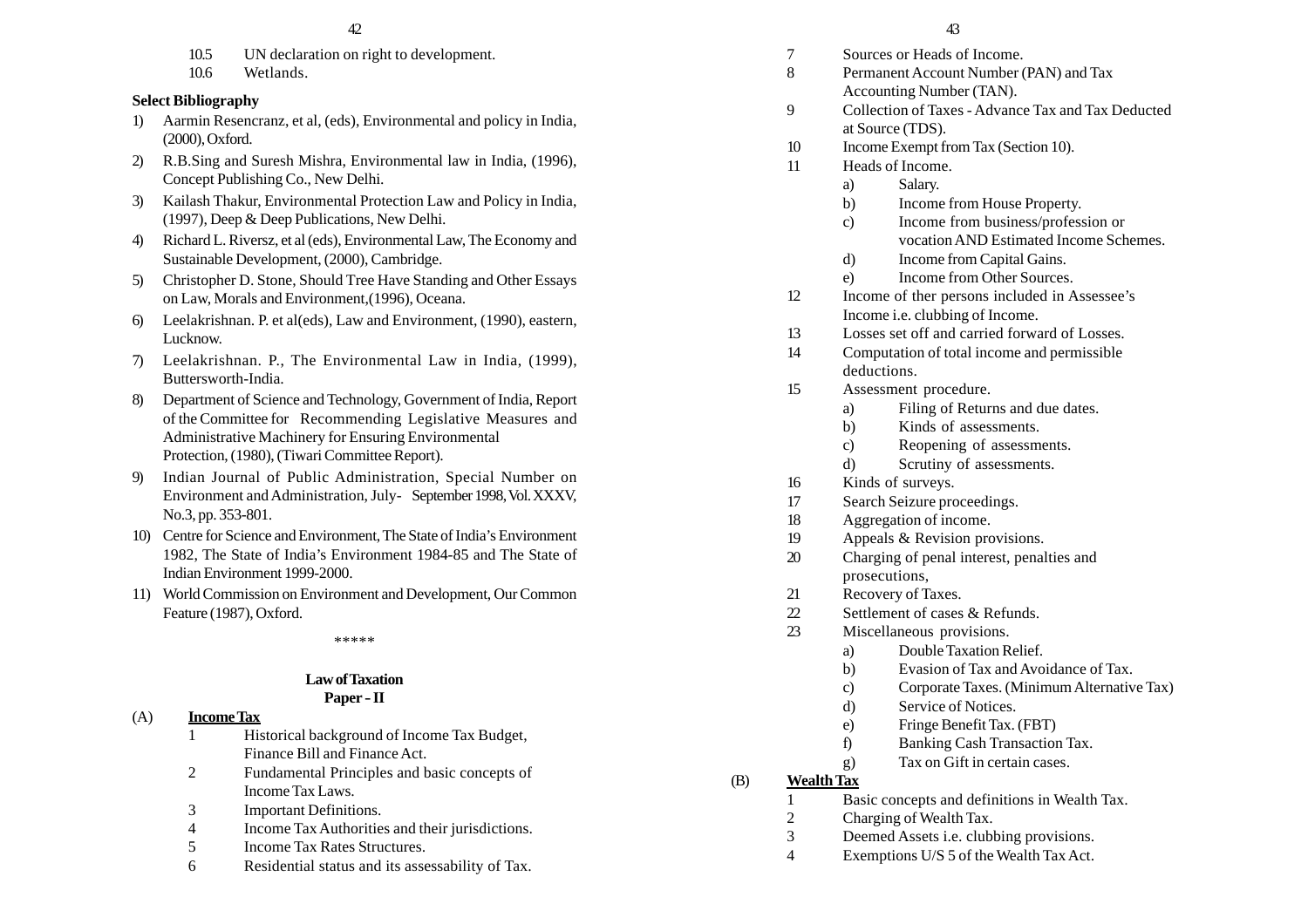- 10.5 UN declaration on right to development.
- 10.6 Wetlands.

# **Select Bibliography**

- 1) Aarmin Resencranz, et al, (eds), Environmental and policy in India, (2000), Oxford.
- 2) R.B.Sing and Suresh Mishra, Environmental law in India, (1996), Concept Publishing Co., New Delhi.
- 3) Kailash Thakur, Environmental Protection Law and Policy in India, (1997), Deep & Deep Publications, New Delhi.
- 4) Richard L. Riversz, et al (eds), Environmental Law, The Economy and Sustainable Development, (2000), Cambridge.
- 5) Christopher D. Stone, Should Tree Have Standing and Other Essays on Law, Morals and Environment,(1996), Oceana.
- 6) Leelakrishnan. P. et al(eds), Law and Environment, (1990), eastern, Lucknow.
- 7) Leelakrishnan. P., The Environmental Law in India, (1999), Buttersworth-India.
- 8) Department of Science and Technology, Government of India, Report of the Committee for Recommending Legislative Measures and Administrative Machinery for Ensuring Environmental Protection, (1980), (Tiwari Committee Report).
- 9) Indian Journal of Public Administration, Special Number on Environment and Administration, July- September 1998, Vol. XXXV, No.3, pp. 353-801.
- 10) Centre for Science and Environment, The State of India's Environment 1982, The State of India's Environment 1984-85 and The State of Indian Environment 1999-2000.
- 11) World Commission on Environment and Development, Our Common Feature (1987), Oxford.

\*\*\*\*\*

# **Law of Taxation**

## **Paper -II**

- (A) **Income Tax** 1 Historical background of Income Tax Budget,
	- Finance Bill and Finance Act.
	- 2 Fundamental Principles and basic concepts of Income Tax Laws.
	- 3 Important Definitions.
	- 4 Income Tax Authorities and their jurisdictions.
	- 5 Income Tax Rates Structures.
	- 6 Residential status and its assessability of Tax.
- 7 Sources or Heads of Income.
- 8 Permanent Account Number (PAN) and Tax
- Accounting Number (TAN).
- 9 Collection of Taxes Advance Tax and Tax Deducted at Source (TDS).
- 10 Income Exempt from Tax (Section 10).
- 11 Heads of Income.
	- a) Salary.
	- b) Income from House Property.
	- c) Income from business/profession or vocation AND Estimated Income Schemes.
	- d) Income from Capital Gains.
	- e) Income from Other Sources.
- 12 Income of ther persons included in Assessee's Income i.e. clubbing of Income.
- 13 Losses set off and carried forward of Losses.
- 14 Computation of total income and permissible deductions.
- 15 Assessment procedure.
	- a) Filing of Returns and due dates.
	- b) Kinds of assessments.
	- c) Reopening of assessments.
	- d) Scrutiny of assessments.
- 16 Kinds of surveys.
- 17 Search Seizure proceedings.
- 18 Aggregation of income.
- 19 Appeals & Revision provisions.
- 20 Charging of penal interest, penalties and prosecutions,
- 21 Recovery of Taxes.
- 22 Settlement of cases & Refunds.
- 23 Miscellaneous provisions.
	- a) Double Taxation Relief.
	- b) Evasion of Tax and Avoidance of Tax.
	- c) Corporate Taxes. (Minimum Alternative Tax)
	- d) Service of Notices.
	- e) Fringe Benefit Tax. (FBT)
	- f) Banking Cash Transaction Tax.
	- g) Tax on Gift in certain cases.

#### (B) **Wealth Tax**

- 1 Basic concepts and definitions in Wealth Tax.
- 2 Charging of Wealth Tax.
- 3 Deemed Assets i.e. clubbing provisions.
- 4 Exemptions U/S 5 of the Wealth Tax Act.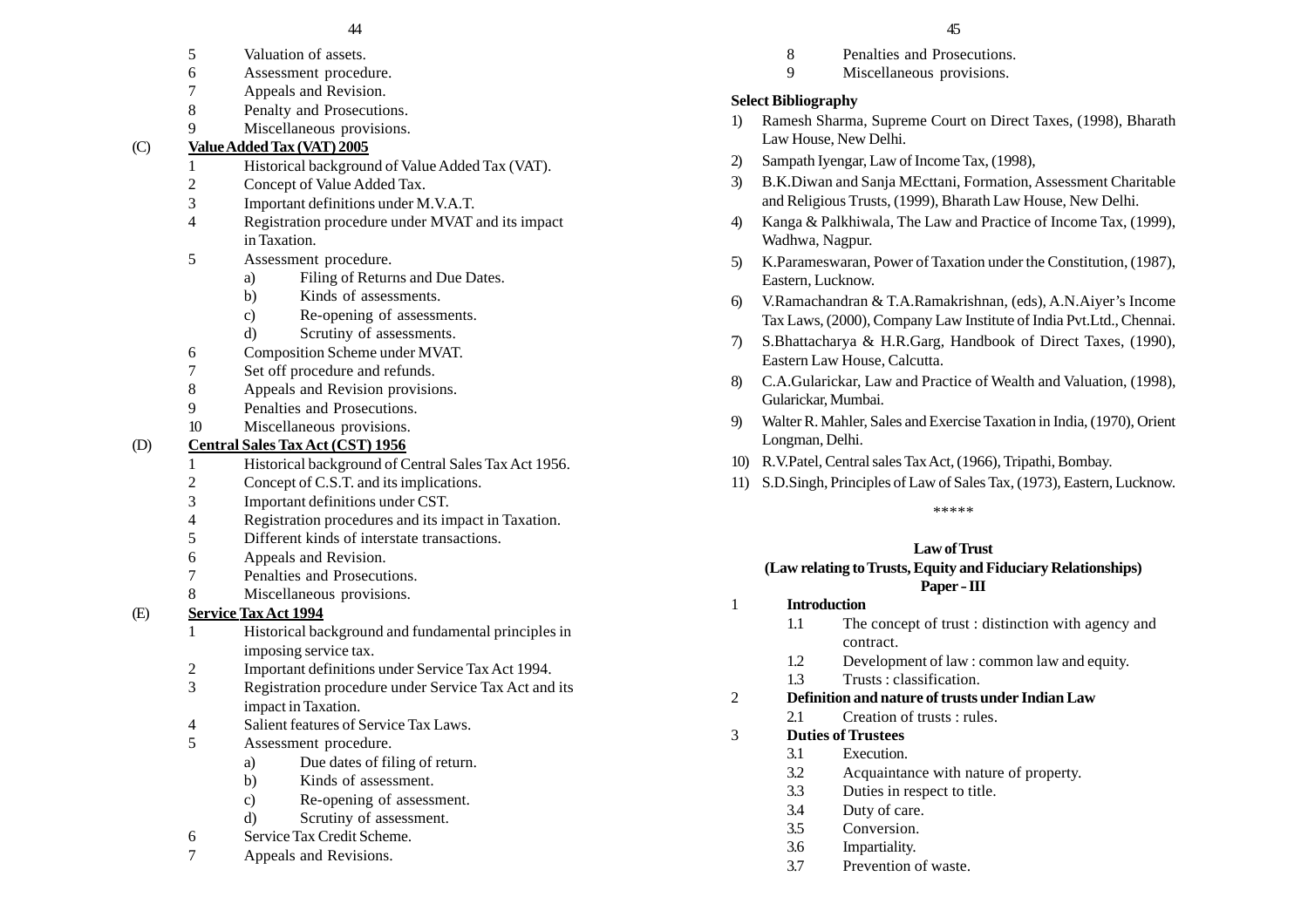- 5 Valuation of assets.
- 6 Assessment procedure.
- 7 Appeals and Revision.
- 8 Penalty and Prosecutions.
- 9 Miscellaneous provisions.

#### $(C)$ **Value Added Tax (VAT) 2005**

- 1 Historical background of Value Added Tax (VAT).
- 2 Concept of Value Added Tax.
- 3 Important definitions under M.V.A.T.
- 4 Registration procedure under MVAT and its impact in Taxation.
- 5 Assessment procedure.
	- a) Filing of Returns and Due Dates.
	- b) Kinds of assessments.
	- c) Re-opening of assessments.
	- d) Scrutiny of assessments.
- 6 Composition Scheme under MVAT.
- 7 Set off procedure and refunds.
- 8 Appeals and Revision provisions.
- 9 Penalties and Prosecutions.
- 10 Miscellaneous provisions.

# (D) **Central Sales Tax Act (CST) 1956**

- 1 Historical background of Central Sales Tax Act 1956.
- 2 Concept of C.S.T. and its implications.
- 3 Important definitions under CST.
- 4 Registration procedures and its impact in Taxation.
- 5 Different kinds of interstate transactions.
- 6 Appeals and Revision.
- 7 Penalties and Prosecutions.
- 8 Miscellaneous provisions.

# (E) **Service Tax Act 1994**

- 1 Historical background and fundamental principles in imposing service tax.
- 2 Important definitions under Service Tax Act 1994.
- 3 Registration procedure under Service Tax Act and its impact in Taxation.
- 4 Salient features of Service Tax Laws.
- 5 Assessment procedure.
	- a) Due dates of filing of return.
	- b) Kinds of assessment.
	- c) Re-opening of assessment.
	- d) Scrutiny of assessment.
- 6 Service Tax Credit Scheme.
- 7 Appeals and Revisions.
- 8 Penalties and Prosecutions.
- 9 Miscellaneous provisions.

# **Select Bibliography**

- 1) Ramesh Sharma, Supreme Court on Direct Taxes, (1998), Bharath Law House, New Delhi.
- 2) Sampath Iyengar, Law of Income Tax, (1998),
- 3) B.K.Diwan and Sanja MEcttani, Formation, Assessment Charitable and Religious Trusts, (1999), Bharath Law House, New Delhi.
- 4) Kanga & Palkhiwala, The Law and Practice of Income Tax, (1999), Wadhwa, Nagpur.
- 5) K.Parameswaran, Power of Taxation under the Constitution, (1987), Eastern, Lucknow.
- 6) V.Ramachandran & T.A.Ramakrishnan, (eds), A.N.Aiyer's Income Tax Laws, (2000), Company Law Institute of India Pvt.Ltd., Chennai.
- 7) S.Bhattacharya & H.R.Garg, Handbook of Direct Taxes, (1990), Eastern Law House, Calcutta.
- 8) C.A.Gularickar, Law and Practice of Wealth and Valuation, (1998), Gularickar, Mumbai.
- 9) Walter R. Mahler, Sales and Exercise Taxation in India, (1970), Orient Longman, Delhi.
- 10) R.V.Patel, Central sales Tax Act, (1966), Tripathi, Bombay.
- 11) S.D.Singh, Principles of Law of Sales Tax, (1973), Eastern, Lucknow.

\*\*\*\*\*

# **Law of Trust**

#### **(Law relating to Trusts, Equity and Fiduciary Relationships) Paper - III**

# 1 **Introduction**

- 1.1 The concept of trust : distinction with agency and contract.
- 1.2 Development of law : common law and equity.
- 1.3 Trusts : classification.

# 2 **Definition and nature of trusts under Indian Law**

- 2.1 Creation of trusts : rules.
- 3 **Duties of Trustees**
	- 3.1 Execution.
		- 3.2 Acquaintance with nature of property.
		- 3.3 Duties in respect to title.
		- 3.4 Duty of care.
		- 3.5 Conversion.
		- 3.6 Impartiality.
	- 3.7 Prevention of waste.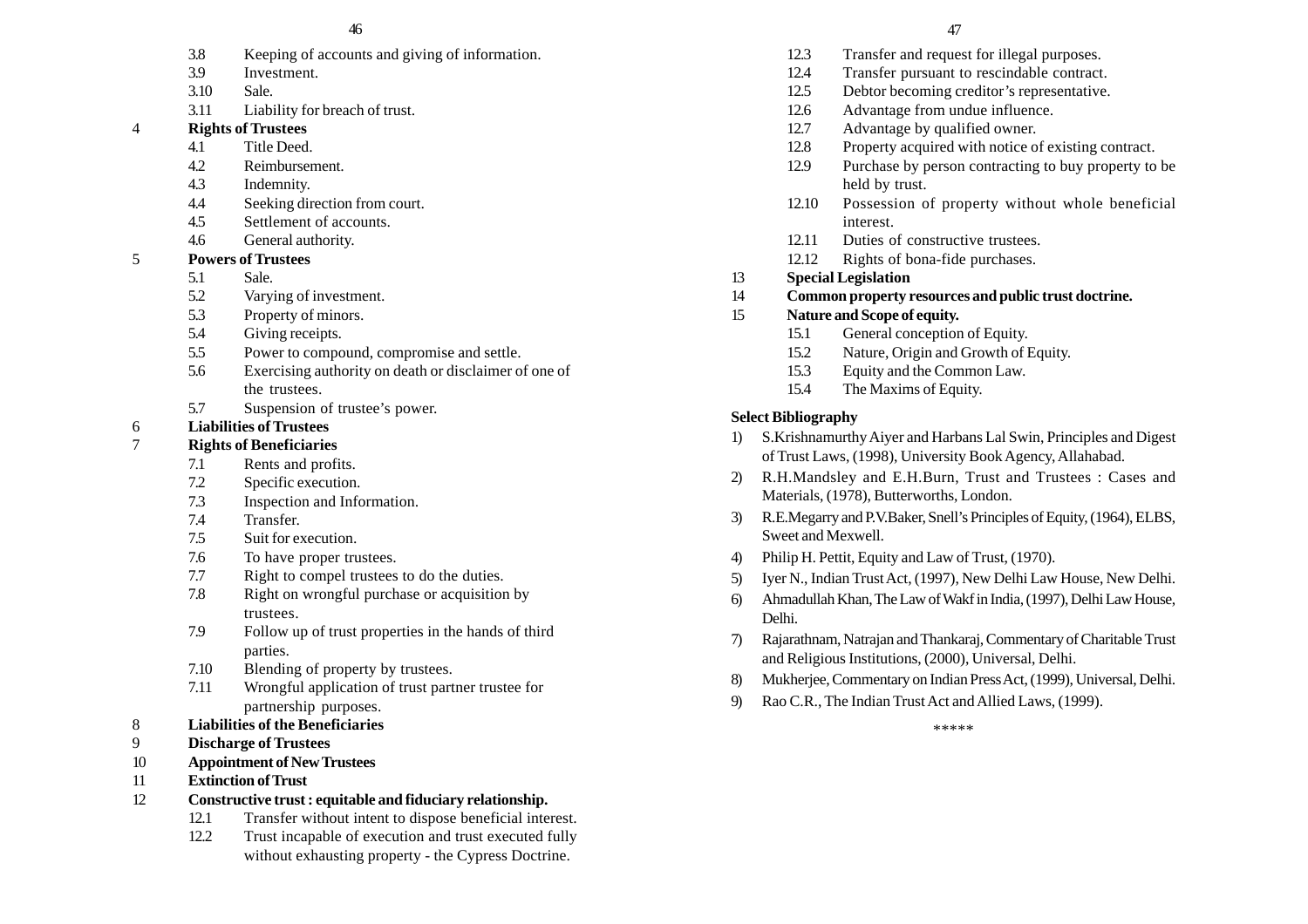- 3.8 Keeping of accounts and giving of information.
- 3.9 Investment.
- 3.10 Sale.
- 3.11 Liability for breach of trust.

## 4 **Rights of Trustees**

- 4.1 Title Deed.
- 4.2 Reimbursement.
- 4.3 Indemnity.
- 4.4 Seeking direction from court.
- 4.5 Settlement of accounts.
- 4.6 General authority.
- 5 **Powers of Trustees**
	- 5.1 Sale.
	- 5.2 Varying of investment.
	- 5.3 Property of minors.
	- 5.4 Giving receipts.
	- 5.5 Power to compound, compromise and settle.
	- 5.6 Exercising authority on death or disclaimer of one of the trustees.
	- 5.7 Suspension of trustee's power.
- 6 **Liabilities of Trustees**

# 7 **Rights of Beneficiaries**

- 7.1 Rents and profits.
- 7.2 Specific execution.
- 7.3 Inspection and Information.
- 7.4 Transfer.
- 7.5 Suit for execution.
- 7.6 To have proper trustees.
- 7.7 Right to compel trustees to do the duties.
- 7.8 Right on wrongful purchase or acquisition by trustees.
- 7.9 Follow up of trust properties in the hands of third parties.
- 7.10 Blending of property by trustees.
- 7.11 Wrongful application of trust partner trustee for partnership purposes.
- 8 **Liabilities of the Beneficiaries**
- 9 **Discharge of Trustees**
- 10 **Appointment of New Trustees**
- 11 **Extinction of Trust**
- 12 **Constructive trust : equitable and fiduciary relationship.**
	- 12.1 Transfer without intent to dispose beneficial interest.
	- 12.2 Trust incapable of execution and trust executed fully without exhausting property - the Cypress Doctrine.
- 12.3 Transfer and request for illegal purposes.
- 12.4 Transfer pursuant to rescindable contract.
- 12.5 Debtor becoming creditor's representative.
- 12.6 Advantage from undue influence.
- 12.7 Advantage by qualified owner.
- 12.8 Property acquired with notice of existing contract.
- 12.9 Purchase by person contracting to buy property to be held by trust.
- 12.10 Possession of property without whole beneficial interest.
- 12.11 Duties of constructive trustees.
- 12.12 Rights of bona-fide purchases.
- 13 **Special Legislation**
- 14 **Common property resources and public trust doctrine.**

# 15 **Nature and Scope of equity.**

- 15.1 General conception of Equity.
- 15.2 Nature, Origin and Growth of Equity.
- 15.3 Equity and the Common Law.
- 15.4 The Maxims of Equity.

# **Select Bibliography**

- 1) S.Krishnamurthy Aiyer and Harbans Lal Swin, Principles and Digest of Trust Laws, (1998), University Book Agency, Allahabad.
- 2) R.H.Mandsley and E.H.Burn, Trust and Trustees : Cases and Materials, (1978), Butterworths, London.
- 3) R.E.Megarry and P.V.Baker, Snell's Principles of Equity, (1964), ELBS, Sweet and Mexwell.
- 4) Philip H. Pettit, Equity and Law of Trust, (1970).
- 5) Iyer N., Indian Trust Act, (1997), New Delhi Law House, New Delhi.
- 6) Ahmadullah Khan, The Law of Wakf in India, (1997), Delhi Law House, Delhi.
- 7) Rajarathnam, Natrajan and Thankaraj, Commentary of Charitable Trust and Religious Institutions, (2000), Universal, Delhi.
- 8) Mukherjee, Commentary on Indian Press Act, (1999), Universal, Delhi.
- 9) Rao C.R., The Indian Trust Act and Allied Laws, (1999).

\*\*\*\*\*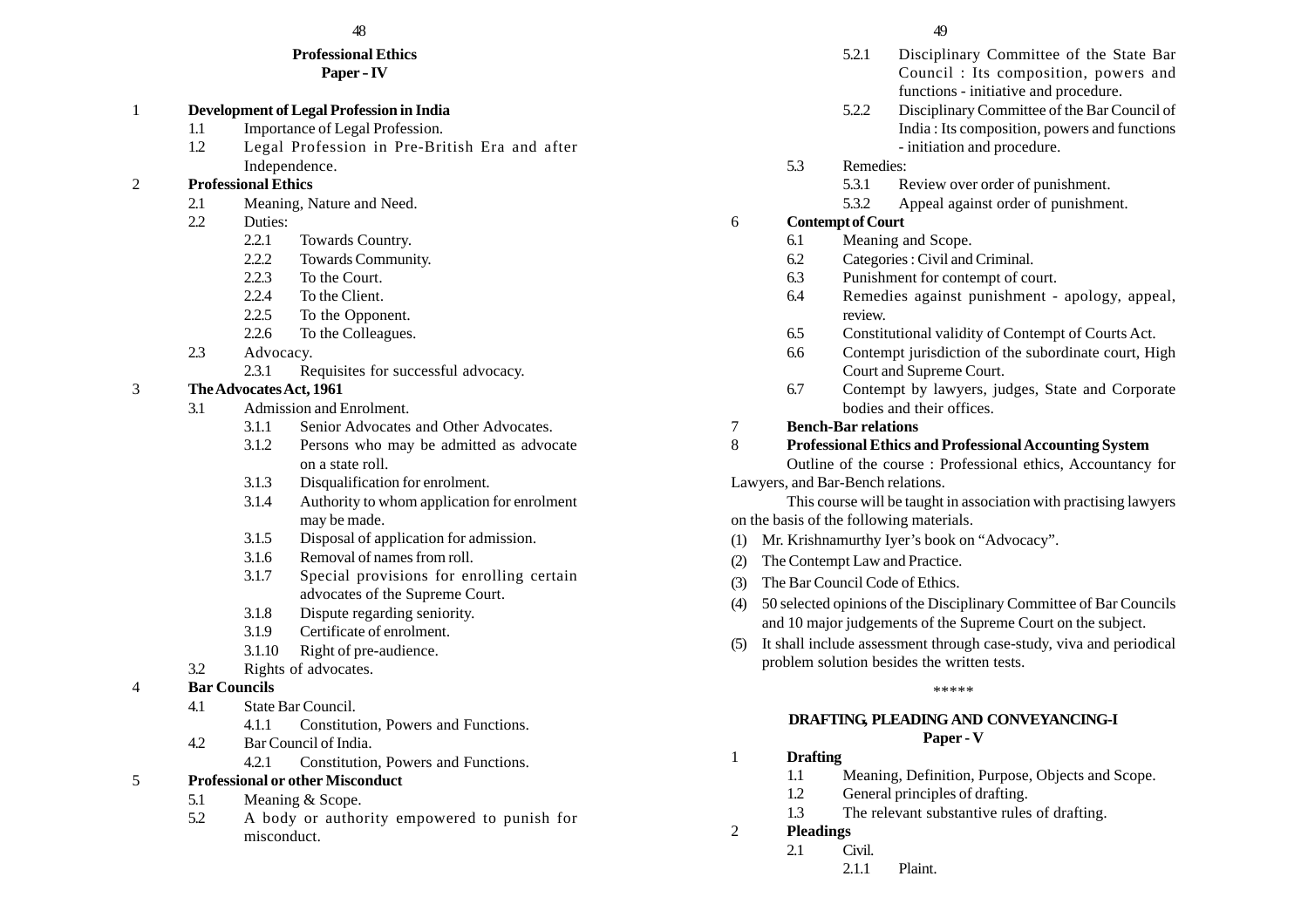# **Professional Ethics**

**Paper - IV**

## 1 **Development of Legal Profession in India**

- 1.1 Importance of Legal Profession.
- 1.2 Legal Profession in Pre-British Era and after Independence.

## 2 **Professional Ethics**

- 2.1 Meaning, Nature and Need.
- 2.2 Duties:
	- 2.2.1 Towards Country.
	- 2.2.2 Towards Community.
	- 2.2.3 To the Court.
	- 2.2.4 To the Client.
	- 2.2.5 To the Opponent.
	- 2.2.6 To the Colleagues.
- 2.3 Advocacy.
	- 2.3.1 Requisites for successful advocacy.

# 3 **The Advocates Act, 1961**

- 3.1 Admission and Enrolment.
	- 3.1.1 Senior Advocates and Other Advocates.
	- 3.1.2 Persons who may be admitted as advocate on a state roll.
	- 3.1.3 Disqualification for enrolment.
	- 3.1.4 Authority to whom application for enrolment may be made.
	- 3.1.5 Disposal of application for admission.
	- 3.1.6 Removal of names from roll.
	- 3.1.7 Special provisions for enrolling certain advocates of the Supreme Court.
	- 3.1.8 Dispute regarding seniority.
	- 3.1.9 Certificate of enrolment.
	- 3.1.10 Right of pre-audience.
- 3.2 Rights of advocates.

# 4 **Bar Councils**

- 4.1 State Bar Council.
	- 4.1.1 Constitution, Powers and Functions.
- 4.2 Bar Council of India.
	- 4.2.1 Constitution, Powers and Functions.

# 5 **Professional or other Misconduct**

- 5.1 Meaning & Scope.
- 5.2 A body or authority empowered to punish for misconduct.
- 5.2.1 Disciplinary Committee of the State Bar Council : Its composition, powers and functions - initiative and procedure.
- 5.2.2 Disciplinary Committee of the Bar Council of India : Its composition, powers and functions - initiation and procedure.
- 5.3 Remedies:
	- 5.3.1 Review over order of punishment.
	- 5.3.2 Appeal against order of punishment.

# 6 **Contempt of Court**

- 6.1 Meaning and Scope.
- 6.2 Categories : Civil and Criminal.
- 6.3 Punishment for contempt of court.
- 6.4 Remedies against punishment apology, appeal, review.
- 6.5 Constitutional validity of Contempt of Courts Act.
- 6.6 Contempt jurisdiction of the subordinate court, High Court and Supreme Court.
- 6.7 Contempt by lawyers, judges, State and Corporate bodies and their offices.

# 7 **Bench-Bar relations**

## 8 **Professional Ethics and Professional Accounting System**

Outline of the course : Professional ethics, Accountancy for Lawyers, and Bar-Bench relations.

This course will be taught in association with practising lawyers on the basis of the following materials.

- (1) Mr. Krishnamurthy Iyer's book on "Advocacy".
- (2) The Contempt Law and Practice.
- (3) The Bar Council Code of Ethics.
- (4) 50 selected opinions of the Disciplinary Committee of Bar Councils and 10 major judgements of the Supreme Court on the subject.
- (5) It shall include assessment through case-study, viva and periodical problem solution besides the written tests.

\*\*\*\*\*

#### **DRAFTING, PLEADING AND CONVEYANCING-I Paper - V**

# 1 **Drafting**

- 1.1 Meaning, Definition, Purpose, Objects and Scope.
- 1.2 General principles of drafting.
- 1.3 The relevant substantive rules of drafting.
- 2 **Pleadings**
	- 2.1 Civil.
		- 2.1.1 Plaint.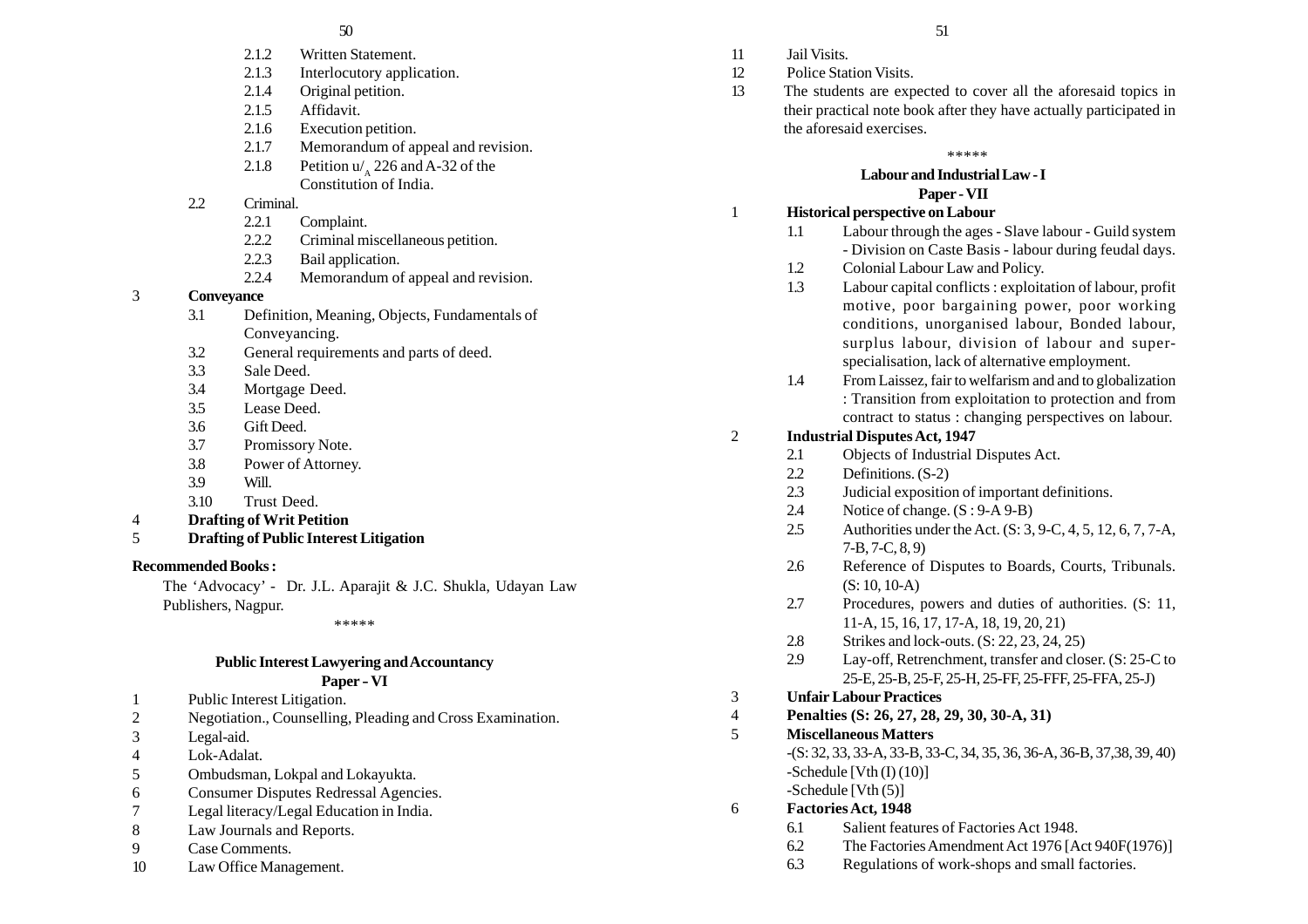- 2.1.2 Written Statement.
- 2.1.3 Interlocutory application.
- 2.1.4 Original petition.
- 2.1.5 Affidavit.
- 2.1.6 Execution petition.
- 2.1.7 Memorandum of appeal and revision.
- 2.1.8 Petition  $u'$ , 226 and A-32 of the Constitution of India.

# 2.2 Criminal.

- 2.2.1 Complaint.
- 2.2.2 Criminal miscellaneous petition.
- 2.2.3 Bail application.
- 2.2.4 Memorandum of appeal and revision.

## 3 **Conveyance**

- 3.1 Definition, Meaning, Objects, Fundamentals of Conveyancing.
- 3.2 General requirements and parts of deed.
- 3.3 Sale Deed.
- 3.4 Mortgage Deed.
- 3.5 Lease Deed.
- 3.6 Gift Deed.
- 3.7 Promissory Note.
- 3.8 Power of Attorney.
- 3.9 Will.
- 3.10 Trust Deed.
- 4 **Drafting of Writ Petition**
- 5 **Drafting of Public Interest Litigation**

# **Recommended Books :**

The 'Advocacy' - Dr. J.L. Aparajit & J.C. Shukla, Udayan Law Publishers, Nagpur.

\*\*\*\*\*

# **Public Interest Lawyering and Accountancy**

# **Paper - VI**

- 1 Public Interest Litigation.
- 2 Negotiation., Counselling, Pleading and Cross Examination.
- 3 Legal-aid.
- 4 Lok-Adalat.
- 5 Ombudsman, Lokpal and Lokayukta.
- 6 Consumer Disputes Redressal Agencies.
- 7 Legal literacy/Legal Education in India.
- 8 Law Journals and Reports.
- 9 Case Comments.
- 10 Law Office Management.
- $50$  51
	- 11 Jail Visits. 12 Police Station Visits.
	- 13 The students are expected to cover all the aforesaid topics in their practical note book after they have actually participated in the aforesaid exercises.

## \*\*\*\*\*

#### **Labour and Industrial Law - I Paper - VII**

## 1 **Historical perspective on Labour**

- 1.1 Labour through the ages Slave labour Guild system - Division on Caste Basis - labour during feudal days.
- 1.2 Colonial Labour Law and Policy.
- 1.3 Labour capital conflicts : exploitation of labour, profit motive, poor bargaining power, poor working conditions, unorganised labour, Bonded labour, surplus labour, division of labour and superspecialisation, lack of alternative employment.
- 1.4 From Laissez, fair to welfarism and and to globalization : Transition from exploitation to protection and from contract to status : changing perspectives on labour.

# 2 **Industrial Disputes Act, 1947**

- 2.1 Objects of Industrial Disputes Act.
- 2.2 Definitions. (S-2)
- 2.3 Judicial exposition of important definitions.
- 2.4 Notice of change.  $(S : 9-A9-B)$
- 2.5 Authorities under the Act. (S: 3, 9-C, 4, 5, 12, 6, 7, 7-A, 7-B, 7-C, 8, 9)
- 2.6 Reference of Disputes to Boards, Courts, Tribunals. (S: 10, 10-A)
- 2.7 Procedures, powers and duties of authorities. (S: 11, 11-A, 15, 16, 17, 17-A, 18, 19, 20, 21)
- 2.8 Strikes and lock-outs. (S: 22, 23, 24, 25)
- 2.9 Lay-off, Retrenchment, transfer and closer. (S: 25-C to 25-E, 25-B, 25-F, 25-H, 25-FF, 25-FFF, 25-FFA, 25-J)

# 3 **Unfair Labour Practices**

4 **Penalties (S: 26, 27, 28, 29, 30, 30-A, 31)**

# 5 **Miscellaneous Matters**

-(S: 32, 33, 33-A, 33-B, 33-C, 34, 35, 36, 36-A, 36-B, 37,38, 39, 40)  $-Schedule$  [Vth (I) (10)] -Schedule [Vth (5)]

# 6 **Factories Act, 1948**

- 6.1 Salient features of Factories Act 1948.
- 6.2 The Factories Amendment Act 1976 [Act 940F(1976)]
- 6.3 Regulations of work-shops and small factories.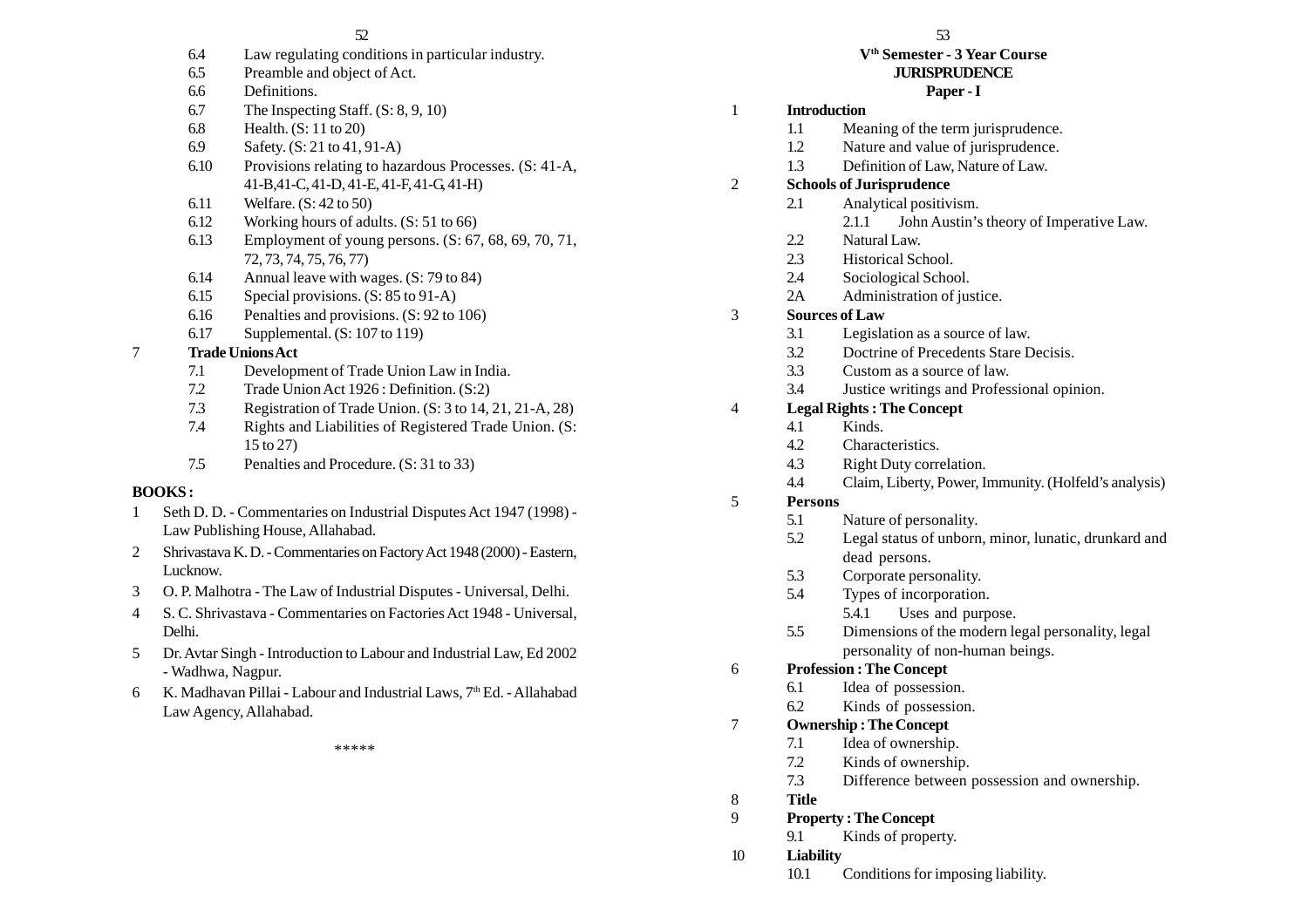- 6.4 Law regulating conditions in particular industry.
- 6.5 Preamble and object of Act.
- 6.6 Definitions.
- 6.7 The Inspecting Staff. (S: 8, 9, 10)
- 6.8 Health. (S: 11 to 20)
- 6.9 Safety. (S: 21 to 41, 91-A)
- 6.10 Provisions relating to hazardous Processes. (S: 41-A, 41-B,41-C, 41-D, 41-E, 41-F, 41-G, 41-H)
- 6.11 Welfare. (S: 42 to 50)
- 6.12 Working hours of adults. (S: 51 to 66)
- 6.13 Employment of young persons. (S: 67, 68, 69, 70, 71, 72, 73, 74, 75, 76, 77)
- 6.14 Annual leave with wages. (S: 79 to 84)
- 6.15 Special provisions. (S: 85 to 91-A)
- 6.16 Penalties and provisions. (S: 92 to 106)
- 6.17 Supplemental. (S: 107 to 119)

# 7 **Trade Unions Act**

- 7.1 Development of Trade Union Law in India.
- 7.2 Trade Union Act 1926 : Definition. (S:2)
- 7.3 Registration of Trade Union. (S: 3 to 14, 21, 21-A, 28)
- 7.4 Rights and Liabilities of Registered Trade Union. (S: 15 to 27)
- 7.5 Penalties and Procedure. (S: 31 to 33)

# **BOOKS :**

- 1 Seth D. D. Commentaries on Industrial Disputes Act 1947 (1998) Law Publishing House, Allahabad.
- 2 Shrivastava K. D. Commentaries on Factory Act 1948 (2000) Eastern, Lucknow.
- 3 O. P. Malhotra The Law of Industrial Disputes Universal, Delhi.
- 4 S. C. Shrivastava Commentaries on Factories Act 1948 Universal, Delhi.
- 5 Dr. Avtar Singh Introduction to Labour and Industrial Law, Ed 2002 - Wadhwa, Nagpur.
- 6 K. Madhavan Pillai Labour and Industrial Laws,  $7<sup>th</sup>$  Ed. Allahabad Law Agency, Allahabad.

\*\*\*\*\*

#### **Vth Semester - 3 Year Course JURISPRUDENCE**

# **Paper - I**

# 1 **Introduction**

- 1.1 Meaning of the term jurisprudence.
- 1.2 Nature and value of jurisprudence.
- 1.3 Definition of Law, Nature of Law.
- 2 **Schools of Jurisprudence**
	- 2.1 Analytical positivism.
		- 2.1.1 John Austin's theory of Imperative Law.
	- 2.2 Natural Law.
	- 2.3 Historical School.
	- 2.4 Sociological School.
	- 2A Administration of justice.

# 3 **Sources of Law**

- 3.1 Legislation as a source of law.
- 3.2 Doctrine of Precedents Stare Decisis.
- 3.3 Custom as a source of law.
- 3.4 Justice writings and Professional opinion.

# 4 **Legal Rights : The Concept**

- 4.1 Kinds.
- 4.2 Characteristics.
- 4.3 Right Duty correlation.
- 4.4 Claim, Liberty, Power, Immunity. (Holfeld's analysis)

# 5 **Persons**

- 5.1 Nature of personality.
- 5.2 Legal status of unborn, minor, lunatic, drunkard and dead persons.
- 5.3 Corporate personality.
- 5.4 Types of incorporation.
	- 5.4.1 Uses and purpose.
- 5.5 Dimensions of the modern legal personality, legal personality of non-human beings.

# 6 **Profession : The Concept**

- 6.1 Idea of possession.
- 6.2 Kinds of possession.
- 7 **Ownership : The Concept**
	- 7.1 Idea of ownership.
	- 7.2 Kinds of ownership.
	- 7.3 Difference between possession and ownership.
- 8 **Title**

# 9 **Property : The Concept**

9.1 Kinds of property.

- 10 **Liability**
	- 10.1 Conditions for imposing liability.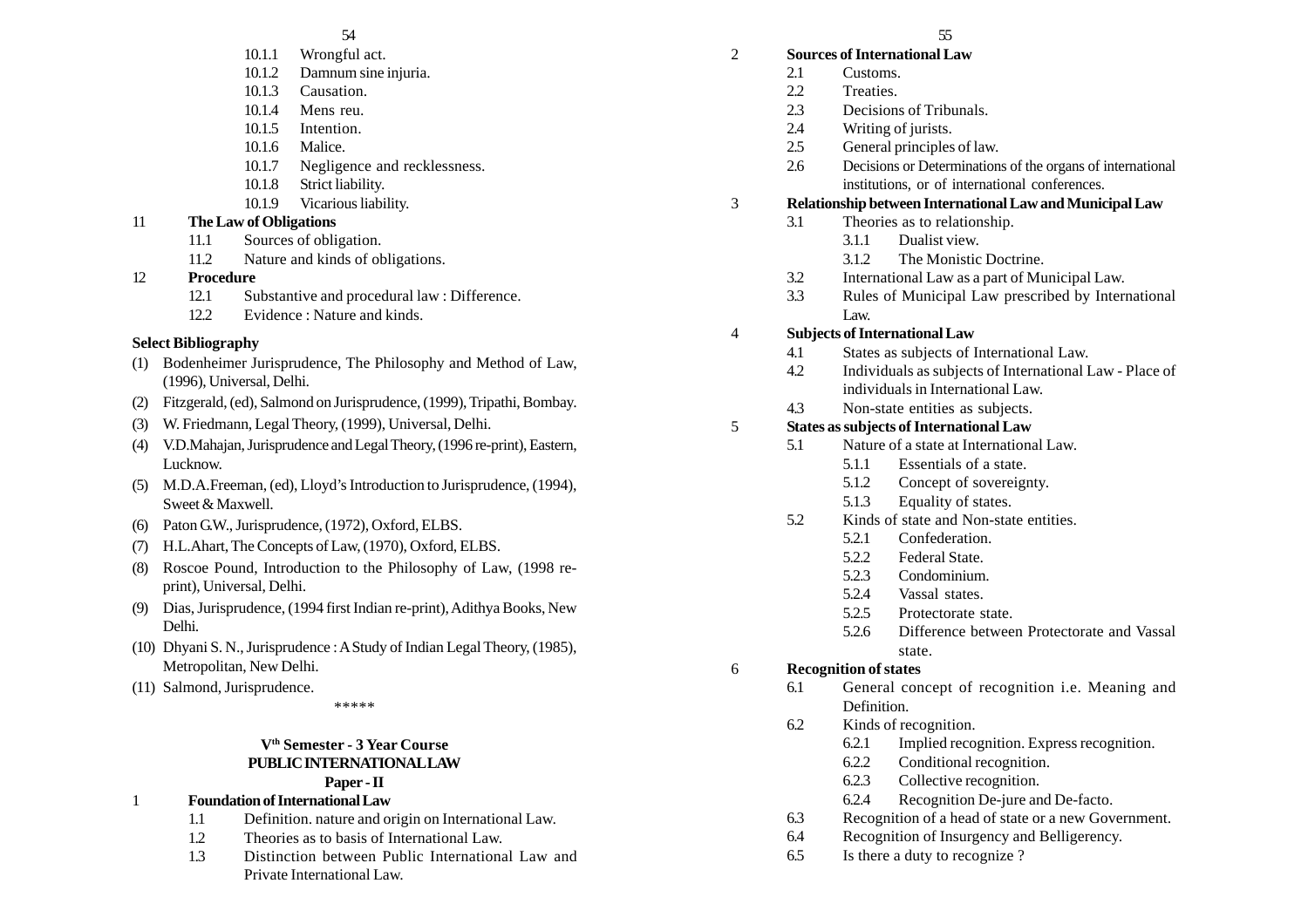#### 54 55

- 10.1.1 Wrongful act.
- 10.1.2 Damnum sine injuria.
- 10.1.3 Causation.
- 10.1.4 Mens reu.
- 10.1.5 Intention.
- 10.1.6 Malice.
- 10.1.7 Negligence and recklessness.
- 10.1.8 Strict liability.
- 10.1.9 Vicarious liability.

# 11 **The Law of Obligations**

- 11.1 Sources of obligation.
- 11.2 Nature and kinds of obligations.
- 12 **Procedure**
	- 12.1 Substantive and procedural law : Difference.
	- 12.2 Evidence : Nature and kinds.

# **Select Bibliography**

- (1) Bodenheimer Jurisprudence, The Philosophy and Method of Law, (1996), Universal, Delhi.
- (2) Fitzgerald, (ed), Salmond on Jurisprudence, (1999), Tripathi, Bombay.
- (3) W. Friedmann, Legal Theory, (1999), Universal, Delhi.
- (4) V.D.Mahajan, Jurisprudence and Legal Theory, (1996 re-print), Eastern, Lucknow.
- (5) M.D.A.Freeman, (ed), Lloyd's Introduction to Jurisprudence, (1994), Sweet & Maxwell.
- (6) Paton G.W., Jurisprudence, (1972), Oxford, ELBS.
- (7) H.L.Ahart, The Concepts of Law, (1970), Oxford, ELBS.
- (8) Roscoe Pound, Introduction to the Philosophy of Law, (1998 reprint), Universal, Delhi.
- (9) Dias, Jurisprudence, (1994 first Indian re-print), Adithya Books, New Delhi.
- (10) Dhyani S. N., Jurisprudence : A Study of Indian Legal Theory, (1985), Metropolitan, New Delhi.
- (11) Salmond, Jurisprudence.

\*\*\*\*\*

#### **Vth Semester - 3 Year Course PUBLIC INTERNATIONAL LAW Paper - II**

# 1 **Foundation of International Law**

- 1.1 Definition. nature and origin on International Law.
- 1.2 Theories as to basis of International Law.
- 1.3 Distinction between Public International Law and Private International Law.

# 2 **Sources of International Law**

- 2.1 Customs.
- 2.2 Treaties.
- 2.3 Decisions of Tribunals.
- 2.4 Writing of jurists.
- 2.5 General principles of law.
- 2.6 Decisions or Determinations of the organs of international institutions, or of international conferences.

# 3 **Relationship between International Law and Municipal Law**

- 3.1 Theories as to relationship.
	- 3.1.1 Dualist view.
	- 3.1.2 The Monistic Doctrine.
- 3.2 International Law as a part of Municipal Law.
- 3.3 Rules of Municipal Law prescribed by International Law.

# 4 **Subjects of International Law**

- 4.1 States as subjects of International Law.
- 4.2 Individuals as subjects of International Law Place of individuals in International Law.
- 4.3 Non-state entities as subjects.

# 5 **States as subjects of International Law**

- 5.1 Nature of a state at International Law.
	- 5.1.1 Essentials of a state.
	- 5.1.2 Concept of sovereignty.
	- 5.1.3 Equality of states.
- 5.2 Kinds of state and Non-state entities.
	- 5.2.1 Confederation.
	- 5.2.2 Federal State.
	- 5.2.3 Condominium.
	- 5.2.4 Vassal states.
	- 5.2.5 Protectorate state.
	- 5.2.6 Difference between Protectorate and Vassal state.

# 6 **Recognition of states**

- 6.1 General concept of recognition i.e. Meaning and Definition.
- 6.2 Kinds of recognition.
	- 6.2.1 Implied recognition. Express recognition.
	- 6.2.2 Conditional recognition.
	- 6.2.3 Collective recognition.
	- 6.2.4 Recognition De-jure and De-facto.
- 6.3 Recognition of a head of state or a new Government.
- 6.4 Recognition of Insurgency and Belligerency.
- 6.5 Is there a duty to recognize ?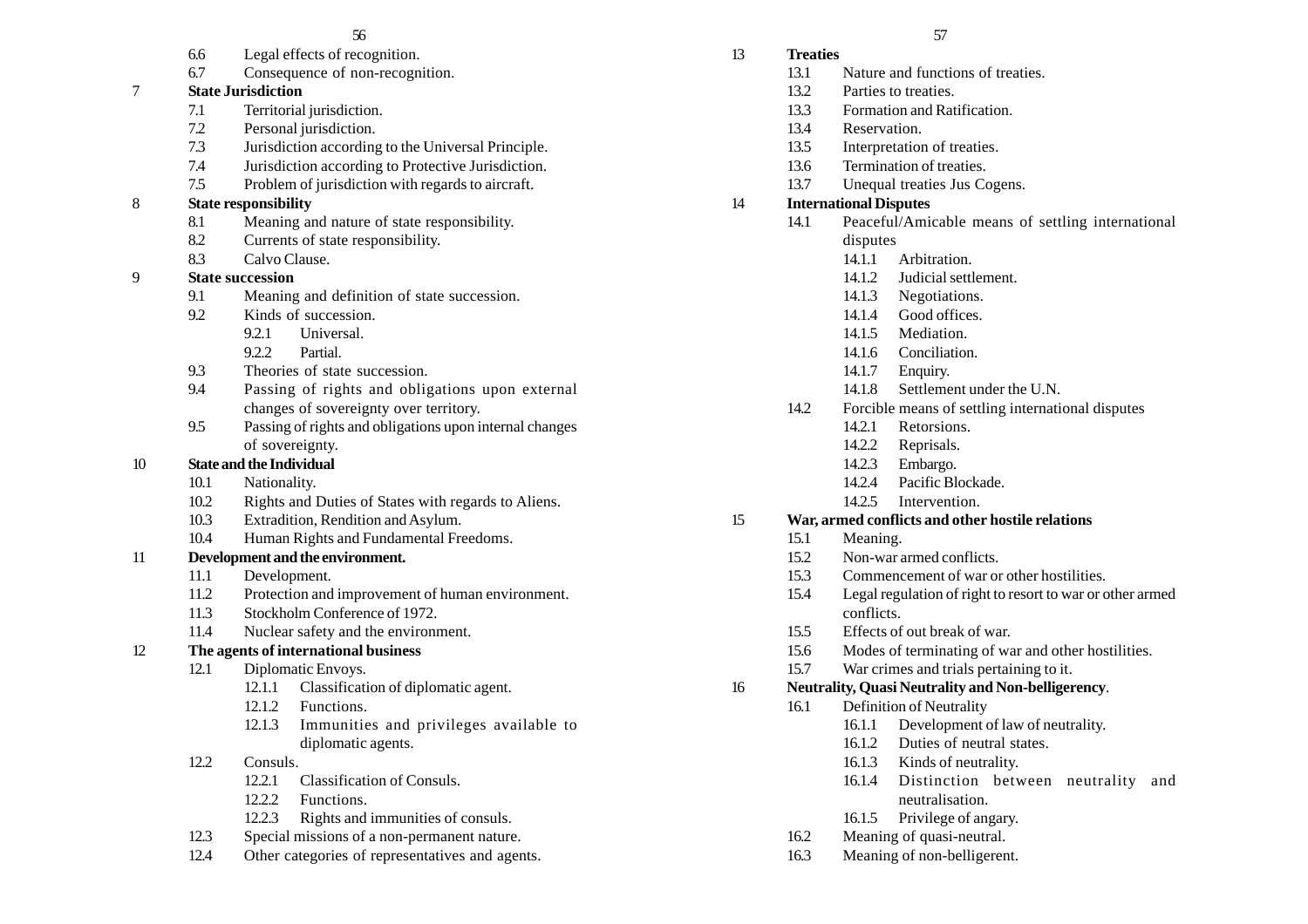- 6.6 Legal effects of recognition.
- 6.7 Consequence of non-recognition.

# 7 **State Jurisdiction**

- 7.1 Territorial jurisdiction.
- 7.2 Personal jurisdiction.
- 7.3 Jurisdiction according to the Universal Principle.
- 7.4 Jurisdiction according to Protective Jurisdiction.
- 7.5 Problem of jurisdiction with regards to aircraft.
- 8 **State responsibility**
	- 8.1 Meaning and nature of state responsibility.
	- 8.2 Currents of state responsibility.
	- 8.3 Calvo Clause.

# 9 **State succession**

- 9.1 Meaning and definition of state succession.
- 9.2 Kinds of succession.
	- 9.2.1 Universal.
	- 9.2.2 Partial.
- 9.3 Theories of state succession.
- 9.4 Passing of rights and obligations upon external changes of sovereignty over territory.
- 9.5 Passing of rights and obligations upon internal changes of sovereignty.

# 10 **State and the Individual**

- 10.1 Nationality.
- 10.2 Rights and Duties of States with regards to Aliens.
- 10.3 Extradition, Rendition and Asylum.
- 10.4 Human Rights and Fundamental Freedoms.

# 11 **Development and the environment.**

- 11.1 Development.
- 11.2 Protection and improvement of human environment.
- 11.3 Stockholm Conference of 1972.
- 11.4 Nuclear safety and the environment.
- 12 **The agents of international business**
	- 12.1 Diplomatic Envoys.
		- 12.1.1 Classification of diplomatic agent.
		- 12.1.2 Functions.
		- 12.1.3 Immunities and privileges available to diplomatic agents.
	- 12.2 Consuls.
		- 12.2.1 Classification of Consuls.
		- 12.2.2 Functions.
		- 12.2.3 Rights and immunities of consuls.
	- 12.3 Special missions of a non-permanent nature.
	- 12.4 Other categories of representatives and agents.
- 13 **Treaties**
	- 13.1 Nature and functions of treaties.
	- 13.2 Parties to treaties.
	- 13.3 Formation and Ratification.
	- 13.4 Reservation.
	- 13.5 Interpretation of treaties.
	- 13.6 Termination of treaties.
	- 13.7 Unequal treaties Jus Cogens.

# 14 **International Disputes**

- 14.1 Peaceful/Amicable means of settling international disputes
	- 14.1.1 Arbitration.
	- 14.1.2. Indicial settlement.
	- 14.1.3 Negotiations.
	- 14.1.4 Good offices.
	- 14.1.5 Mediation.
	- 14.1.6 Conciliation.
	- 14.1.7 Enquiry.
	- 14.1.8 Settlement under the U.N.
- 14.2 Forcible means of settling international disputes
	- 14.2.1 Retorsions.
	- 14.2.2 Reprisals.
	- 14.2.3 Embargo.
	- 14.2.4 Pacific Blockade.
	- 14.2.5 Intervention.

# 15 **War, armed conflicts and other hostile relations**

- 15.1 Meaning.
- 15.2 Non-war armed conflicts.
- 15.3 Commencement of war or other hostilities.
- 15.4 Legal regulation of right to resort to war or other armed conflicts.
- 15.5 Effects of out break of war.
- 15.6 Modes of terminating of war and other hostilities.
- 15.7 War crimes and trials pertaining to it.

# 16 **Neutrality, Quasi Neutrality and Non-belligerency**.

- 16.1 Definition of Neutrality
	- 16.1.1 Development of law of neutrality.
	- 16.1.2 Duties of neutral states.
	- 16.1.3 Kinds of neutrality.
	- 16.1.4 Distinction between neutrality and neutralisation.
	- 16.1.5 Privilege of angary.
- 16.2 Meaning of quasi-neutral.
- 16.3 Meaning of non-belligerent.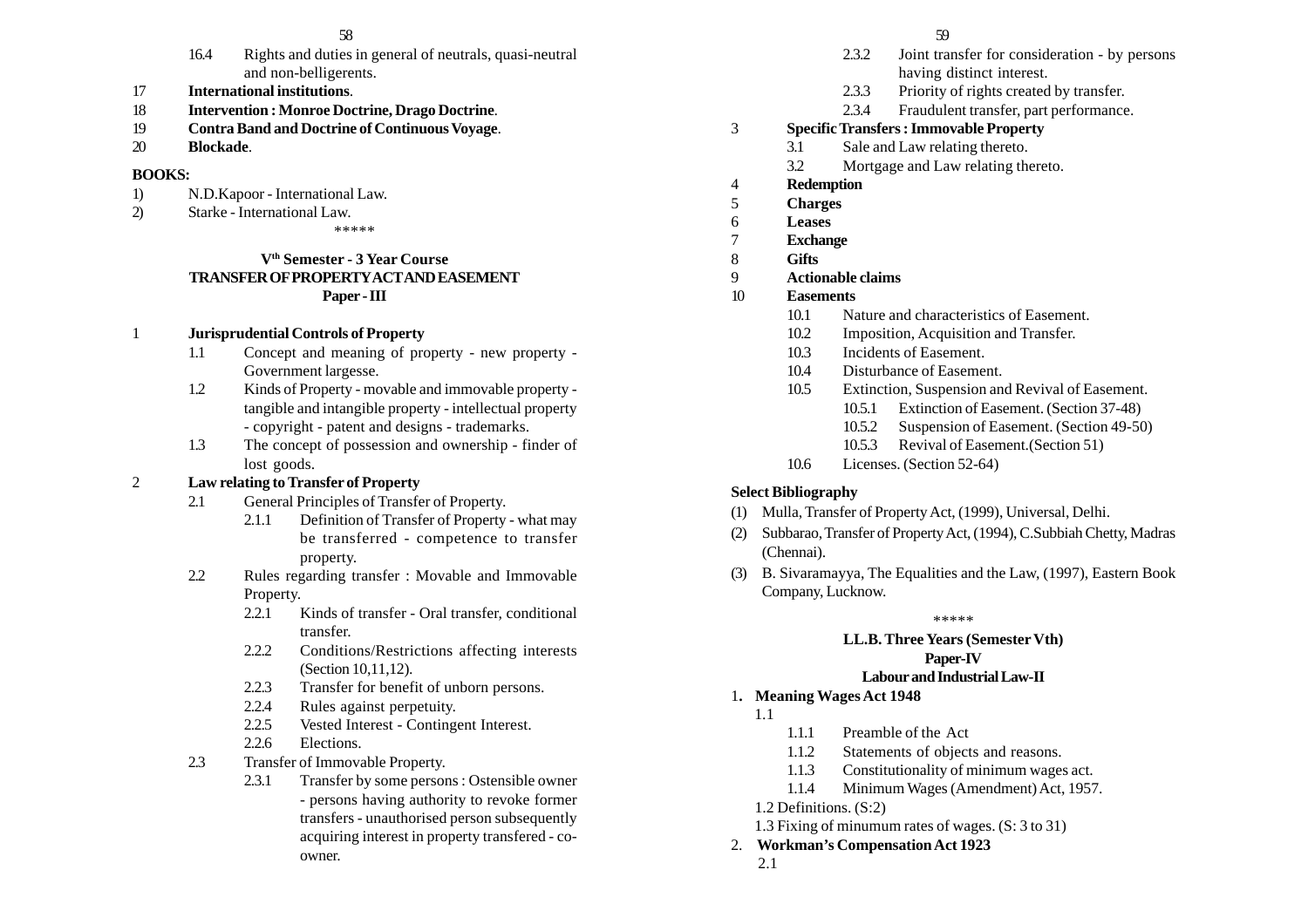- 16.4 Rights and duties in general of neutrals, quasi-neutral and non-belligerents.
- 17 **International institutions**.
- 18 **Intervention : Monroe Doctrine, Drago Doctrine**.
- 19 **Contra Band and Doctrine of Continuous Voyage**.
- 20 **Blockade**.

#### **BOOKS:**

- 1) N.D.Kapoor International Law.
- 2) Starke International Law.

\*\*\*\*\*

## **Vth Semester - 3 Year Course TRANSFER OF PROPERTY ACT AND EASEMENT Paper - III**

## 1 **Jurisprudential Controls of Property**

- 1.1 Concept and meaning of property new property Government largesse.
- 1.2 Kinds of Property movable and immovable property tangible and intangible property - intellectual property - copyright - patent and designs - trademarks.
- 1.3 The concept of possession and ownership finder of lost goods.

# 2 **Law relating to Transfer of Property**

- 2.1 General Principles of Transfer of Property.
	- 2.1.1 Definition of Transfer of Property what may be transferred - competence to transfer property.
- 2.2 Rules regarding transfer : Movable and Immovable Property.
	- 2.2.1 Kinds of transfer Oral transfer, conditional transfer.
	- 2.2.2 Conditions/Restrictions affecting interests (Section 10,11,12).
	- 2.2.3 Transfer for benefit of unborn persons.
	- 2.2.4 Rules against perpetuity.
	- 2.2.5 Vested Interest Contingent Interest.
	- 2.2.6 Elections.
- 2.3 Transfer of Immovable Property.
	- 2.3.1 Transfer by some persons : Ostensible owner - persons having authority to revoke former transfers - unauthorised person subsequently acquiring interest in property transfered - coowner.
- 2.3.2 Joint transfer for consideration by persons having distinct interest.
- 2.3.3 Priority of rights created by transfer.
- 2.3.4 Fraudulent transfer, part performance.

# 3 **Specific Transfers : Immovable Property**

- 3.1 Sale and Law relating thereto.
	- 3.2 Mortgage and Law relating thereto.
- 4 **Redemption**
- 5 **Charges**
- 6 **Leases**
- 7 **Exchange**
- 8 **Gifts**
- 9 **Actionable claims**

## 10 **Easements**

- 10.1 Nature and characteristics of Easement.
- 10.2 Imposition, Acquisition and Transfer.
- 10.3 Incidents of Easement.
- 10.4 Disturbance of Easement.
- 10.5 Extinction, Suspension and Revival of Easement.
	- 10.5.1 Extinction of Easement. (Section 37-48)
	- 10.5.2 Suspension of Easement. (Section 49-50)
	- 10.5.3 Revival of Easement.(Section 51)
- 10.6 Licenses. (Section 52-64)

# **Select Bibliography**

- (1) Mulla, Transfer of Property Act, (1999), Universal, Delhi.
- (2) Subbarao, Transfer of Property Act, (1994), C.Subbiah Chetty, Madras (Chennai).
- (3) B. Sivaramayya, The Equalities and the Law, (1997), Eastern Book Company, Lucknow.

\*\*\*\*\*

## **LL.B. Three Years (Semester Vth) Paper-IV**

## **Labour and Industrial Law-II**

# 1**. Meaning Wages Act 1948**

1.1

- 1.1.1 Preamble of the Act
- 1.1.2 Statements of objects and reasons.
- 1.1.3 Constitutionality of minimum wages act.
- 1.1.4 Minimum Wages (Amendment) Act, 1957.

## 1.2 Definitions. (S:2)

1.3 Fixing of minumum rates of wages. (S: 3 to 31)

# 2. **Workman's Compensation Act 1923**

2.1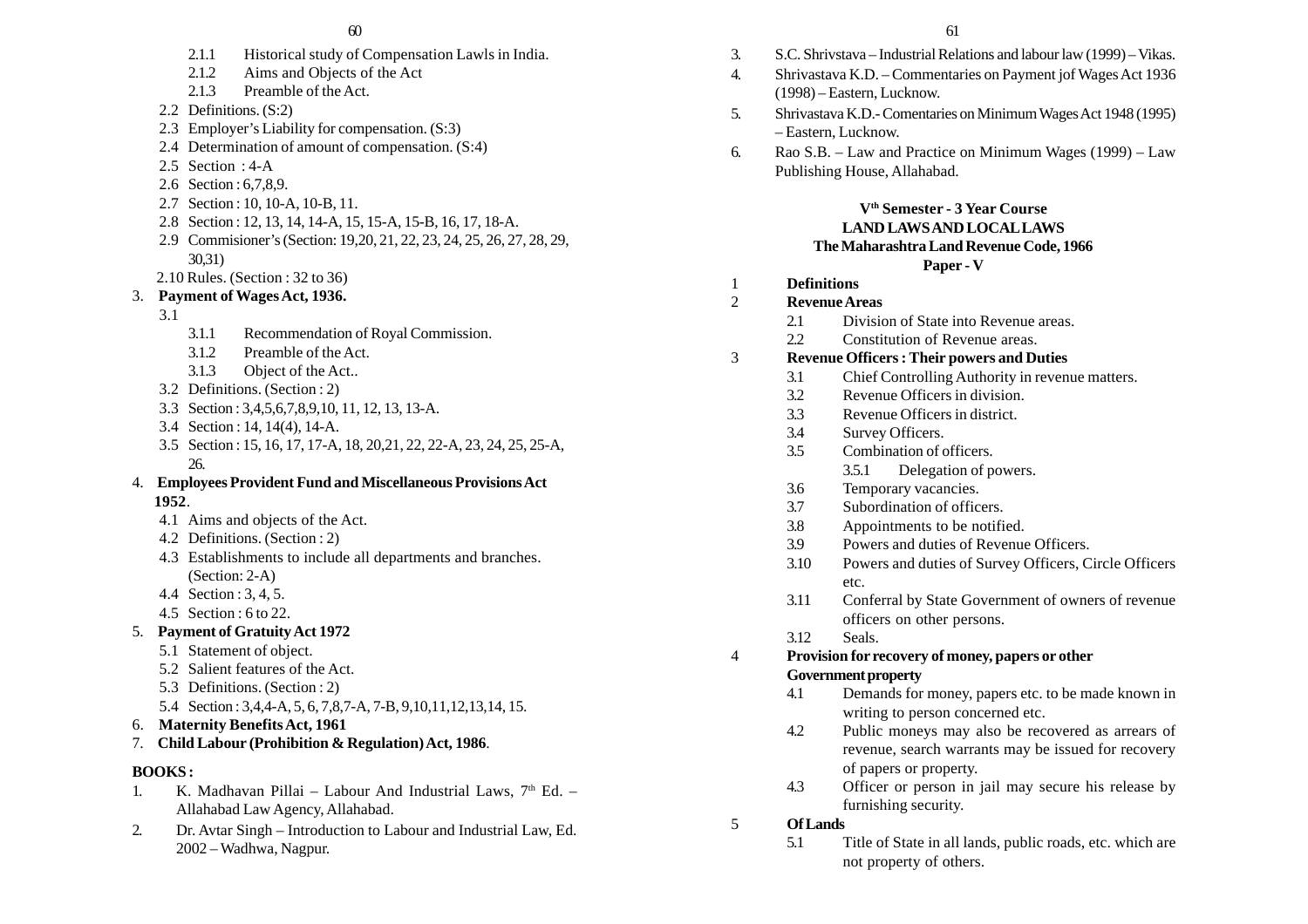- 2.1.1 Historical study of Compensation Lawls in India.
- 2.1.2 Aims and Objects of the Act
- 2.1.3 Preamble of the Act.
- 2.2 Definitions. (S:2)
- 2.3 Employer's Liability for compensation. (S:3)
- 2.4 Determination of amount of compensation. (S:4)
- 2.5 Section : 4-A
- 2.6 Section : 6,7,8,9.
- 2.7 Section : 10, 10-A, 10-B, 11.
- 2.8 Section : 12, 13, 14, 14-A, 15, 15-A, 15-B, 16, 17, 18-A.
- 2.9 Commisioner's (Section: 19,20, 21, 22, 23, 24, 25, 26, 27, 28, 29, 30,31)
- 2.10 Rules. (Section : 32 to 36)
- 3. **Payment of Wages Act, 1936.**
	- 3.1
- 3.1.1 Recommendation of Royal Commission.
- 3.1.2 Preamble of the Act.
- 3.1.3 Object of the Act..
- 3.2 Definitions. (Section : 2)
- 3.3 Section : 3,4,5,6,7,8,9,10, 11, 12, 13, 13-A.
- 3.4 Section : 14, 14(4), 14-A.
- 3.5 Section : 15, 16, 17, 17-A, 18, 20,21, 22, 22-A, 23, 24, 25, 25-A, 26.
- 4. **Employees Provident Fund and Miscellaneous Provisions Act 1952**.
	- 4.1 Aims and objects of the Act.
	- 4.2 Definitions. (Section : 2)
	- 4.3 Establishments to include all departments and branches. (Section: 2-A)
	- 4.4 Section : 3, 4, 5.
	- 4.5 Section : 6 to 22.
- 5. **Payment of Gratuity Act 1972**
	- 5.1 Statement of object.
	- 5.2 Salient features of the Act.
	- 5.3 Definitions. (Section : 2)
	- 5.4 Section : 3,4,4-A, 5, 6, 7,8,7-A, 7-B, 9,10,11,12,13,14, 15.
- 6. **Maternity Benefits Act, 1961**
- 7. **Child Labour (Prohibition & Regulation) Act, 1986**.

# **BOOKS :**

- 1. K. Madhavan Pillai Labour And Industrial Laws,  $7<sup>th</sup>$  Ed. Allahabad Law Agency, Allahabad.
- 2. Dr. Avtar Singh Introduction to Labour and Industrial Law, Ed. 2002 – Wadhwa, Nagpur.
- 3. S.C. Shrivstava Industrial Relations and labour law (1999) Vikas. 4. Shrivastava K.D. – Commentaries on Payment jof Wages Act 1936 (1998) – Eastern, Lucknow. 5. Shrivastava K.D.- Comentaries on Minimum Wages Act 1948 (1995) – Eastern, Lucknow. 6. Rao S.B. – Law and Practice on Minimum Wages (1999) – Law Publishing House, Allahabad. **Vth Semester - 3 Year Course LAND LAWS AND LOCAL LAWS The Maharashtra Land Revenue Code, 1966 Paper - V** 1 **Definitions** 2 **Revenue Areas** 2.1 Division of State into Revenue areas. 2.2 Constitution of Revenue areas. 3 **Revenue Officers : Their powers and Duties** 3.1 Chief Controlling Authority in revenue matters. 3.2 Revenue Officers in division. 3.3 Revenue Officers in district. 3.4 Survey Officers. 3.5 Combination of officers. 3.5.1 Delegation of powers. 3.6 Temporary vacancies. 3.7 Subordination of officers. 3.8 Appointments to be notified. 3.9 Powers and duties of Revenue Officers. 3.10 Powers and duties of Survey Officers, Circle Officers etc. 3.11 Conferral by State Government of owners of revenue officers on other persons. 3.12 Seals. 4 **Provision for recovery of money, papers or other Government property** 4.1 Demands for money, papers etc. to be made known in writing to person concerned etc. 4.2 Public moneys may also be recovered as arrears of revenue, search warrants may be issued for recovery of papers or property. 4.3 Officer or person in jail may secure his release by furnishing security. 5 **Of Lands**
	- 5.1 Title of State in all lands, public roads, etc. which are not property of others.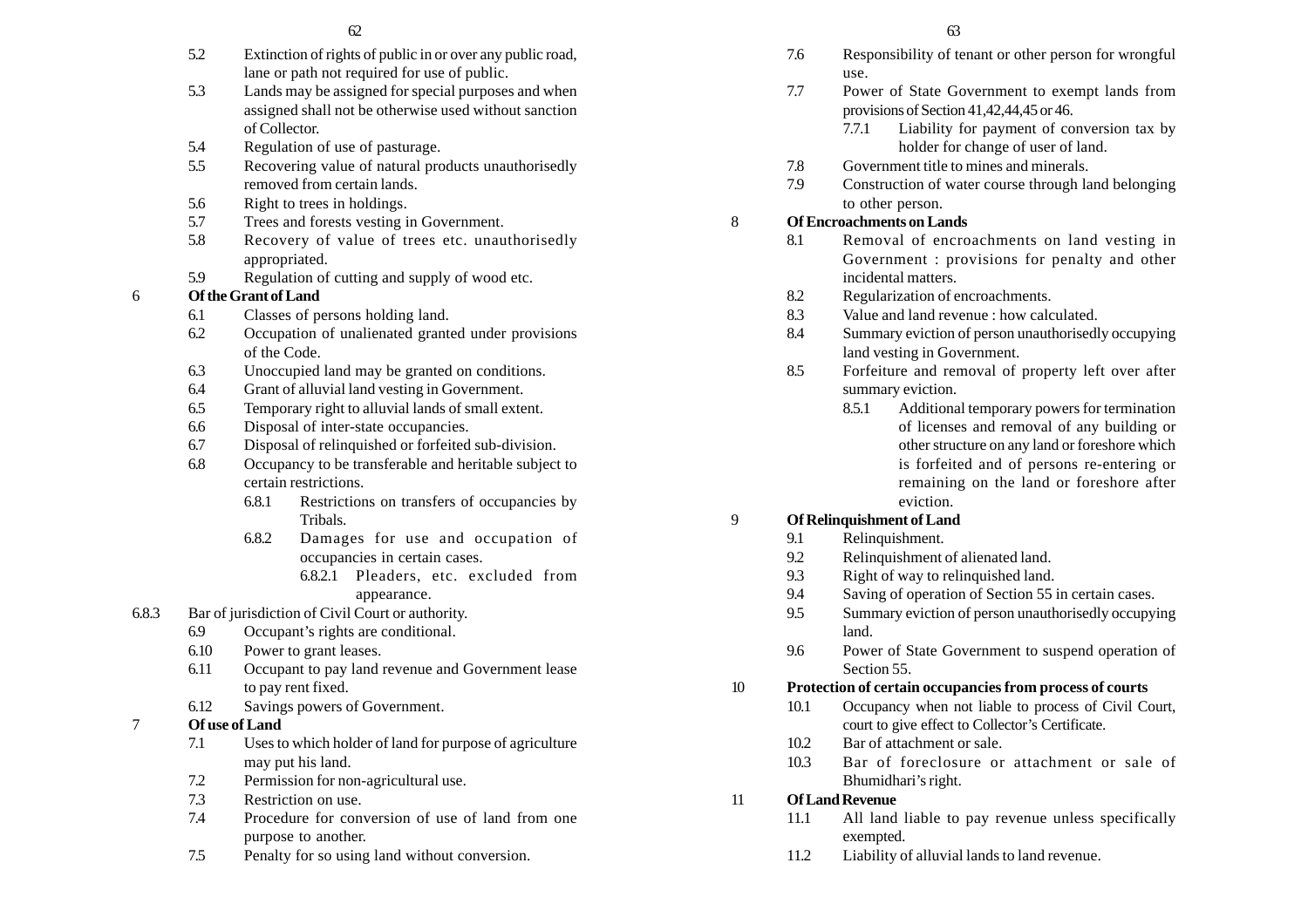- 5.2 Extinction of rights of public in or over any public road, lane or path not required for use of public.
- 5.3 Lands may be assigned for special purposes and when assigned shall not be otherwise used without sanction of Collector.
- 5.4 Regulation of use of pasturage.
- 5.5 Recovering value of natural products unauthorisedly removed from certain lands.
- 5.6 Right to trees in holdings.
- 5.7 Trees and forests vesting in Government.
- 5.8 Recovery of value of trees etc. unauthorisedly appropriated.
- 5.9 Regulation of cutting and supply of wood etc.

## 6 **Of the Grant of Land**

- 6.1 Classes of persons holding land.
- 6.2 Occupation of unalienated granted under provisions of the Code.
- 6.3 Unoccupied land may be granted on conditions.
- 6.4 Grant of alluvial land vesting in Government.
- 6.5 Temporary right to alluvial lands of small extent.
- 6.6 Disposal of inter-state occupancies.
- 6.7 Disposal of relinquished or forfeited sub-division.
- 6.8 Occupancy to be transferable and heritable subject to certain restrictions.
	- 6.8.1 Restrictions on transfers of occupancies by Tribals.
	- 6.8.2 Damages for use and occupation of occupancies in certain cases.
		- 6.8.2.1 Pleaders, etc. excluded from appearance.
- 6.8.3 Bar of jurisdiction of Civil Court or authority.
	- 6.9 Occupant's rights are conditional.
	- 6.10 Power to grant leases.
	- 6.11 Occupant to pay land revenue and Government lease to pay rent fixed.
	- 6.12 Savings powers of Government.
- 7 **Of use of Land**
	- 7.1 Uses to which holder of land for purpose of agriculture may put his land.
	- 7.2 Permission for non-agricultural use.
	- 7.3 Restriction on use.
	- 7.4 Procedure for conversion of use of land from one purpose to another.
	- 7.5 Penalty for so using land without conversion.
- 7.6 Responsibility of tenant or other person for wrongful use.
- 7.7 Power of State Government to exempt lands from provisions of Section 41,42,44,45 or 46.
	- 7.7.1 Liability for payment of conversion tax by holder for change of user of land.
- 7.8 Government title to mines and minerals.
- 7.9 Construction of water course through land belonging to other person.

# 8 **Of Encroachments on Lands**

- 8.1 Removal of encroachments on land vesting in Government : provisions for penalty and other incidental matters.
- 8.2 Regularization of encroachments.
- 8.3 Value and land revenue : how calculated.
- 8.4 Summary eviction of person unauthorisedly occupying land vesting in Government.
- 8.5 Forfeiture and removal of property left over after summary eviction.
	- 8.5.1 Additional temporary powers for termination of licenses and removal of any building or other structure on any land or foreshore which is forfeited and of persons re-entering or remaining on the land or foreshore after eviction.

# 9 **Of Relinquishment of Land**

- 9.1 Relinquishment.
- 9.2 Relinquishment of alienated land.
- 9.3 Right of way to relinquished land.
- 9.4 Saving of operation of Section 55 in certain cases.
- 9.5 Summary eviction of person unauthorisedly occupying land.
- 9.6 Power of State Government to suspend operation of Section 55.

# 10 **Protection of certain occupancies from process of courts**

- 10.1 Occupancy when not liable to process of Civil Court, court to give effect to Collector's Certificate.
- 10.2 Bar of attachment or sale.
- 10.3 Bar of foreclosure or attachment or sale of Bhumidhari's right.

# 11 **Of Land Revenue**

- 11.1 All land liable to pay revenue unless specifically exempted.
- 11.2 Liability of alluvial lands to land revenue.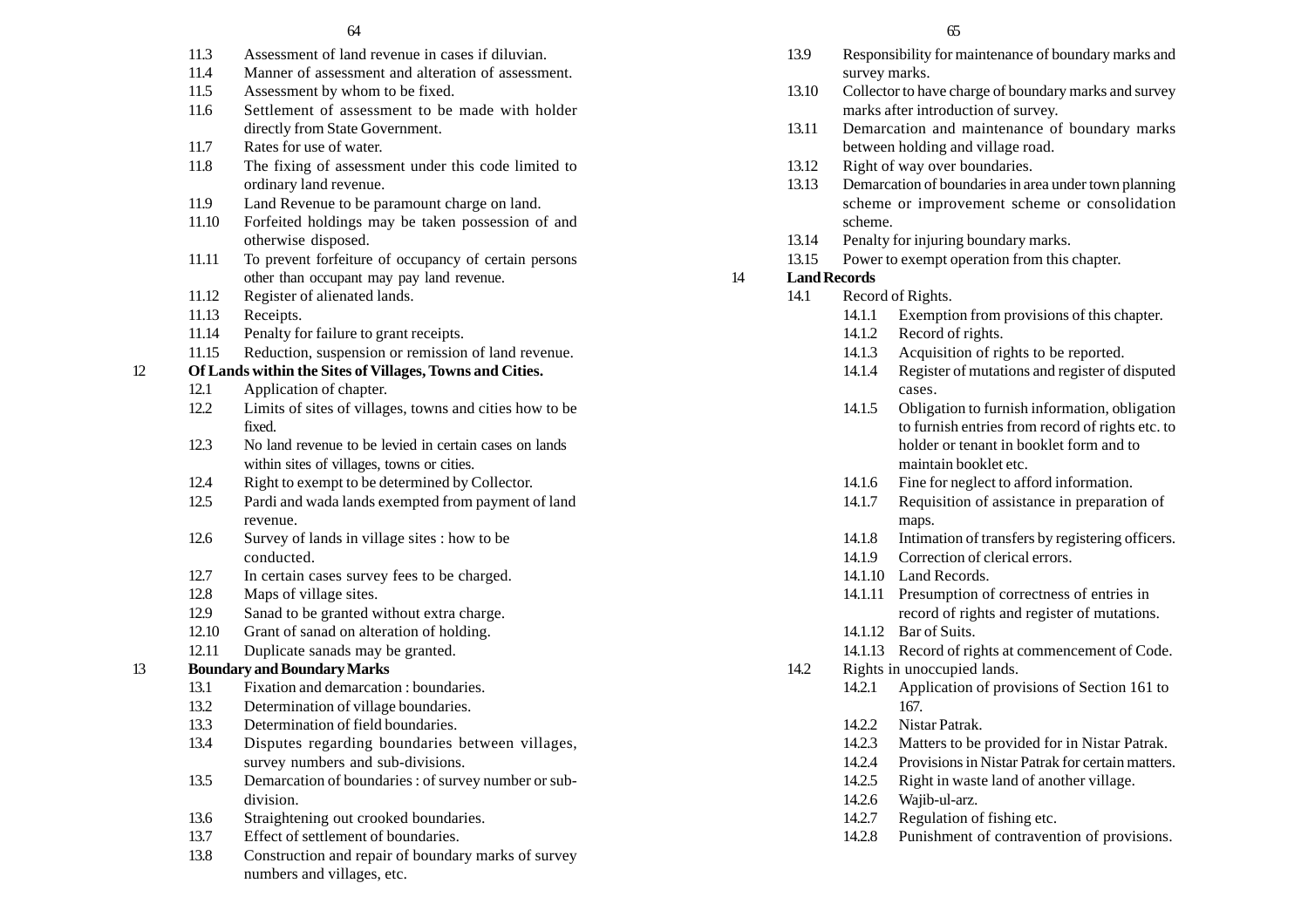- 11.3 Assessment of land revenue in cases if diluvian.
- 11.4 Manner of assessment and alteration of assessment.
- 11.5 Assessment by whom to be fixed.
- 11.6 Settlement of assessment to be made with holder directly from State Government.
- 11.7 Rates for use of water.
- 11.8 The fixing of assessment under this code limited to ordinary land revenue.
- 11.9 Land Revenue to be paramount charge on land.
- 11.10 Forfeited holdings may be taken possession of and otherwise disposed.
- 11.11 To prevent forfeiture of occupancy of certain persons other than occupant may pay land revenue.
- 11.12 Register of alienated lands.
- 11.13 Receipts.
- 11.14 Penalty for failure to grant receipts.
- 11.15 Reduction, suspension or remission of land revenue.

## 12 **Of Lands within the Sites of Villages, Towns and Cities.**

- 12.1 Application of chapter.
- 12.2 Limits of sites of villages, towns and cities how to be fixed.
- 12.3 No land revenue to be levied in certain cases on lands within sites of villages, towns or cities.
- 12.4 Right to exempt to be determined by Collector.
- 12.5 Pardi and wada lands exempted from payment of land revenue.
- 12.6 Survey of lands in village sites : how to be conducted.
- 12.7 In certain cases survey fees to be charged.
- 12.8 Maps of village sites.
- 12.9 Sanad to be granted without extra charge.
- 12.10 Grant of sanad on alteration of holding.
- 12.11 Duplicate sanads may be granted.

## 13 **Boundary and Boundary Marks**

- 13.1 Fixation and demarcation : boundaries.
- 13.2 Determination of village boundaries.
- 13.3 Determination of field boundaries.
- 13.4 Disputes regarding boundaries between villages, survey numbers and sub-divisions.
- 13.5 Demarcation of boundaries : of survey number or subdivision.
- 13.6 Straightening out crooked boundaries.
- 13.7 Effect of settlement of boundaries.
- 13.8 Construction and repair of boundary marks of survey numbers and villages, etc.
- 13.9 Responsibility for maintenance of boundary marks and survey marks.
- 13.10 Collector to have charge of boundary marks and survey marks after introduction of survey.
- 13.11 Demarcation and maintenance of boundary marks between holding and village road.
- 13.12 Right of way over boundaries.
- 13.13 Demarcation of boundaries in area under town planning scheme or improvement scheme or consolidation scheme.
- 13.14 Penalty for injuring boundary marks.
- 13.15 Power to exempt operation from this chapter.

## 14 **Land Records**

- 14.1 Record of Rights.
	- 14.1.1 Exemption from provisions of this chapter.
	- 14.1.2 Record of rights.
	- 14.1.3 Acquisition of rights to be reported.
	- 14.1.4 Register of mutations and register of disputed cases.
	- 14.1.5 Obligation to furnish information, obligation to furnish entries from record of rights etc. to holder or tenant in booklet form and to maintain booklet etc.
	- 14.1.6 Fine for neglect to afford information.
	- 14.1.7 Requisition of assistance in preparation of maps.
	- 14.1.8 Intimation of transfers by registering officers.
	- 14.1.9 Correction of clerical errors.
	- 14.1.10 Land Records.
	- 14.1.11 Presumption of correctness of entries in record of rights and register of mutations.
	- 14.1.12 Bar of Suits.
	- 14.1.13 Record of rights at commencement of Code.
- 14.2 Rights in unoccupied lands.
	- 14.2.1 Application of provisions of Section 161 to 167.
	- 14.2.2 Nistar Patrak.
	- 14.2.3 Matters to be provided for in Nistar Patrak.
	- 14.2.4 Provisions in Nistar Patrak for certain matters.
	- 14.2.5 Right in waste land of another village.
	- 14.2.6 Wajib-ul-arz.
	- 14.2.7 Regulation of fishing etc.
	- 14.2.8 Punishment of contravention of provisions.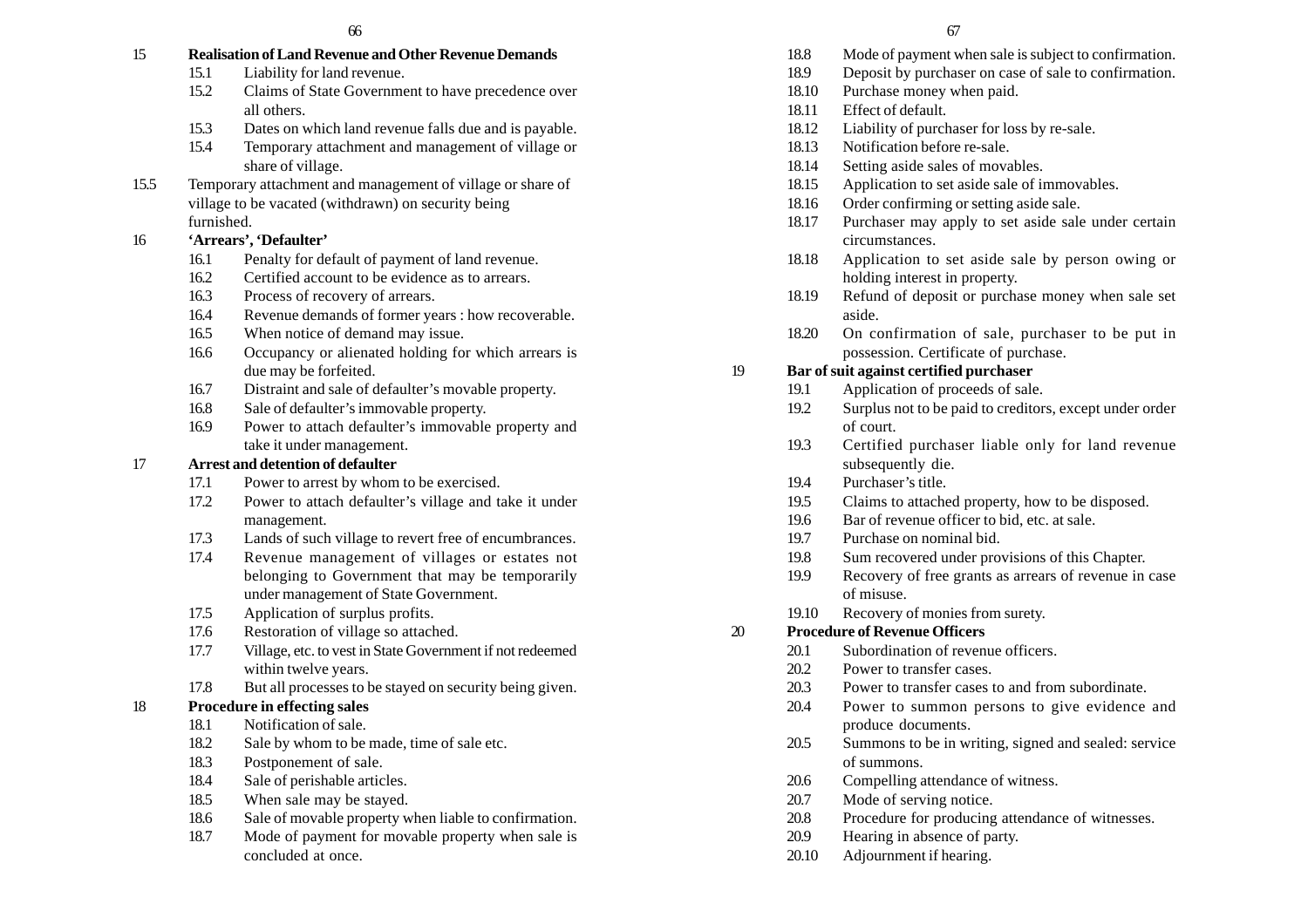# 15 **Realisation of Land Revenue and Other Revenue Demands**

- 15.1 Liability for land revenue.
- 15.2 Claims of State Government to have precedence over all others.
- 15.3 Dates on which land revenue falls due and is payable.
- 15.4 Temporary attachment and management of village or share of village.
- 15.5 Temporary attachment and management of village or share of village to be vacated (withdrawn) on security being furnished.

# 16 **'Arrears', 'Defaulter'**

- 16.1 Penalty for default of payment of land revenue.
- 16.2 Certified account to be evidence as to arrears.
- 16.3 Process of recovery of arrears.
- 16.4 Revenue demands of former years : how recoverable.
- 16.5 When notice of demand may issue.
- 16.6 Occupancy or alienated holding for which arrears is due may be forfeited.
- 16.7 Distraint and sale of defaulter's movable property.
- 16.8 Sale of defaulter's immovable property.
- 16.9 Power to attach defaulter's immovable property and take it under management.

# 17 **Arrest and detention of defaulter**

- 17.1 Power to arrest by whom to be exercised.
- 17.2 Power to attach defaulter's village and take it under management.
- 17.3 Lands of such village to revert free of encumbrances.
- 17.4 Revenue management of villages or estates not belonging to Government that may be temporarily under management of State Government.
- 17.5 Application of surplus profits.
- 17.6 Restoration of village so attached.
- 17.7 Village, etc. to vest in State Government if not redeemed within twelve years.
- 17.8 But all processes to be stayed on security being given.

# 18 **Procedure in effecting sales**

- 18.1 Notification of sale.
- 18.2 Sale by whom to be made, time of sale etc.
- 18.3 Postponement of sale.
- 18.4 Sale of perishable articles.
- 18.5 When sale may be stayed.
- 18.6 Sale of movable property when liable to confirmation.
- 18.7 Mode of payment for movable property when sale is concluded at once.
- 18.8 Mode of payment when sale is subject to confirmation.
- 18.9 Deposit by purchaser on case of sale to confirmation.
- 18.10 Purchase money when paid.
- 18.11 Effect of default.
- 18.12 Liability of purchaser for loss by re-sale.
- 18.13 Notification before re-sale.
- 18.14 Setting aside sales of movables.
- 18.15 Application to set aside sale of immovables.
- 18.16 Order confirming or setting aside sale.
- 18.17 Purchaser may apply to set aside sale under certain circumstances.
- 18.18 Application to set aside sale by person owing or holding interest in property.
- 18.19 Refund of deposit or purchase money when sale set aside.
- 18.20 On confirmation of sale, purchaser to be put in possession. Certificate of purchase.

# 19 **Bar of suit against certified purchaser**

- 19.1 Application of proceeds of sale.
- 19.2 Surplus not to be paid to creditors, except under order of court.
- 19.3 Certified purchaser liable only for land revenue subsequently die.
- 19.4 Purchaser's title.
- 19.5 Claims to attached property, how to be disposed.
- 19.6 Bar of revenue officer to bid, etc. at sale.
- 19.7 Purchase on nominal bid.
- 19.8 Sum recovered under provisions of this Chapter.
- 19.9 Recovery of free grants as arrears of revenue in case of misuse.
- 19.10 Recovery of monies from surety.

# 20 **Procedure of Revenue Officers**

- 20.1 Subordination of revenue officers.
	- 20.2 Power to transfer cases.
	- 20.3 Power to transfer cases to and from subordinate.
	- 20.4 Power to summon persons to give evidence and produce documents.
	- 20.5 Summons to be in writing, signed and sealed: service of summons.
	- 20.6 Compelling attendance of witness.
	- 20.7 Mode of serving notice.
	- 20.8 Procedure for producing attendance of witnesses.
	- 20.9 Hearing in absence of party.
	- 20.10 Adjournment if hearing.
- - -
- 
-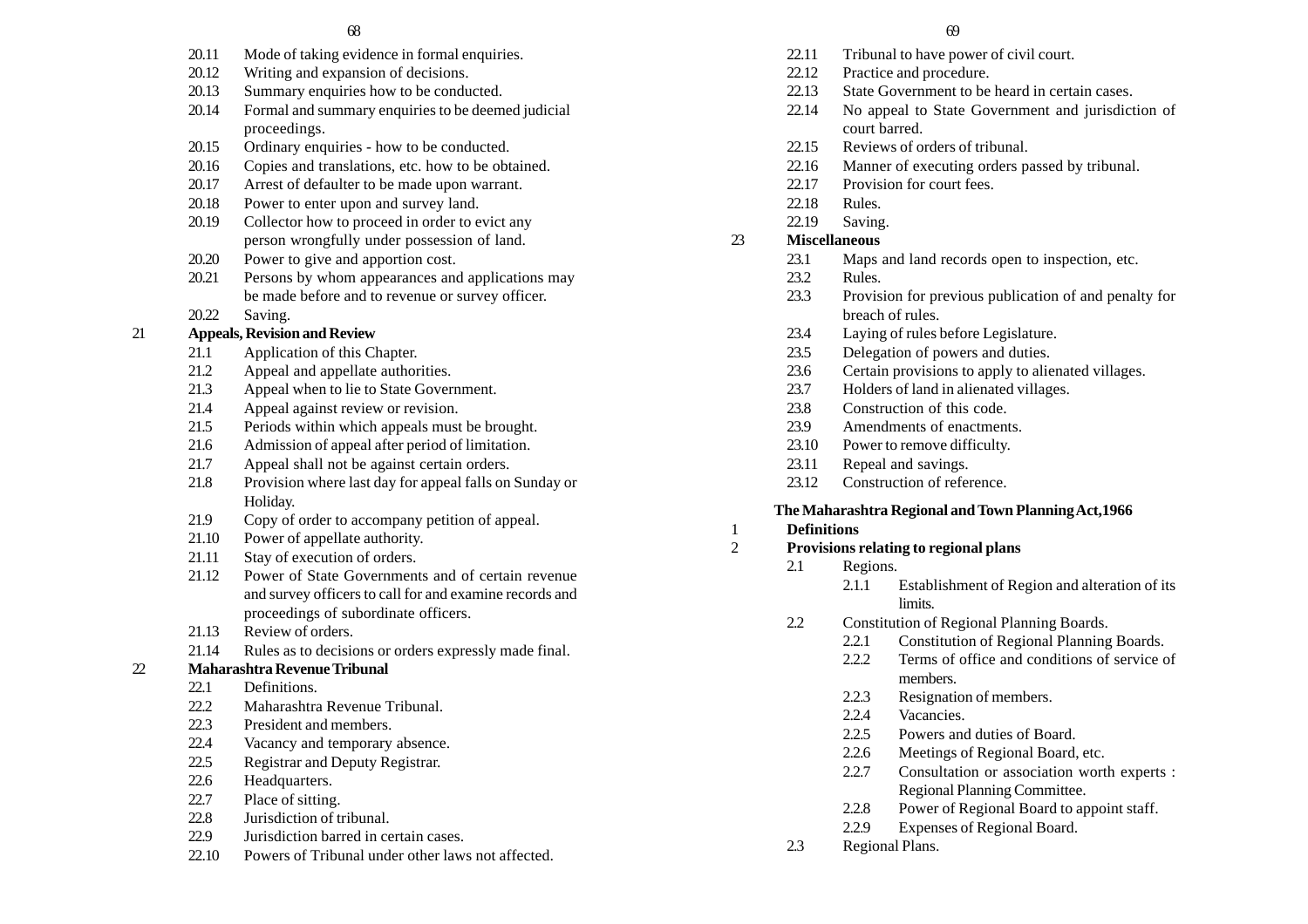- 20.11 Mode of taking evidence in formal enquiries.
- 20.12 Writing and expansion of decisions.
- 20.13 Summary enquiries how to be conducted.
- 20.14 Formal and summary enquiries to be deemed judicial proceedings.
- 20.15 Ordinary enquiries how to be conducted.
- 20.16 Copies and translations, etc. how to be obtained.
- 20.17 Arrest of defaulter to be made upon warrant.
- 20.18 Power to enter upon and survey land.
- 20.19 Collector how to proceed in order to evict any person wrongfully under possession of land.
- 20.20 Power to give and apportion cost.
- 20.21 Persons by whom appearances and applications may be made before and to revenue or survey officer.
- 20.22 Saving.

# 21 **Appeals, Revision and Review**

- 21.1 Application of this Chapter.
- 21.2 Appeal and appellate authorities.
- 21.3 Appeal when to lie to State Government.
- 21.4 Appeal against review or revision.
- 21.5 Periods within which appeals must be brought.
- 21.6 Admission of appeal after period of limitation.
- 21.7 Appeal shall not be against certain orders.
- 21.8 Provision where last day for appeal falls on Sunday or Holiday.
- 21.9 Copy of order to accompany petition of appeal.
- 21.10 Power of appellate authority.
- 21.11 Stay of execution of orders.
- 21.12 Power of State Governments and of certain revenue and survey officers to call for and examine records and proceedings of subordinate officers.
- 21.13 Review of orders.
- 21.14 Rules as to decisions or orders expressly made final.
- 22 **Maharashtra Revenue Tribunal**
	- 22.1 Definitions.
	- 22.2 Maharashtra Revenue Tribunal.
	- 22.3 President and members.
	- 22.4 Vacancy and temporary absence.
	- 22.5 Registrar and Deputy Registrar.
	- 22.6 Headquarters.
	- 22.7 Place of sitting.
	- 22.8 Jurisdiction of tribunal.
	- 22.9 Jurisdiction barred in certain cases.
	- 22.10 Powers of Tribunal under other laws not affected.
- 22.11 Tribunal to have power of civil court.
- 22.12 Practice and procedure.
- 22.13 State Government to be heard in certain cases.
- 22.14 No appeal to State Government and jurisdiction of court barred.
- 22.15 Reviews of orders of tribunal.
- 22.16 Manner of executing orders passed by tribunal.
- 22.17 Provision for court fees.
- 22.18 Rules.
- 22.19 Saving.

# 23 **Miscellaneous**

- 23.1 Maps and land records open to inspection, etc.
- 23.2 Rules.
- 23.3 Provision for previous publication of and penalty for breach of rules.
- 23.4 Laying of rules before Legislature.
- 23.5 Delegation of powers and duties.
- 23.6 Certain provisions to apply to alienated villages.
- 23.7 Holders of land in alienated villages.
- 23.8 Construction of this code.
- 23.9 Amendments of enactments.
- 23.10 Power to remove difficulty.
- 23.11 Repeal and savings.
- 23.12 Construction of reference.

# **The Maharashtra Regional and Town Planning Act,1966**

- 1 **Definitions**
- 2 **Provisions relating to regional plans**
	- 2.1 Regions.
		- 2.1.1 Establishment of Region and alteration of its limits.
	- 2.2 Constitution of Regional Planning Boards.
		- 2.2.1 Constitution of Regional Planning Boards.
		- 2.2.2 Terms of office and conditions of service of members.
		- 2.2.3 Resignation of members.
		- 2.2.4 Vacancies.
		- 2.2.5 Powers and duties of Board.
		- 2.2.6 Meetings of Regional Board, etc.
		- 2.2.7 Consultation or association worth experts : Regional Planning Committee.
		- 2.2.8 Power of Regional Board to appoint staff.
		- 2.2.9 Expenses of Regional Board.
	- 2.3 Regional Plans.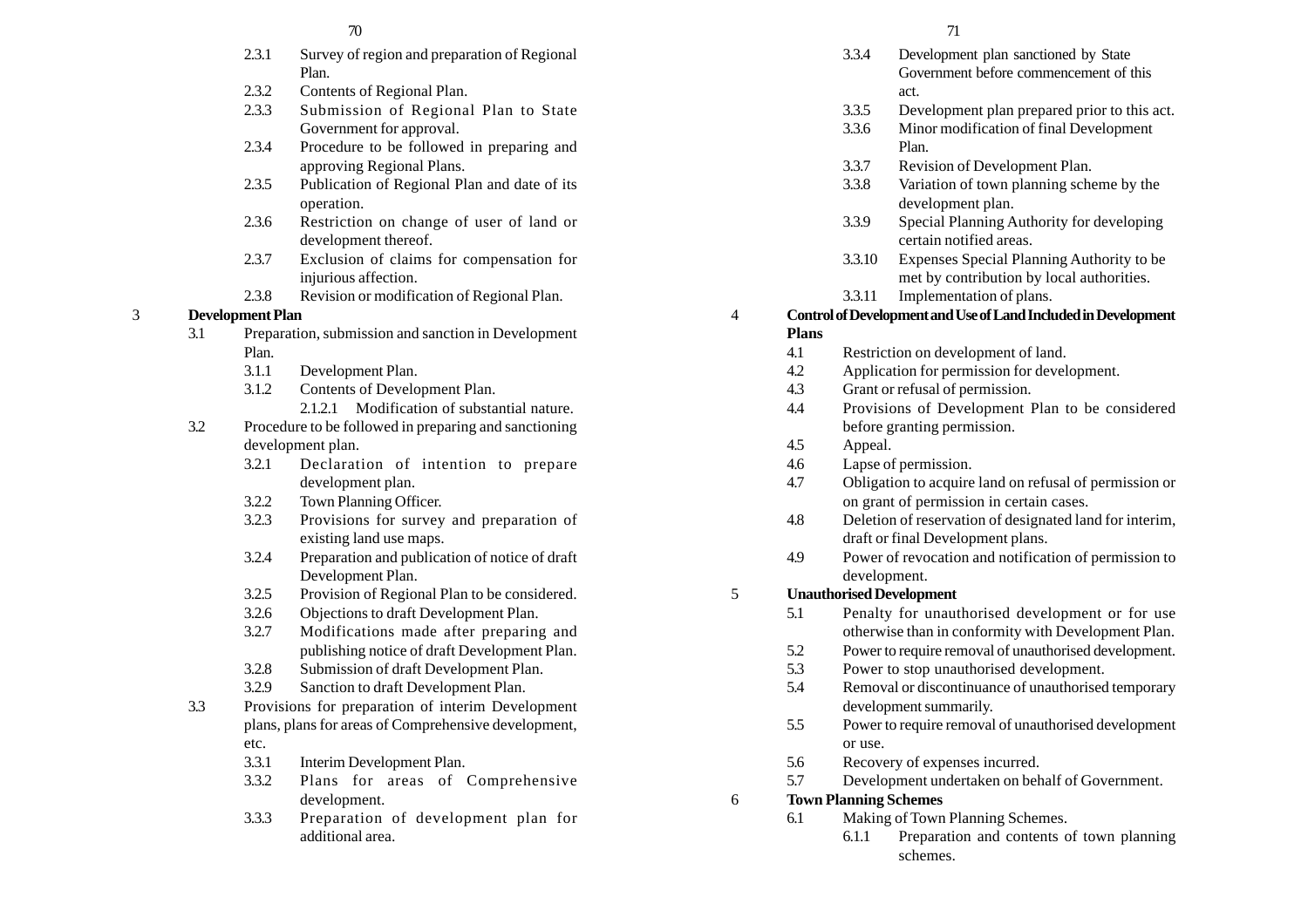#### $70$   $71$

- 2.3.1 Survey of region and preparation of Regional Plan.
- 2.3.2 Contents of Regional Plan.
- 2.3.3 Submission of Regional Plan to State Government for approval.
- 2.3.4 Procedure to be followed in preparing and approving Regional Plans.
- 2.3.5 Publication of Regional Plan and date of its operation.
- 2.3.6 Restriction on change of user of land or development thereof.
- 2.3.7 Exclusion of claims for compensation for injurious affection.
- 2.3.8 Revision or modification of Regional Plan.

# 3 **Development Plan**

- 3.1 Preparation, submission and sanction in Development Plan.
	- 3.1.1 Development Plan.
	- 3.1.2 Contents of Development Plan.
		- 2.1.2.1 Modification of substantial nature.
- 3.2 Procedure to be followed in preparing and sanctioning development plan.
	- 3.2.1 Declaration of intention to prepare development plan.
	- 3.2.2 Town Planning Officer.
	- 3.2.3 Provisions for survey and preparation of existing land use maps.
	- 3.2.4 Preparation and publication of notice of draft Development Plan.
	- 3.2.5 Provision of Regional Plan to be considered.
	- 3.2.6 Objections to draft Development Plan.
	- 3.2.7 Modifications made after preparing and publishing notice of draft Development Plan.
	- 3.2.8 Submission of draft Development Plan.
	- 3.2.9 Sanction to draft Development Plan.
- 3.3 Provisions for preparation of interim Development plans, plans for areas of Comprehensive development, etc.
	- 3.3.1 Interim Development Plan.
	- 3.3.2 Plans for areas of Comprehensive development.
	- 3.3.3 Preparation of development plan for additional area.

- 3.3.4 Development plan sanctioned by State Government before commencement of this act.
- 3.3.5 Development plan prepared prior to this act.
- 3.3.6 Minor modification of final Development Plan.
- 3.3.7 Revision of Development Plan.
- 3.3.8 Variation of town planning scheme by the development plan.
- 3.3.9 Special Planning Authority for developing certain notified areas.
- 3.3.10 Expenses Special Planning Authority to be met by contribution by local authorities.
- 3.3.11 Implementation of plans.

# 4 **Control of Development and Use of Land Included in Development Plans**

- 4.1 Restriction on development of land.
- 4.2 Application for permission for development.
- 4.3 Grant or refusal of permission.
- 4.4 Provisions of Development Plan to be considered before granting permission.
- 4.5 Appeal.
- 4.6 Lapse of permission.
- 4.7 Obligation to acquire land on refusal of permission or on grant of permission in certain cases.
- 4.8 Deletion of reservation of designated land for interim, draft or final Development plans.
- 4.9 Power of revocation and notification of permission to development.

# 5 **Unauthorised Development**

- 5.1 Penalty for unauthorised development or for use otherwise than in conformity with Development Plan.
- 5.2 Power to require removal of unauthorised development.
- 5.3 Power to stop unauthorised development.
- 5.4 Removal or discontinuance of unauthorised temporary development summarily.
- 5.5 Power to require removal of unauthorised development or use.
- 5.6 Recovery of expenses incurred.
- 5.7 Development undertaken on behalf of Government.

# 6 **Town Planning Schemes**

- 6.1 Making of Town Planning Schemes.
	- 6.1.1 Preparation and contents of town planning schemes.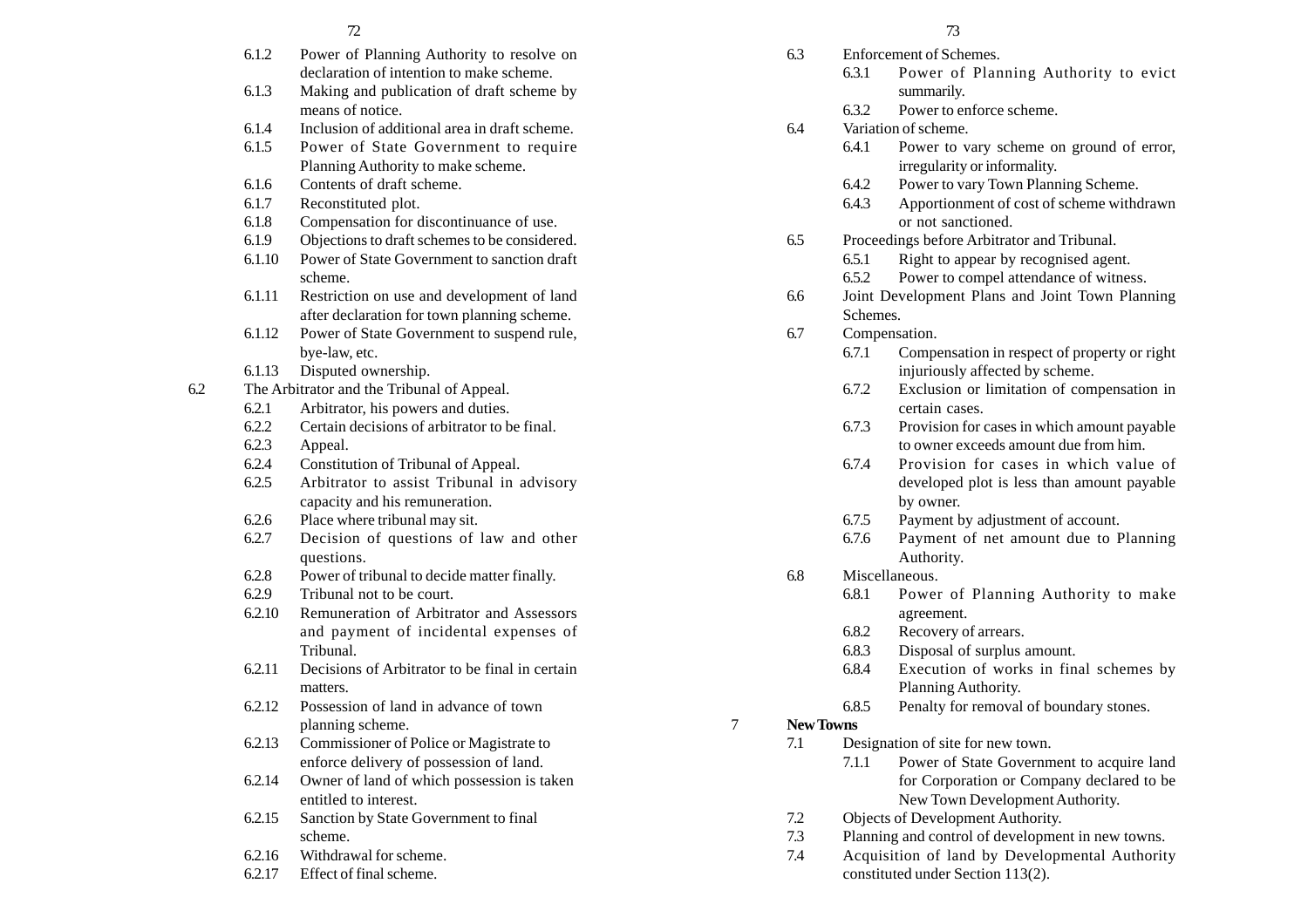|     |        | 72                                             |   |           |          | 73                  |
|-----|--------|------------------------------------------------|---|-----------|----------|---------------------|
|     | 6.1.2  | Power of Planning Authority to resolve on      |   | 6.3       |          | Enforcement of Scl  |
|     |        | declaration of intention to make scheme.       |   |           | 6.3.1    | Power o             |
|     | 6.1.3  | Making and publication of draft scheme by      |   |           |          | summarily           |
|     |        | means of notice.                               |   |           | 6.3.2    | Power to            |
|     | 6.1.4  | Inclusion of additional area in draft scheme.  |   | 6.4       |          | Variation of schem  |
|     | 6.1.5  | Power of State Government to require           |   |           | 6.4.1    | Power to            |
|     |        | Planning Authority to make scheme.             |   |           |          | irregularit         |
|     | 6.1.6  | Contents of draft scheme.                      |   |           | 6.4.2    | Power to            |
|     | 6.1.7  | Reconstituted plot.                            |   |           | 6.4.3    | Apportion           |
|     | 6.1.8  | Compensation for discontinuance of use.        |   |           |          | or not sar          |
|     | 6.1.9  | Objections to draft schemes to be considered.  |   | 6.5       |          | Proceedings before  |
|     | 6.1.10 | Power of State Government to sanction draft    |   |           | 6.5.1    | Right to a          |
|     |        | scheme.                                        |   |           | 6.5.2    | Power to            |
|     | 6.1.11 | Restriction on use and development of land     |   | 6.6       |          | Joint Developmen    |
|     |        | after declaration for town planning scheme.    |   |           | Schemes. |                     |
|     | 6.1.12 | Power of State Government to suspend rule,     |   | 6.7       |          | Compensation.       |
|     |        | bye-law, etc.                                  |   |           | 6.7.1    | Compens             |
|     | 6.1.13 | Disputed ownership.                            |   |           |          | injuriousl          |
| 6.2 |        | The Arbitrator and the Tribunal of Appeal.     |   |           | 6.7.2    | Exclusion           |
|     | 6.2.1  | Arbitrator, his powers and duties.             |   |           |          | certain ca          |
|     | 6.2.2  | Certain decisions of arbitrator to be final.   |   |           | 6.7.3    | Provision           |
|     | 6.2.3  | Appeal.                                        |   |           |          | to owner            |
|     | 6.2.4  | Constitution of Tribunal of Appeal.            |   |           | 6.7.4    | Provisio            |
|     | 6.2.5  | Arbitrator to assist Tribunal in advisory      |   |           |          | developed           |
|     |        | capacity and his remuneration.                 |   |           |          | by owner.           |
|     | 6.2.6  | Place where tribunal may sit.                  |   |           | 6.7.5    | Payment             |
|     | 6.2.7  | Decision of questions of law and other         |   |           | 6.7.6    | Payment             |
|     |        | questions.                                     |   |           |          | Authority           |
|     | 6.2.8  | Power of tribunal to decide matter finally.    |   | 6.8       |          | Miscellaneous.      |
|     | 6.2.9  | Tribunal not to be court.                      |   |           | 6.8.1    | Power o             |
|     | 6.2.10 | Remuneration of Arbitrator and Assessors       |   |           |          | agreemen            |
|     |        | and payment of incidental expenses of          |   |           | 6.8.2    | Recovery            |
|     |        | Tribunal.                                      |   |           | 6.8.3    | Disposal            |
|     | 6.2.11 | Decisions of Arbitrator to be final in certain |   |           | 6.8.4    | Executio            |
|     |        | matters.                                       |   |           |          | Planning.           |
|     | 6.2.12 | Possession of land in advance of town          |   |           | 6.8.5    | Penalty fo          |
|     |        | planning scheme.                               | 7 | New Towns |          |                     |
|     | 6.2.13 | Commissioner of Police or Magistrate to        |   | 7.1       |          | Designation of site |
|     |        | enforce delivery of possession of land.        |   |           | 7.1.1    | Power of            |
|     | 6.2.14 | Owner of land of which possession is taken     |   |           |          | for Corpo           |
|     |        | entitled to interest.                          |   |           |          | New Tow             |
|     | 6.2.15 | Sanction by State Government to final          |   | 7.2       |          | Objects of Develop  |
|     |        | scheme.                                        |   | 7.3       |          | Planning and contr  |
|     | 6.2.16 | Withdrawal for scheme.                         |   | 7.4       |          | Acquisition of la   |
|     |        |                                                |   |           |          |                     |

6.2.17 Effect of final scheme.

- 6.3 Enforcement of Schemes.
	- 6.3.1 Power of Planning Authority to evict summarily.
	- 6.3.2 Power to enforce scheme.
- 6.4 Variation of scheme.
	- 6.4.1 Power to vary scheme on ground of error, irregularity or informality.
	- 6.4.2 Power to vary Town Planning Scheme.
	- 6.4.3 Apportionment of cost of scheme withdrawn or not sanctioned.
- 6.5 Proceedings before Arbitrator and Tribunal.
	- 6.5.1 Right to appear by recognised agent.
	- 6.5.2 Power to compel attendance of witness.
- 6.6 Joint Development Plans and Joint Town Planning Schemes.
- 6.7 Compensation.
	- 6.7.1 Compensation in respect of property or right injuriously affected by scheme.
	- 6.7.2 Exclusion or limitation of compensation in certain cases.
	- 6.7.3 Provision for cases in which amount payable to owner exceeds amount due from him.
	- 6.7.4 Provision for cases in which value of developed plot is less than amount payable by owner.
	- 6.7.5 Payment by adjustment of account.
	- 6.7.6 Payment of net amount due to Planning Authority.
- 6.8 Miscellaneous.
	- 6.8.1 Power of Planning Authority to make agreement.
	- 6.8.2 Recovery of arrears.
	- 6.8.3 Disposal of surplus amount.
	- 6.8.4 Execution of works in final schemes by Planning Authority.
	- 6.8.5 Penalty for removal of boundary stones.

# 7 **New Towns**

- 7.1 Designation of site for new town.
	- 7.1.1 Power of State Government to acquire land for Corporation or Company declared to be New Town Development Authority.
- 7.2 Objects of Development Authority.
- 7.3 Planning and control of development in new towns.
- 7.4 Acquisition of land by Developmental Authority constituted under Section 113(2).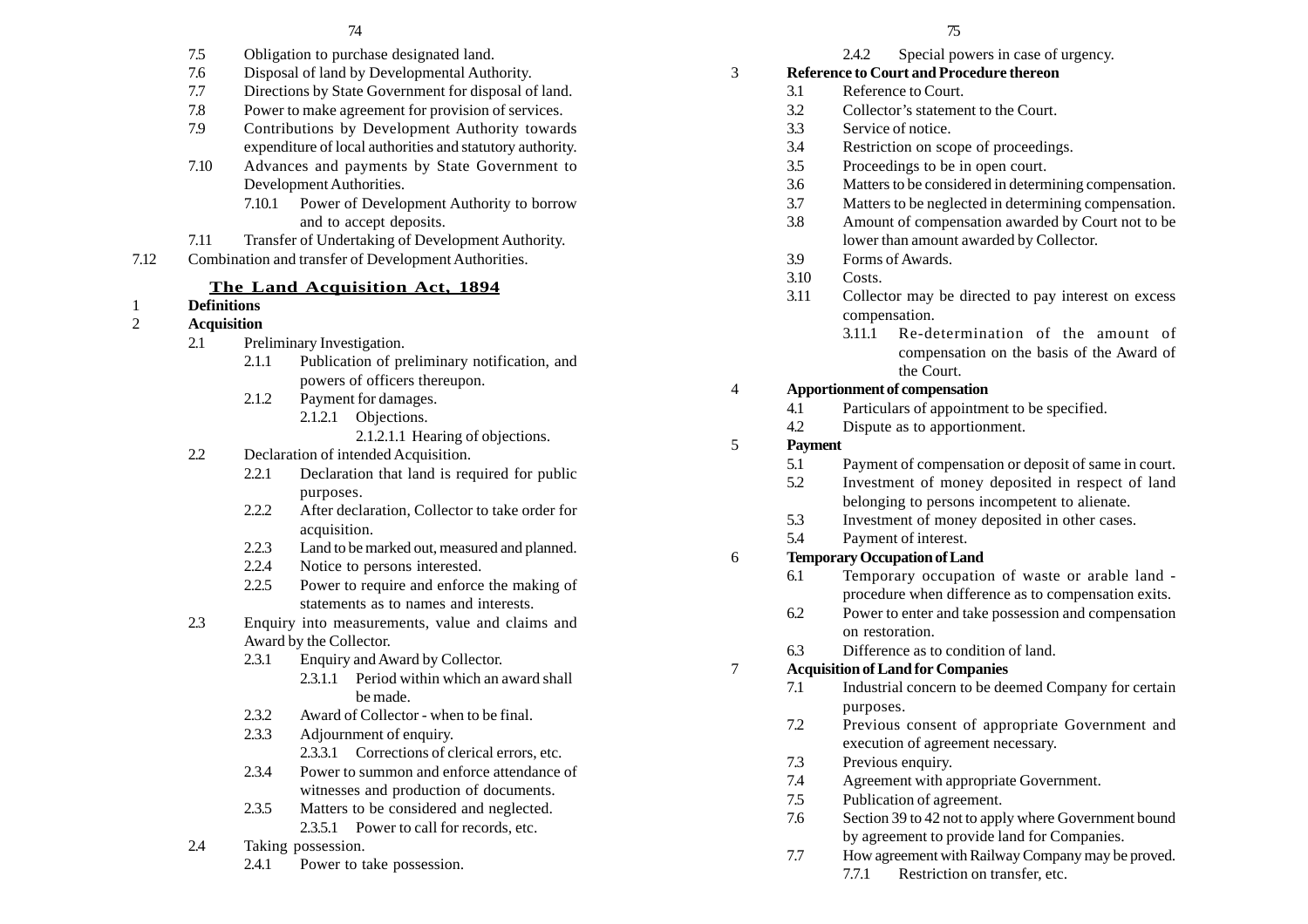- 7.5 Obligation to purchase designated land.
- 7.6 Disposal of land by Developmental Authority.
- 7.7 Directions by State Government for disposal of land.
- 7.8 Power to make agreement for provision of services.
- 7.9 Contributions by Development Authority towards expenditure of local authorities and statutory authority.
- 7.10 Advances and payments by State Government to Development Authorities.
	- 7.10.1 Power of Development Authority to borrow and to accept deposits.
- 7.11 Transfer of Undertaking of Development Authority.
- 7.12 Combination and transfer of Development Authorities.

#### **The Land Acquisition Act, 1894**

# 1 **Definitions**

- 2 **Acquisition**
	- 2.1 Preliminary Investigation.
		- 2.1.1 Publication of preliminary notification, and powers of officers thereupon.
		- 2.1.2 Payment for damages. 2.1.2.1 Objections.
			- 2.1.2.1.1 Hearing of objections.
	- 2.2 Declaration of intended Acquisition.
		- 2.2.1 Declaration that land is required for public purposes.
		- 2.2.2 After declaration, Collector to take order for acquisition.
		- 2.2.3 Land to be marked out, measured and planned.
		- 2.2.4 Notice to persons interested.
		- 2.2.5 Power to require and enforce the making of statements as to names and interests.
	- 2.3 Enquiry into measurements, value and claims and Award by the Collector.
		- 2.3.1 Enquiry and Award by Collector. 2.3.1.1 Period within which an award shall be made.
		- 2.3.2 Award of Collector when to be final.
		- 2.3.3 Adjournment of enquiry. 2.3.3.1 Corrections of clerical errors, etc.
		- 2.3.4 Power to summon and enforce attendance of witnesses and production of documents.
		- 2.3.5 Matters to be considered and neglected. 2.3.5.1 Power to call for records, etc.
	- 2.4 Taking possession.
		- 2.4.1 Power to take possession.
- 2.4.2 Special powers in case of urgency.
- 3 **Reference to Court and Procedure thereon**
	- 3.1 Reference to Court.
	- 3.2 Collector's statement to the Court.
	- 3.3 Service of notice.
	- 3.4 Restriction on scope of proceedings.
	- 3.5 Proceedings to be in open court.
	- 3.6 Matters to be considered in determining compensation.
	- 3.7 Matters to be neglected in determining compensation.
	- 3.8 Amount of compensation awarded by Court not to be lower than amount awarded by Collector.
	- 3.9 Forms of Awards.
	- 3.10 Costs.
	- 3.11 Collector may be directed to pay interest on excess compensation.
		- 3.11.1 Re-determination of the amount of compensation on the basis of the Award of the Court.

#### 4 **Apportionment of compensation**

- 4.1 Particulars of appointment to be specified.
- 4.2 Dispute as to apportionment.

#### 5 **Payment**

- 5.1 Payment of compensation or deposit of same in court.
- 5.2 Investment of money deposited in respect of land belonging to persons incompetent to alienate.
- 5.3 Investment of money deposited in other cases.
- 5.4 Payment of interest.

#### 6 **Temporary Occupation of Land**

- 6.1 Temporary occupation of waste or arable land procedure when difference as to compensation exits.
- 6.2 Power to enter and take possession and compensation on restoration.
- 6.3 Difference as to condition of land.

#### 7 **Acquisition of Land for Companies**

- 7.1 Industrial concern to be deemed Company for certain purposes.
- 7.2 Previous consent of appropriate Government and execution of agreement necessary.
- 7.3 Previous enquiry.
- 7.4 Agreement with appropriate Government.
- 7.5 Publication of agreement.
- 7.6 Section 39 to 42 not to apply where Government bound by agreement to provide land for Companies.
- 7.7 How agreement with Railway Company may be proved.
	- 7.7.1 Restriction on transfer, etc.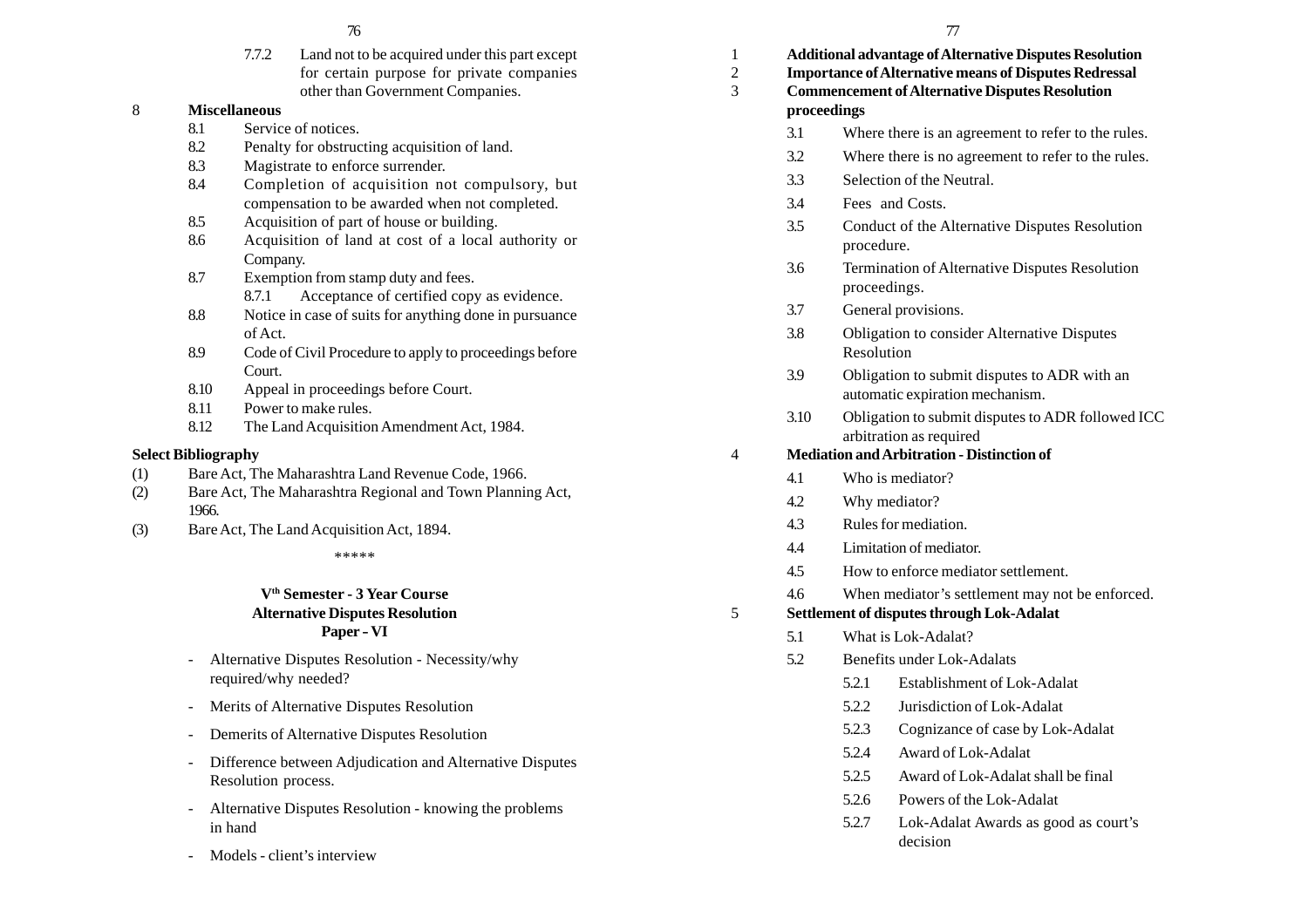7.7.2 Land not to be acquired under this part except for certain purpose for private companies other than Government Companies.

## 8 **Miscellaneous**

- 8.1 Service of notices.
- 8.2 Penalty for obstructing acquisition of land.
- 8.3 Magistrate to enforce surrender.
- 8.4 Completion of acquisition not compulsory, but compensation to be awarded when not completed.
- 8.5 Acquisition of part of house or building.
- 8.6 Acquisition of land at cost of a local authority or Company.
- 8.7 Exemption from stamp duty and fees.
	- 8.7.1 Acceptance of certified copy as evidence.
- 8.8 Notice in case of suits for anything done in pursuance of Act.
- 8.9 Code of Civil Procedure to apply to proceedings before Court.
- 8.10 Appeal in proceedings before Court.
- 8.11 Power to make rules.
- 8.12 The Land Acquisition Amendment Act, 1984.

#### **Select Bibliography**

- (1) Bare Act, The Maharashtra Land Revenue Code, 1966.
- (2) Bare Act, The Maharashtra Regional and Town Planning Act, 1966.
- (3) Bare Act, The Land Acquisition Act, 1894.

\*\*\*\*\*

## **Vth Semester - 3 Year Course Alternative Disputes Resolution Paper - VI**

- Alternative Disputes Resolution Necessity/why required/why needed?
- Merits of Alternative Disputes Resolution
- -Demerits of Alternative Disputes Resolution
- - Difference between Adjudication and Alternative Disputes Resolution process.
- Alternative Disputes Resolution knowing the problems in hand
- Models client's interview

| 1<br>2<br>3 | proceedings | <b>Additional advantage of Alternative Disputes Resolution</b><br><b>Importance of Alternative means of Disputes Redressal</b><br><b>Commencement of Alternative Disputes Resolution</b> |                                                                                 |  |  |  |
|-------------|-------------|------------------------------------------------------------------------------------------------------------------------------------------------------------------------------------------|---------------------------------------------------------------------------------|--|--|--|
|             | 3.1         |                                                                                                                                                                                          | Where there is an agreement to refer to the rules.                              |  |  |  |
|             | 3.2         |                                                                                                                                                                                          | Where there is no agreement to refer to the rules.                              |  |  |  |
|             | 3.3         |                                                                                                                                                                                          | Selection of the Neutral.                                                       |  |  |  |
|             | 3.4         |                                                                                                                                                                                          | Fees and Costs.                                                                 |  |  |  |
|             | 3.5         | procedure.                                                                                                                                                                               | Conduct of the Alternative Disputes Resolution                                  |  |  |  |
|             | 3.6         | proceedings.                                                                                                                                                                             | Termination of Alternative Disputes Resolution                                  |  |  |  |
|             | 3.7         |                                                                                                                                                                                          | General provisions.                                                             |  |  |  |
|             | 3.8         | Resolution                                                                                                                                                                               | <b>Obligation to consider Alternative Disputes</b>                              |  |  |  |
|             | 3.9         |                                                                                                                                                                                          | Obligation to submit disputes to ADR with an<br>automatic expiration mechanism. |  |  |  |
|             | 3.10        |                                                                                                                                                                                          | Obligation to submit disputes to ADR followed ICC<br>arbitration as required    |  |  |  |
| 4           |             | <b>Mediation and Arbitration - Distinction of</b>                                                                                                                                        |                                                                                 |  |  |  |
|             | 4.1         |                                                                                                                                                                                          | Who is mediator?                                                                |  |  |  |
|             | 4.2         |                                                                                                                                                                                          | Why mediator?                                                                   |  |  |  |
| 4.3         |             |                                                                                                                                                                                          | Rules for mediation.                                                            |  |  |  |
|             | 4.4         |                                                                                                                                                                                          | Limitation of mediator.                                                         |  |  |  |
|             | 4.5         |                                                                                                                                                                                          | How to enforce mediator settlement.                                             |  |  |  |
|             | 4.6         |                                                                                                                                                                                          | When mediator's settlement may not be enforced.                                 |  |  |  |
| 5           |             | Settlement of disputes through Lok-Adalat                                                                                                                                                |                                                                                 |  |  |  |
|             | 5.1         |                                                                                                                                                                                          | What is Lok-Adalat?                                                             |  |  |  |
|             | 5.2         |                                                                                                                                                                                          | Benefits under Lok-Adalats                                                      |  |  |  |
|             |             | 5.2.1                                                                                                                                                                                    | Establishment of Lok-Adalat                                                     |  |  |  |
|             |             | 5.2.2                                                                                                                                                                                    | Jurisdiction of Lok-Adalat                                                      |  |  |  |
|             |             | 5.2.3                                                                                                                                                                                    | Cognizance of case by Lok-Adalat                                                |  |  |  |
|             |             | 5.2.4                                                                                                                                                                                    | Award of Lok-Adalat                                                             |  |  |  |
|             |             | 5.2.5                                                                                                                                                                                    | Award of Lok-Adalat shall be final                                              |  |  |  |

- 5.2.6 Powers of the Lok-Adalat
- 5.2.7 Lok-Adalat Awards as good as court's decision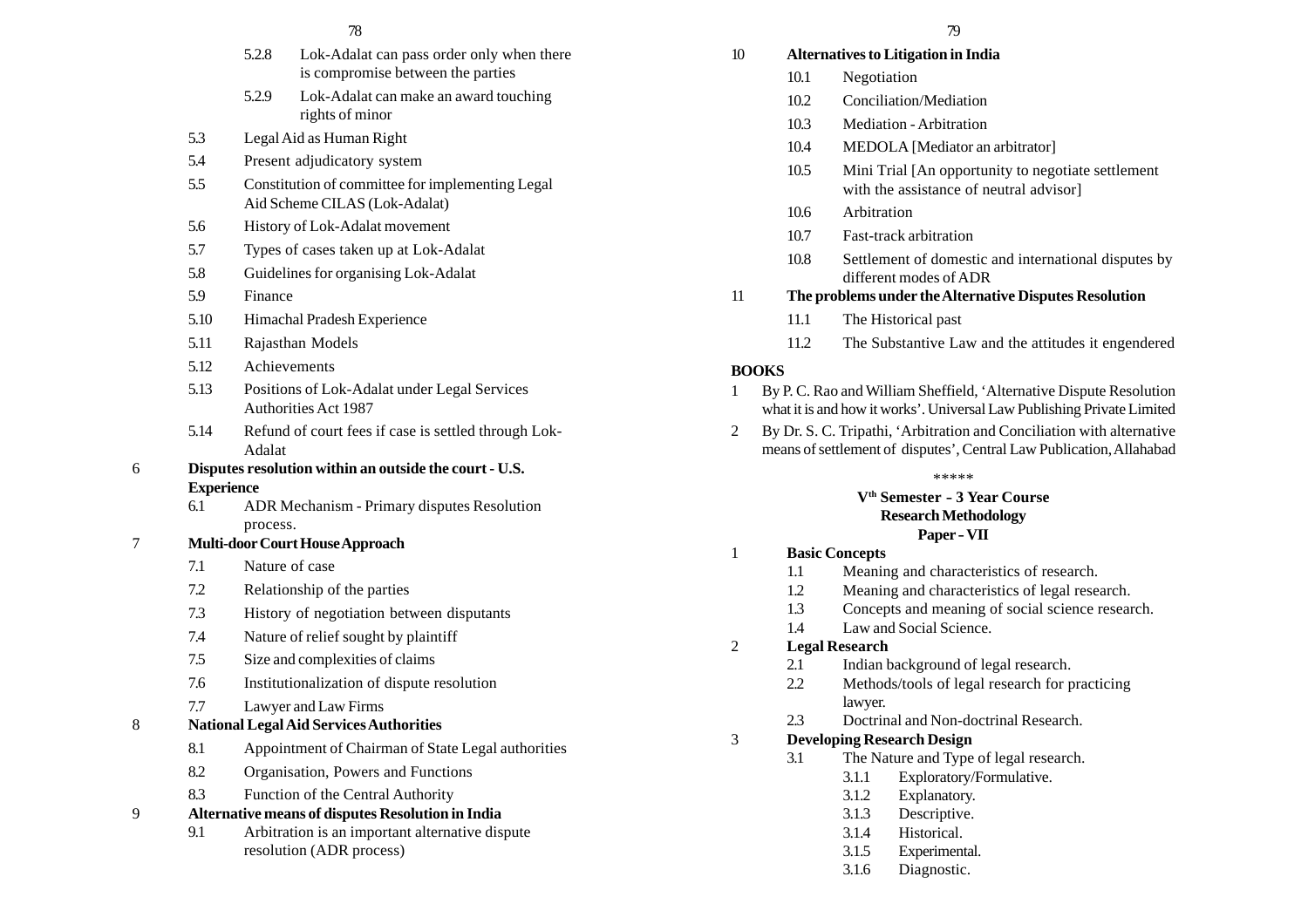- 5.2.8 Lok-Adalat can pass order only when there is compromise between the parties
- 5.2.9 Lok-Adalat can make an award touching rights of minor
- 5.3 Legal Aid as Human Right
- 5.4 Present adjudicatory system
- 5.5 Constitution of committee for implementing Legal Aid Scheme CILAS (Lok-Adalat)
- 5.6 History of Lok-Adalat movement
- 5.7 Types of cases taken up at Lok-Adalat
- 5.8 Guidelines for organising Lok-Adalat
- 5.9 Finance
- 5.10 Himachal Pradesh Experience
- 5.11 Rajasthan Models
- 5.12 Achievements
- 5.13 Positions of Lok-Adalat under Legal Services Authorities Act 1987
- 5.14 Refund of court fees if case is settled through Lok-Adalat
- 6 **Disputes resolution within an outside the court U.S. Experience**
	- 6.1 ADR Mechanism Primary disputes Resolution process.
- 7 **Multi-door Court House Approach**
	- 7.1 Nature of case
	- 7.2 Relationship of the parties
	- 7.3 History of negotiation between disputants
	- 7.4 Nature of relief sought by plaintiff
	- 7.5 Size and complexities of claims
	- 7.6 Institutionalization of dispute resolution
	- 7.7 Lawyer and Law Firms
- 8 **National Legal Aid Services Authorities**
	- 8.1 Appointment of Chairman of State Legal authorities
	- 8.2 Organisation, Powers and Functions
	- 8.3 Function of the Central Authority
- 9 **Alternative means of disputes Resolution in India**
	- 9.1 Arbitration is an important alternative dispute resolution (ADR process)
- 
- 10 **Alternatives to Litigation in India**
	- 10.1 Negotiation
	- 10.2 Conciliation/Mediation
	- 10.3 Mediation Arbitration
	- 10.4 MEDOLA [Mediator an arbitrator]
	- 10.5 Mini Trial [An opportunity to negotiate settlement with the assistance of neutral advisor]
	- 10.6 Arbitration
	- 10.7 Fast-track arbitration
	- 10.8 Settlement of domestic and international disputes by different modes of ADR
- 11 **The problems under the Alternative Disputes Resolution**
	- 11.1 The Historical past
	- 11.2 The Substantive Law and the attitudes it engendered

## **BOOKS**

- 1 By P. C. Rao and William Sheffield, 'Alternative Dispute Resolution what it is and how it works'. Universal Law Publishing Private Limited
- 2 By Dr. S. C. Tripathi, 'Arbitration and Conciliation with alternative means of settlement of disputes', Central Law Publication, Allahabad

#### \*\*\*\*\*

#### **Vth Semester - 3 Year Course Research Methodology Paper - VII**

- 1 **Basic Concepts**
	- 1.1 Meaning and characteristics of research.
	- 1.2 Meaning and characteristics of legal research.
	- 1.3 Concepts and meaning of social science research.
	- 1.4 Law and Social Science.

## 2 **Legal Research**

- 2.1 Indian background of legal research.
- 2.2 Methods/tools of legal research for practicing lawyer.
- 2.3 Doctrinal and Non-doctrinal Research.

# 3 **Developing Research Design**

- 3.1 The Nature and Type of legal research.
	- 3.1.1 Exploratory/Formulative.
	- 3.1.2 Explanatory.
	- 3.1.3 Descriptive.
	- 3.1.4 Historical.
	- 3.1.5 Experimental.
	- 3.1.6 Diagnostic.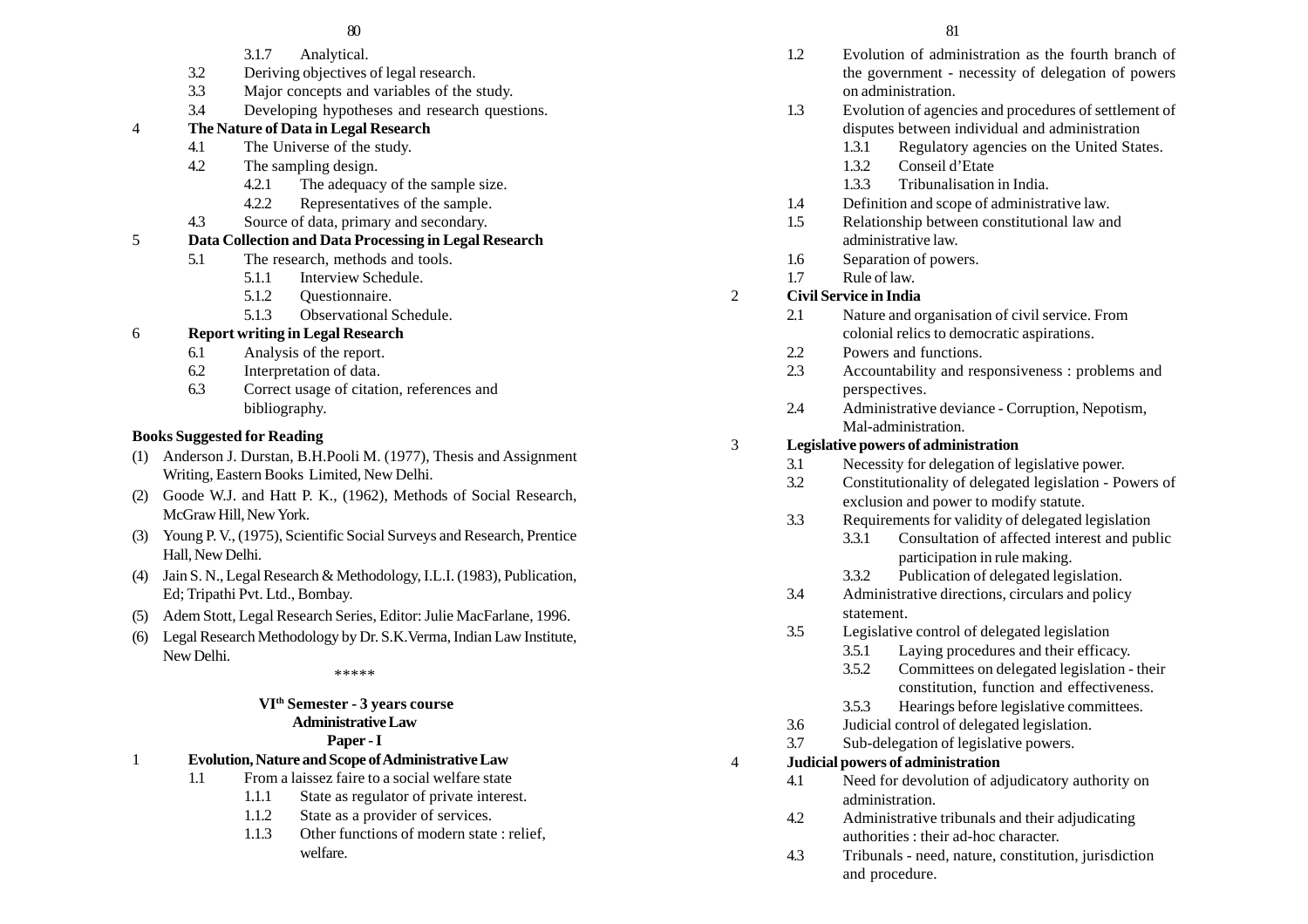## $80$  81

- 3.1.7 Analytical.
- 3.2 Deriving objectives of legal research.
- 3.3 Major concepts and variables of the study.
- 3.4 Developing hypotheses and research questions.

## 4 **The Nature of Data in Legal Research**

- 4.1 The Universe of the study.
- 4.2 The sampling design.
	- 4.2.1 The adequacy of the sample size.
	- 4.2.2 Representatives of the sample.
- 4.3 Source of data, primary and secondary.

# 5 **Data Collection and Data Processing in Legal Research**

- 5.1 The research, methods and tools.
	- 5.1.1 Interview Schedule.
	- 5.1.2 Questionnaire.
	- 5.1.3 Observational Schedule.

# 6 **Report writing in Legal Research**

- 6.1 Analysis of the report.
- 6.2 Interpretation of data.
- 6.3 Correct usage of citation, references and bibliography.

# **Books Suggested for Reading**

- (1) Anderson J. Durstan, B.H.Pooli M. (1977), Thesis and Assignment Writing, Eastern Books Limited, New Delhi.
- (2) Goode W.J. and Hatt P. K., (1962), Methods of Social Research, McGraw Hill, New York.
- (3) Young P. V., (1975), Scientific Social Surveys and Research, Prentice Hall, New Delhi.
- (4) Jain S. N., Legal Research & Methodology, I.L.I. (1983), Publication, Ed; Tripathi Pvt. Ltd., Bombay.
- (5) Adem Stott, Legal Research Series, Editor: Julie MacFarlane, 1996.
- (6) Legal Research Methodology by Dr. S.K.Verma, Indian Law Institute, New Delhi.

#### \*\*\*\*\*

# **VIth Semester - 3 years course Administrative Law**

# **Paper - I**

- 1 **Evolution, Nature and Scope of Administrative Law**
	- 1.1 From a laissez faire to a social welfare state
		- 1.1.1 State as regulator of private interest.
		- 1.1.2 State as a provider of services.
		- 1.1.3 Other functions of modern state : relief, welfare.
- 1.2 Evolution of administration as the fourth branch of the government - necessity of delegation of powers on administration.
- 1.3 Evolution of agencies and procedures of settlement of disputes between individual and administration
	- 1.3.1 Regulatory agencies on the United States.
	- 1.3.2 Conseil d'Etate
	- 1.3.3 Tribunalisation in India.
- 1.4 Definition and scope of administrative law.
- 1.5 Relationship between constitutional law and administrative law.
- 1.6 Separation of powers.
- 1.7 Rule of law.

# 2 **Civil Service in India**

- 2.1 Nature and organisation of civil service. From colonial relics to democratic aspirations.
- 2.2 Powers and functions.
- 2.3 Accountability and responsiveness : problems and perspectives.
- 2.4 Administrative deviance Corruption, Nepotism, Mal-administration.

# 3 **Legislative powers of administration**

- 3.1 Necessity for delegation of legislative power.
- 3.2 Constitutionality of delegated legislation Powers of exclusion and power to modify statute.
- 3.3 Requirements for validity of delegated legislation
	- 3.3.1 Consultation of affected interest and public participation in rule making.
	- 3.3.2 Publication of delegated legislation.
- 3.4 Administrative directions, circulars and policy statement.
- 3.5 Legislative control of delegated legislation
	- 3.5.1 Laying procedures and their efficacy.
	- 3.5.2 Committees on delegated legislation their constitution, function and effectiveness.
	- 3.5.3 Hearings before legislative committees.
- 3.6 Judicial control of delegated legislation.
- 3.7 Sub-delegation of legislative powers.

# 4 **Judicial powers of administration**

- 4.1 Need for devolution of adjudicatory authority on administration.
- 4.2 Administrative tribunals and their adjudicating authorities : their ad-hoc character.
- 4.3 Tribunals need, nature, constitution, jurisdiction and procedure.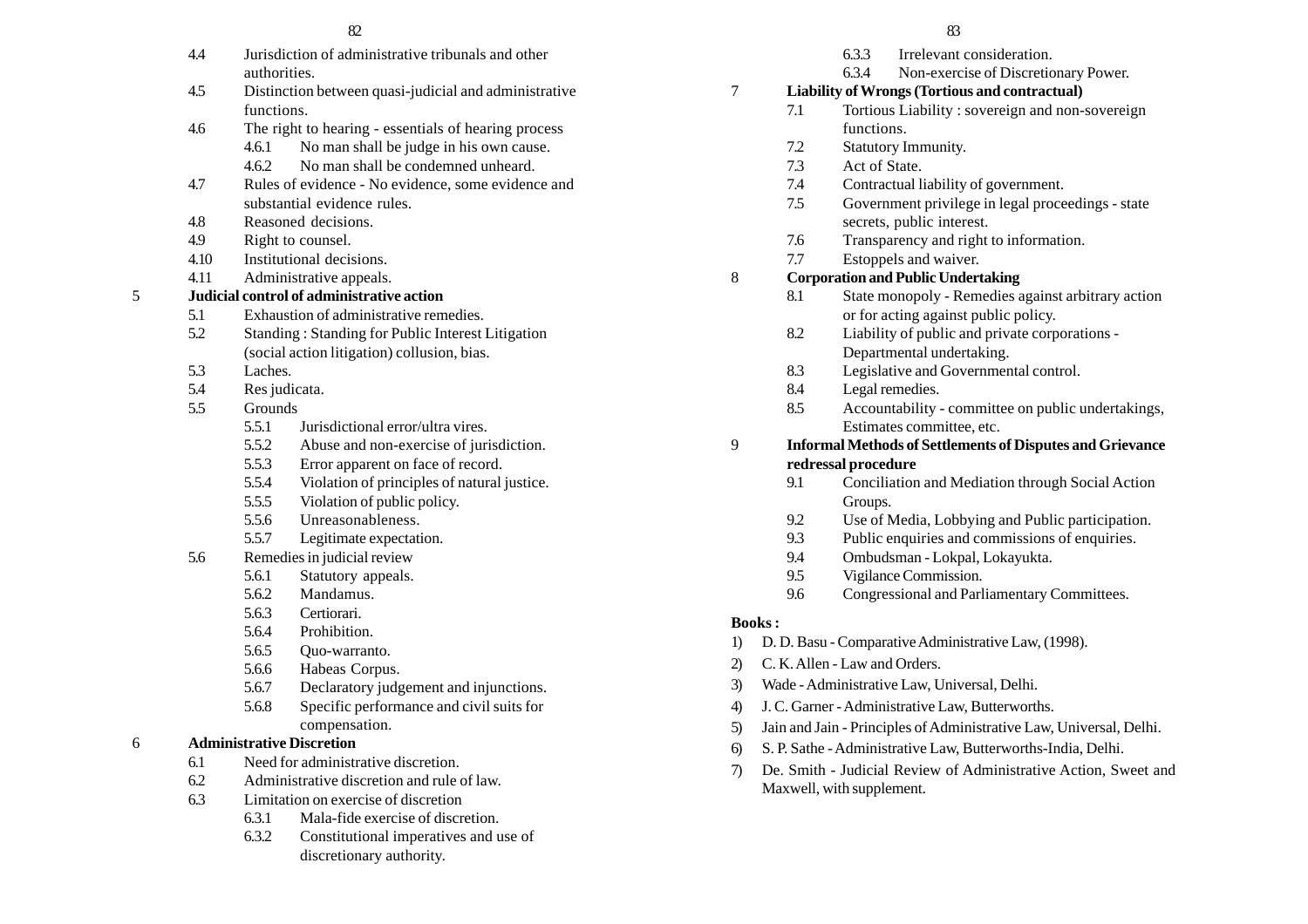- 4.4 Jurisdiction of administrative tribunals and other authorities.
- 4.5 Distinction between quasi-judicial and administrative functions.
- 4.6 The right to hearing essentials of hearing process
	- 4.6.1 No man shall be judge in his own cause.
	- 4.6.2 No man shall be condemned unheard.
- 4.7 Rules of evidence No evidence, some evidence and substantial evidence rules.
- 4.8 Reasoned decisions.
- 4.9 Right to counsel.
- 4.10 Institutional decisions.
- 4.11 Administrative appeals.

# 5 **Judicial control of administrative action**

- 5.1 Exhaustion of administrative remedies.
- 5.2 Standing : Standing for Public Interest Litigation (social action litigation) collusion, bias.
- 5.3 Laches.
- 5.4 Res judicata.
- 5.5 Grounds
	- 5.5.1 Jurisdictional error/ultra vires.
	- 5.5.2 Abuse and non-exercise of jurisdiction.
	- 5.5.3 Error apparent on face of record.
	- 5.5.4 Violation of principles of natural justice.
	- 5.5.5 Violation of public policy.
	- 5.5.6 Unreasonableness.
	- 5.5.7 Legitimate expectation.
- 5.6 Remedies in judicial review
	- 5.6.1 Statutory appeals.
	- 5.6.2 Mandamus.
	- 5.6.3 Certiorari.
	- 5.6.4 Prohibition.
	- 5.6.5 Quo-warranto.
	- 5.6.6 Habeas Corpus.
	- 5.6.7 Declaratory judgement and injunctions.
	- 5.6.8 Specific performance and civil suits for compensation.
- 6 **Administrative Discretion**
	- 6.1 Need for administrative discretion.
	- 6.2 Administrative discretion and rule of law.
	- 6.3 Limitation on exercise of discretion
		- 6.3.1 Mala-fide exercise of discretion.
		- 6.3.2 Constitutional imperatives and use of discretionary authority.

- 6.3.3 Irrelevant consideration.
- 6.3.4 Non-exercise of Discretionary Power.

# 7 **Liability of Wrongs (Tortious and contractual)**

- 7.1 Tortious Liability : sovereign and non-sovereign functions.
- 7.2 Statutory Immunity.
- 7.3 Act of State.
- 7.4 Contractual liability of government.
- 7.5 Government privilege in legal proceedings state secrets, public interest.
- 7.6 Transparency and right to information.
- 7.7 Estoppels and waiver.

# 8 **Corporation and Public Undertaking**

- 8.1 State monopoly Remedies against arbitrary action or for acting against public policy.
- 8.2 Liability of public and private corporations Departmental undertaking.
- 8.3 Legislative and Governmental control.
- 8.4 Legal remedies.
- 8.5 Accountability committee on public undertakings, Estimates committee, etc.
- 9 **Informal Methods of Settlements of Disputes and Grievance redressal procedure**
	- 9.1 Conciliation and Mediation through Social Action Groups.
	- 9.2 Use of Media, Lobbying and Public participation.
	- 9.3 Public enquiries and commissions of enquiries.
	- 9.4 Ombudsman Lokpal, Lokayukta.
	- 9.5 Vigilance Commission.
	- 9.6 Congressional and Parliamentary Committees.

# **Books :**

- 1) D. D. Basu Comparative Administrative Law, (1998).
- 2) C. K. Allen Law and Orders.
- 3) Wade Administrative Law, Universal, Delhi.
- 4) J. C. Garner Administrative Law, Butterworths.
- 5) Jain and Jain Principles of Administrative Law, Universal, Delhi.
- 6) S. P. Sathe Administrative Law, Butterworths-India, Delhi.
- 7) De. Smith Judicial Review of Administrative Action, Sweet and Maxwell, with supplement.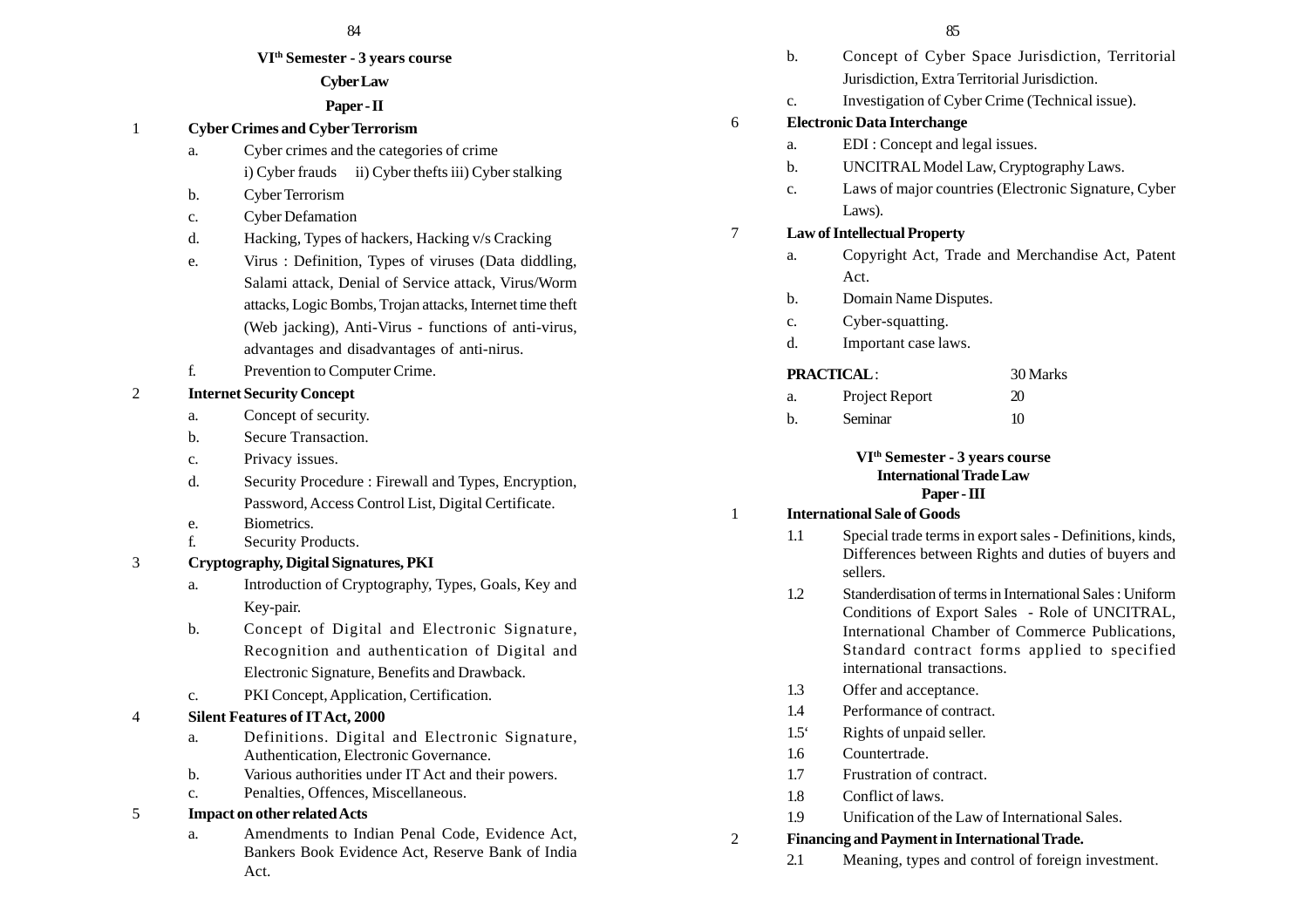#### **VIth Semester - 3 years course**

## **Cyber Law**

## **Paper - II**

## 1 **Cyber Crimes and Cyber Terrorism**

- a. Cyber crimes and the categories of crime i) Cyber frauds ii) Cyber thefts iii) Cyber stalking
- b. Cyber Terrorism
- c. Cyber Defamation
- d. Hacking, Types of hackers, Hacking v/s Cracking
- e. Virus : Definition, Types of viruses (Data diddling, Salami attack, Denial of Service attack, Virus/Worm attacks, Logic Bombs, Trojan attacks, Internet time theft (Web jacking), Anti-Virus - functions of anti-virus, advantages and disadvantages of anti-nirus.
- f. Prevention to Computer Crime.

# 2 **Internet Security Concept**

- a. Concept of security.
- b. Secure Transaction.
- c. Privacy issues.
- d. Security Procedure : Firewall and Types, Encryption, Password, Access Control List, Digital Certificate.
- e. Biometrics.
- f. Security Products.
- 3 **Cryptography, Digital Signatures, PKI**
	- a. Introduction of Cryptography, Types, Goals, Key and Key-pair.
	- b. Concept of Digital and Electronic Signature, Recognition and authentication of Digital and Electronic Signature, Benefits and Drawback.
	- c. PKI Concept, Application, Certification.

# 4 **Silent Features of IT Act, 2000**

- a. Definitions. Digital and Electronic Signature, Authentication, Electronic Governance.
- b. Various authorities under IT Act and their powers.
- c. Penalties, Offences, Miscellaneous.

# 5 **Impact on other related Acts**

a. Amendments to Indian Penal Code, Evidence Act, Bankers Book Evidence Act, Reserve Bank of India Act.

- 84 85 b. Concept of Cyber Space Jurisdiction, Territorial Jurisdiction, Extra Territorial Jurisdiction. c. Investigation of Cyber Crime (Technical issue). 6 **Electronic Data Interchange** a. EDI : Concept and legal issues. b. UNCITRAL Model Law, Cryptography Laws. c. Laws of major countries (Electronic Signature, Cyber Laws). 7 **Law of Intellectual Property** a. Copyright Act, Trade and Merchandise Act, Patent Act. b. Domain Name Disputes. c. Cyber-squatting. d. Important case laws. **PRACTICAL** : 30 Marks a. Project Report 20 b. Seminar 10 **VIth Semester - 3 years course International Trade Law Paper - III** 1 **International Sale of Goods** 1.1 Special trade terms in export sales - Definitions, kinds, Differences between Rights and duties of buyers and sellers. 1.2 Standerdisation of terms in International Sales : Uniform Conditions of Export Sales - Role of UNCITRAL, International Chamber of Commerce Publications, Standard contract forms applied to specified international transactions. 1.3 Offer and acceptance. 1.4 Performance of contract.
	- 1.5' Rights of unpaid seller.
	- 1.6 Countertrade.
	- 1.7 Frustration of contract.
	- 1.8 Conflict of laws.
	- 1.9 Unification of the Law of International Sales.

# 2 **Financing and Payment in International Trade.**

2.1 Meaning, types and control of foreign investment.

- 
- -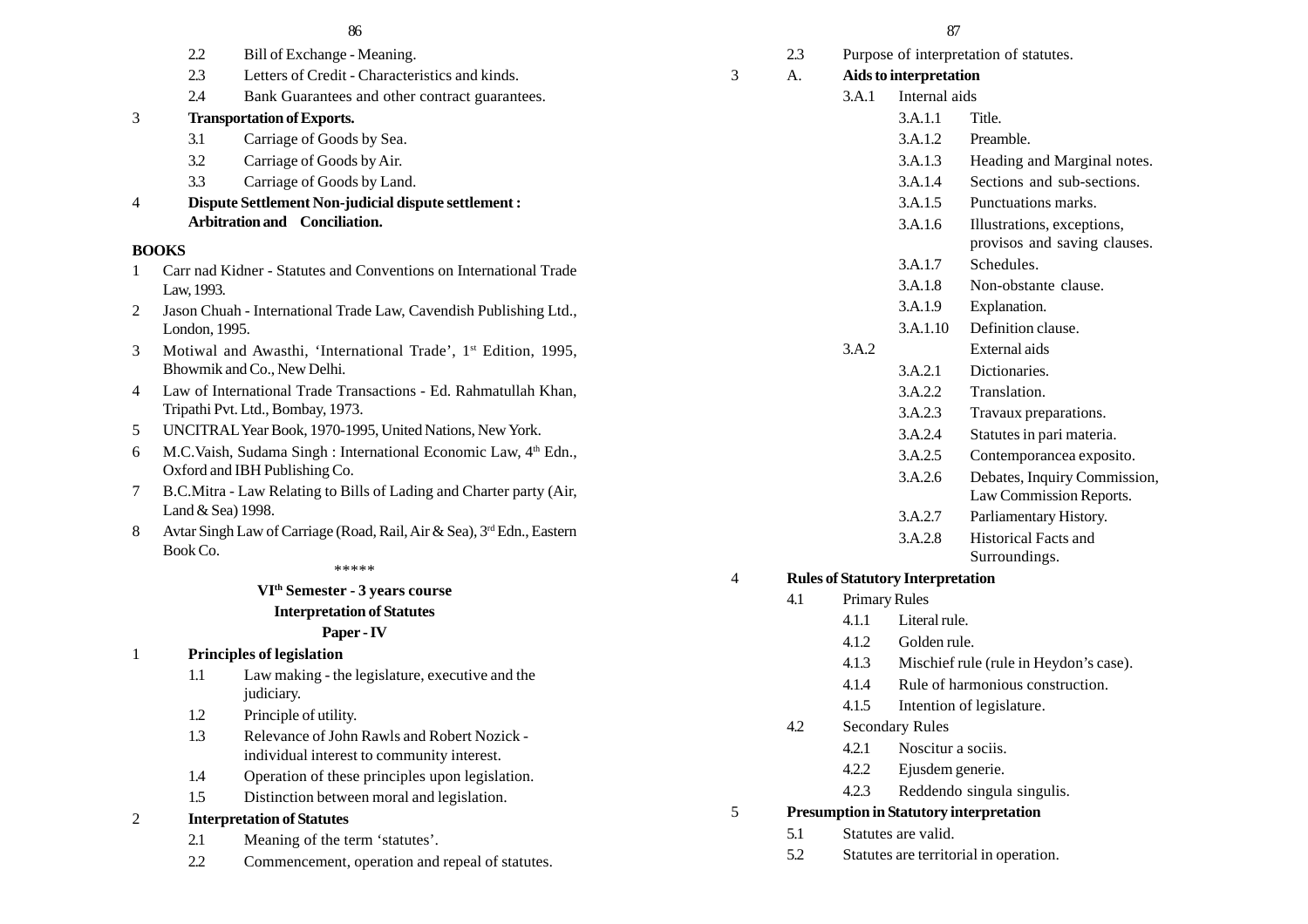| 2.3 | Letters of Credit - Characteristics and kinds. |  |
|-----|------------------------------------------------|--|

2.4 Bank Guarantees and other contract guarantees.

# 3 **Transportation of Exports.**

3.1 Carriage of Goods by Sea.

2.2 Bill of Exchange - Meaning.

- 3.2 Carriage of Goods by Air.
- 3.3 Carriage of Goods by Land.
- 4 **Dispute Settlement Non-judicial dispute settlement : Arbitration and Conciliation.**

#### **BOOKS**

- 1 Carr nad Kidner Statutes and Conventions on International Trade Law, 1993.
- 2 Jason Chuah International Trade Law, Cavendish Publishing Ltd., London, 1995.
- 3 Motiwal and Awasthi, 'International Trade', 1<sup>st</sup> Edition, 1995, Bhowmik and Co., New Delhi.
- 4 Law of International Trade Transactions Ed. Rahmatullah Khan, Tripathi Pvt. Ltd., Bombay, 1973.
- 5 UNCITRAL Year Book, 1970-1995, United Nations, New York.
- 6 M.C.Vaish, Sudama Singh : International Economic Law, 4<sup>th</sup> Edn., Oxford and IBH Publishing Co.
- 7 B.C.Mitra Law Relating to Bills of Lading and Charter party (Air, Land & Sea) 1998.
- 8 Avtar Singh Law of Carriage (Road, Rail, Air & Sea), 3<sup>rd</sup> Edn., Eastern Book Co.

#### \*\*\*\*\*

#### **VIth Semester - 3 years course**

#### **Interpretation of Statutes**

## **Paper - IV**

## 1 **Principles of legislation**

- 1.1 Law making the legislature, executive and the judiciary.
- 1.2 Principle of utility.
- 1.3 Relevance of John Rawls and Robert Nozick individual interest to community interest.
- 1.4 Operation of these principles upon legislation.
- 1.5 Distinction between moral and legislation.

## 2 **Interpretation of Statutes**

- 2.1 Meaning of the term 'statutes'.
- 2.2 Commencement, operation and repeal of statutes.

- 2.3 Purpose of interpretation of statutes. 3 A. **Aids to interpretation** 3.A.1 Internal aids 3.A.1.1 Title. 3.A.1.2 Preamble. 3.A.1.3 Heading and Marginal notes. 3.A.1.4 Sections and sub-sections. 3.A.1.5 Punctuations marks. 3.A.1.6 Illustrations, exceptions, provisos and saving clauses. 3.A.1.7 Schedules. 3.A.1.8 Non-obstante clause. 3.A.1.9 Explanation. 3.A.1.10 Definition clause. 3.A.2 External aids 3.A.2.1 Dictionaries. 3.A.2.2 Translation. 3.A.2.3 Travaux preparations. 3.A.2.4 Statutes in pari materia. 3.A.2.5 Contemporancea exposito. 3.A.2.6 Debates, Inquiry Commission, Law Commission Reports. 3.A.2.7 Parliamentary History. 3.A.2.8 Historical Facts and Surroundings. 4 **Rules of Statutory Interpretation** 4.1 Primary Rules 4.1.1 Literal rule. 4.1.2 Golden rule. 4.1.3 Mischief rule (rule in Heydon's case). 4.1.4 Rule of harmonious construction. 4.1.5 Intention of legislature. 4.2 Secondary Rules 4.2.1 Noscitur a sociis.
	- 4.2.2 Ejusdem generie.
	- 4.2.3 Reddendo singula singulis.

# 5 **Presumption in Statutory interpretation**

- 5.1 Statutes are valid.
- 5.2 Statutes are territorial in operation.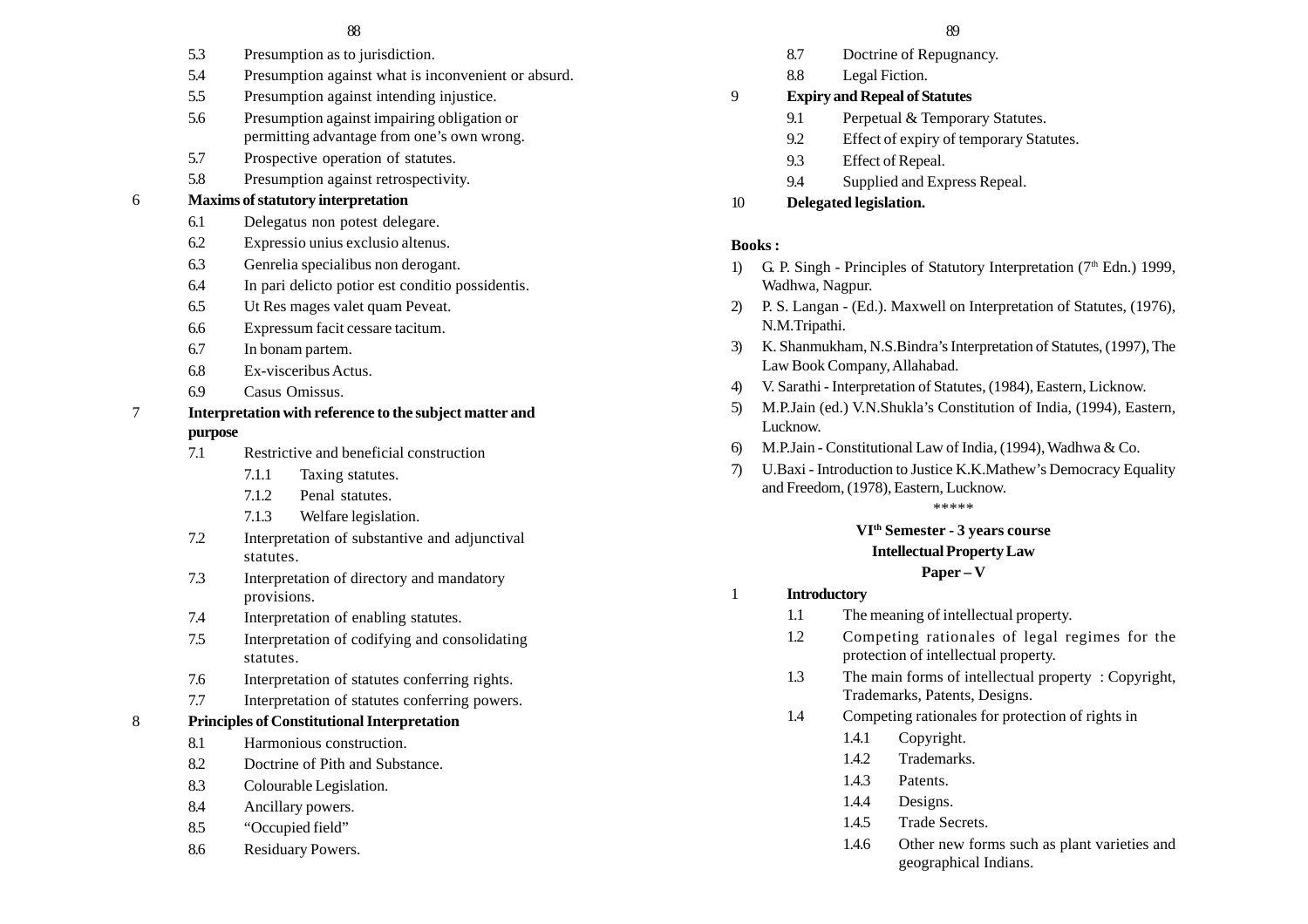- 5.3 Presumption as to jurisdiction.
- 5.4 Presumption against what is inconvenient or absurd.
- 5.5 Presumption against intending injustice.
- 5.6 Presumption against impairing obligation or permitting advantage from one's own wrong.
- 5.7 Prospective operation of statutes.
- 5.8 Presumption against retrospectivity.

#### 6 **Maxims of statutory interpretation**

- 6.1 Delegatus non potest delegare.
- 6.2 Expressio unius exclusio altenus.
- 6.3 Genrelia specialibus non derogant.
- 6.4 In pari delicto potior est conditio possidentis.
- 6.5 Ut Res mages valet quam Peveat.
- 6.6 Expressum facit cessare tacitum.
- 6.7 In bonam partem.
- 6.8 Ex-visceribus Actus.
- 6.9 Casus Omissus.

#### 7 **Interpretation with reference to the subject matter and purpose**

- 7.1 Restrictive and beneficial construction
	- 7.1.1 Taxing statutes.
	- 7.1.2 Penal statutes.
	- 7.1.3 Welfare legislation.
- 7.2 Interpretation of substantive and adjunctival statutes.
- 7.3 Interpretation of directory and mandatory provisions.
- 7.4 Interpretation of enabling statutes.
- 7.5 Interpretation of codifying and consolidating statutes.
- 7.6 Interpretation of statutes conferring rights.
- 7.7 Interpretation of statutes conferring powers.

#### 8 **Principles of Constitutional Interpretation**

- 8.1 Harmonious construction.
- 8.2 Doctrine of Pith and Substance.
- 8.3 Colourable Legislation.
- 8.4 Ancillary powers.
- 8.5 "Occupied field"
- 8.6 Residuary Powers.
- 8.7 Doctrine of Repugnancy.
- 8.8 Legal Fiction.

#### 9 **Expiry and Repeal of Statutes**

- 9.1 Perpetual & Temporary Statutes.
- 9.2 Effect of expiry of temporary Statutes.
- 9.3 Effect of Repeal.
- 9.4 Supplied and Express Repeal.
- 10 **Delegated legislation.**

#### **Books :**

- 1) G. P. Singh Principles of Statutory Interpretation  $(7<sup>th</sup> Edn.)$  1999, Wadhwa, Nagpur.
- 2) P. S. Langan (Ed.). Maxwell on Interpretation of Statutes, (1976), N.M.Tripathi.
- 3) K. Shanmukham, N.S.Bindra's Interpretation of Statutes, (1997), The Law Book Company, Allahabad.
- 4) V. Sarathi Interpretation of Statutes, (1984), Eastern, Licknow.
- 5) M.P.Jain (ed.) V.N.Shukla's Constitution of India, (1994), Eastern, Lucknow.
- 6) M.P.Jain Constitutional Law of India, (1994), Wadhwa & Co.
- 7) U.Baxi Introduction to Justice K.K.Mathew's Democracy Equality and Freedom, (1978), Eastern, Lucknow.

\*\*\*\*\*

# **VIth Semester - 3 years course**

#### **Intellectual Property Law**

#### **Paper – V**

#### 1 **Introductory**

- 1.1 The meaning of intellectual property.
- 1.2 Competing rationales of legal regimes for the protection of intellectual property.
- 1.3 The main forms of intellectual property : Copyright, Trademarks, Patents, Designs.
- 1.4 Competing rationales for protection of rights in
	- 1.4.1 Copyright.
	- 1.4.2 Trademarks.
	- 1.4.3 Patents.
	- 1.4.4 Designs.
	- 1.4.5 Trade Secrets.
	- 1.4.6 Other new forms such as plant varieties and geographical Indians.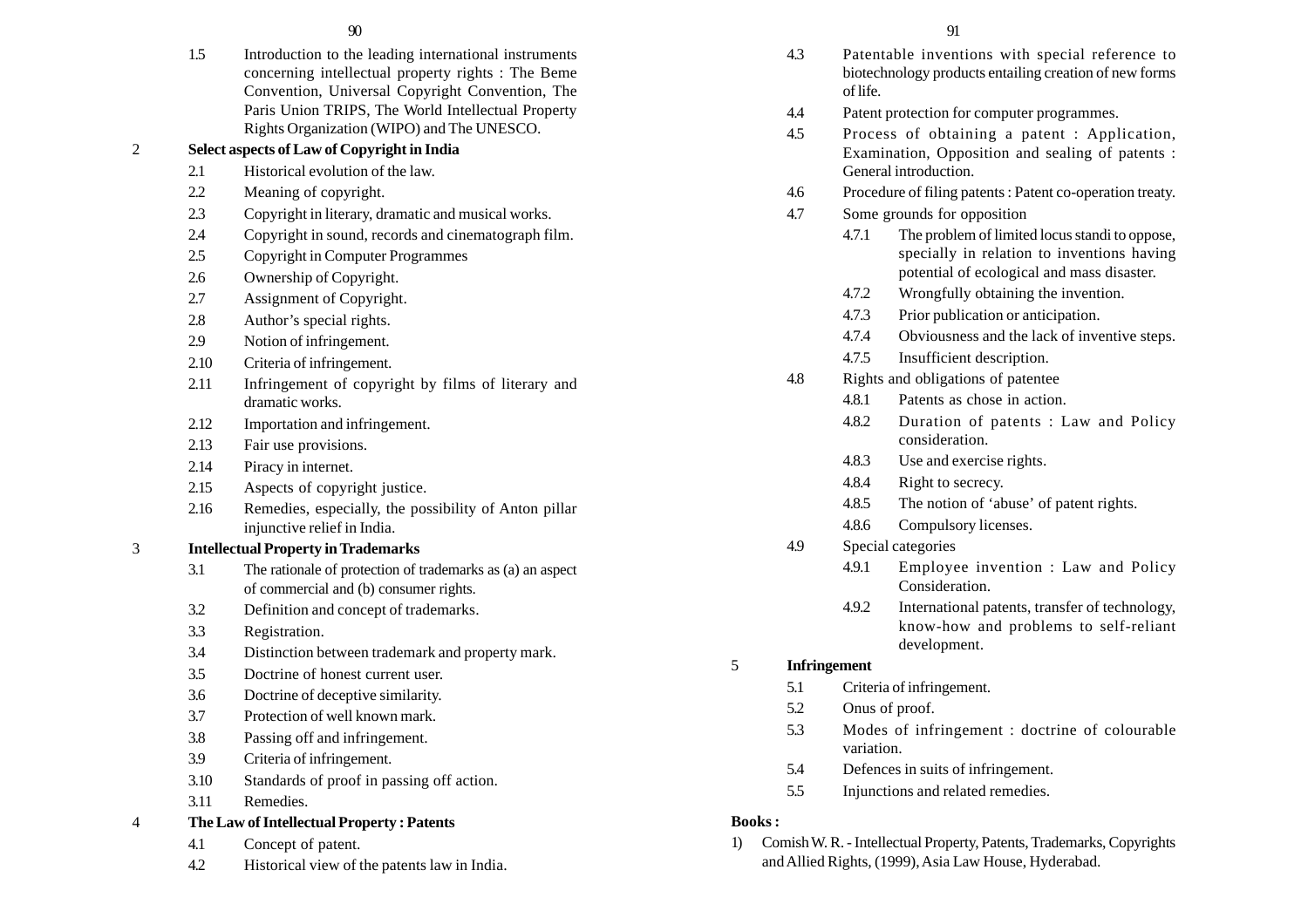1.5 Introduction to the leading international instruments concerning intellectual property rights : The Beme Convention, Universal Copyright Convention, The Paris Union TRIPS, The World Intellectual Property Rights Organization (WIPO) and The UNESCO.

# 2 **Select aspects of Law of Copyright in India**

- 2.1 Historical evolution of the law.
- 2.2 Meaning of copyright.
- 2.3 Copyright in literary, dramatic and musical works.
- 2.4 Copyright in sound, records and cinematograph film.
- 2.5 Copyright in Computer Programmes
- 2.6 Ownership of Copyright.
- 2.7 Assignment of Copyright.
- 2.8 Author's special rights.
- 2.9 Notion of infringement.
- 2.10 Criteria of infringement.
- 2.11 Infringement of copyright by films of literary and dramatic works.
- 2.12 Importation and infringement.
- 2.13 Fair use provisions.
- 2.14 Piracy in internet.
- 2.15 Aspects of copyright justice.
- 2.16 Remedies, especially, the possibility of Anton pillar injunctive relief in India.

# 3 **Intellectual Property in Trademarks**

- 3.1 The rationale of protection of trademarks as (a) an aspect of commercial and (b) consumer rights.
- 3.2 Definition and concept of trademarks.
- 3.3 Registration.
- 3.4 Distinction between trademark and property mark.
- 3.5 Doctrine of honest current user.
- 3.6 Doctrine of deceptive similarity.
- 3.7 Protection of well known mark.
- 3.8 Passing off and infringement.
- 3.9 Criteria of infringement.
- 3.10 Standards of proof in passing off action.
- 3.11 Remedies.
- 4 **The Law of Intellectual Property : Patents**
	- 4.1 Concept of patent.
	- 4.2 Historical view of the patents law in India.
- $90$  91 4.3 Patentable inventions with special reference to biotechnology products entailing creation of new forms of life. 4.4 Patent protection for computer programmes. 4.5 Process of obtaining a patent : Application, Examination, Opposition and sealing of patents : General introduction. 4.6 Procedure of filing patents : Patent co-operation treaty. 4.7 Some grounds for opposition 4.7.1 The problem of limited locus standi to oppose, specially in relation to inventions having potential of ecological and mass disaster. 4.7.2 Wrongfully obtaining the invention. 4.7.3 Prior publication or anticipation. 4.7.4 Obviousness and the lack of inventive steps. 4.7.5 Insufficient description. 4.8 Rights and obligations of patentee 4.8.1 Patents as chose in action. 4.8.2 Duration of patents : Law and Policy consideration. 4.8.3 Use and exercise rights. 4.8.4 Right to secrecy. 4.8.5 The notion of 'abuse' of patent rights. 4.8.6 Compulsory licenses. 4.9 Special categories 4.9.1 Employee invention : Law and Policy Consideration. 4.9.2 International patents, transfer of technology, know-how and problems to self-reliant development. 5 **Infringement** 5.1 Criteria of infringement. 5.2 Onus of proof. 5.3 Modes of infringement : doctrine of colourable variation. 5.4 Defences in suits of infringement. 5.5 Injunctions and related remedies. **Books :**
	-
	- 1) Comish W. R. Intellectual Property, Patents, Trademarks, Copyrights and Allied Rights, (1999), Asia Law House, Hyderabad.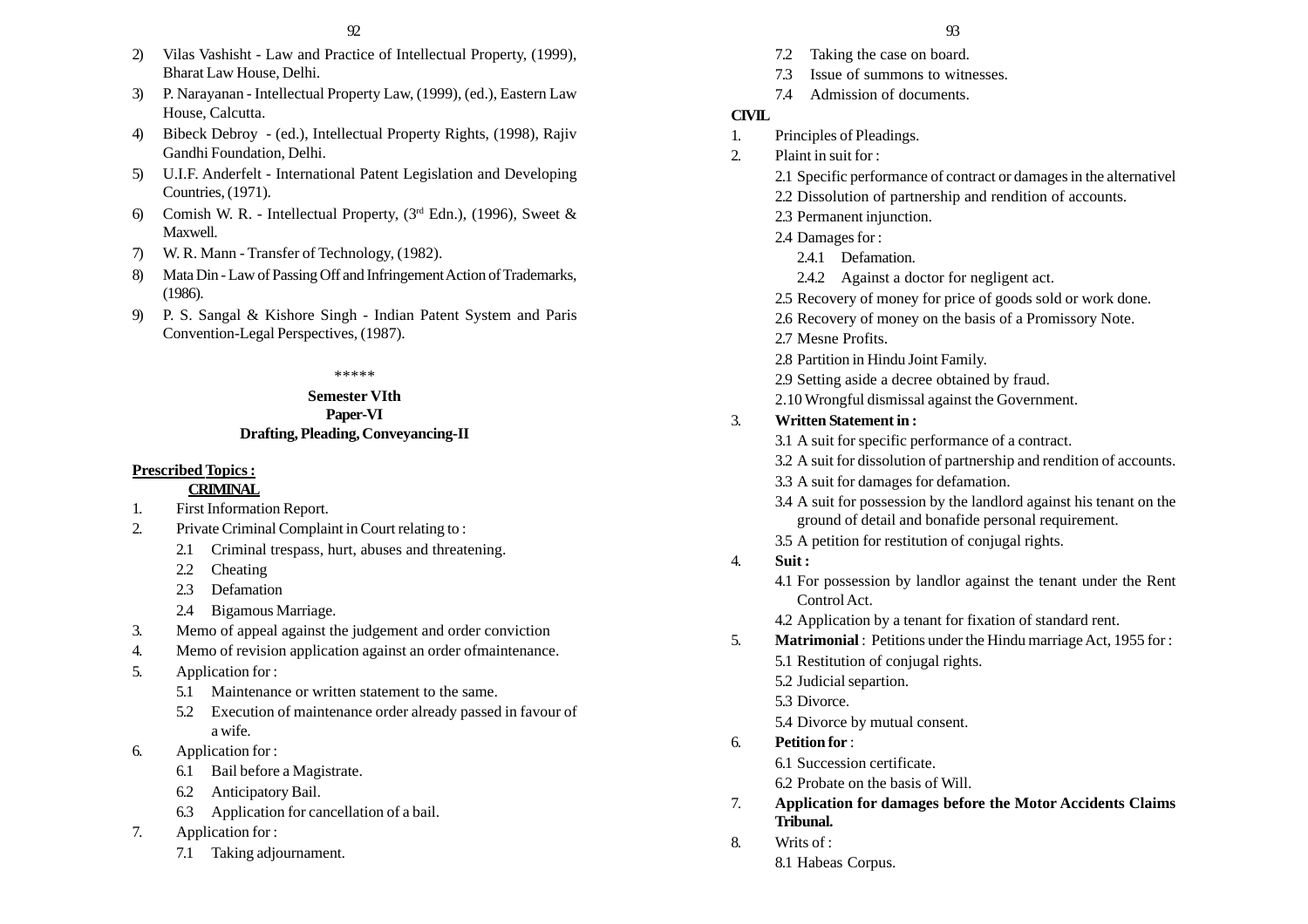- 2) Vilas Vashisht Law and Practice of Intellectual Property, (1999), Bharat Law House, Delhi.
- 3) P. Narayanan Intellectual Property Law, (1999), (ed.), Eastern Law House, Calcutta.
- 4) Bibeck Debroy (ed.), Intellectual Property Rights, (1998), Rajiv Gandhi Foundation, Delhi.
- 5) U.I.F. Anderfelt International Patent Legislation and Developing Countries, (1971).
- 6) Comish W. R. Intellectual Property,  $(3<sup>rd</sup> Edn.)$ , (1996), Sweet & Maxwell.
- 7) W. R. Mann Transfer of Technology, (1982).
- 8) Mata Din Law of Passing Off and Infringement Action of Trademarks, (1986).
- 9) P. S. Sangal & Kishore Singh Indian Patent System and Paris Convention-Legal Perspectives, (1987).

#### \*\*\*\*\*

#### **Semester VIth Paper-VI Drafting, Pleading, Conveyancing-II**

#### **Prescribed Topics :**

#### **CRIMINAL**

- 1. First Information Report.
- 2. Private Criminal Complaint in Court relating to :
	- 2.1 Criminal trespass, hurt, abuses and threatening.
	- 2.2 Cheating
	- 2.3 Defamation
	- 2.4 Bigamous Marriage.
- 3. Memo of appeal against the judgement and order conviction
- 4. Memo of revision application against an order ofmaintenance.
- 5. Application for :
	- 5.1 Maintenance or written statement to the same.
	- 5.2 Execution of maintenance order already passed in favour of a wife.
- 6. Application for :
	- 6.1 Bail before a Magistrate.
	- 6.2 Anticipatory Bail.
	- 6.3 Application for cancellation of a bail.
- 7. Application for :
	- 7.1 Taking adjournament.

- 7.2 Taking the case on board.
- 7.3 Issue of summons to witnesses.
- 7.4 Admission of documents.

#### **CIVIL**

- 1. Principles of Pleadings.
- 2. Plaint in suit for :
	- 2.1 Specific performance of contract or damages in the alternativel
	- 2.2 Dissolution of partnership and rendition of accounts.
	- 2.3 Permanent injunction.
	- 2.4 Damages for :
		- 2.4.1 Defamation.
		- 2.4.2 Against a doctor for negligent act.
	- 2.5 Recovery of money for price of goods sold or work done.
	- 2.6 Recovery of money on the basis of a Promissory Note.
	- 2.7 Mesne Profits.
	- 2.8 Partition in Hindu Joint Family.
	- 2.9 Setting aside a decree obtained by fraud.
	- 2.10 Wrongful dismissal against the Government.

## 3. **Written Statement in :**

- 3.1 A suit for specific performance of a contract.
- 3.2 A suit for dissolution of partnership and rendition of accounts.
- 3.3 A suit for damages for defamation.
- 3.4 A suit for possession by the landlord against his tenant on the ground of detail and bonafide personal requirement.
- 3.5 A petition for restitution of conjugal rights.
- 4. **Suit :**
	- 4.1 For possession by landlor against the tenant under the Rent Control Act.
	- 4.2 Application by a tenant for fixation of standard rent.
- 5. **Matrimonial** : Petitions under the Hindu marriage Act, 1955 for :
	- 5.1 Restitution of conjugal rights.
	- 5.2 Judicial separtion.
	- 5.3 Divorce.
	- 5.4 Divorce by mutual consent.
- 6. **Petition for** :
	- 6.1 Succession certificate.
	- 6.2 Probate on the basis of Will.
- 7. **Application for damages before the Motor Accidents Claims Tribunal.**
- 8. Writs of :
	- 8.1 Habeas Corpus.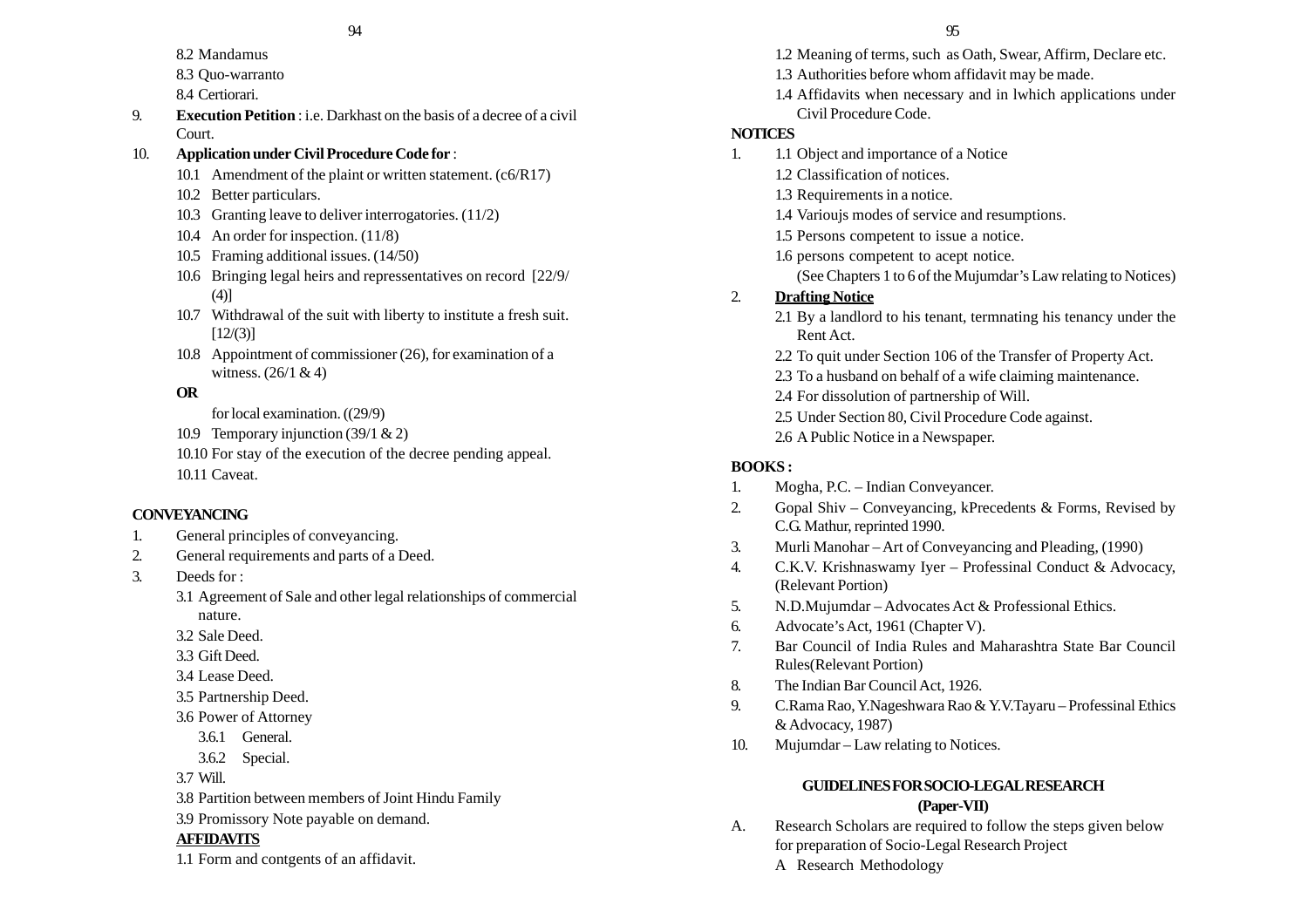- 8.2 Mandamus
- 8.3 Quo-warranto
- 8.4 Certiorari.
- 9. **Execution Petition** : i.e. Darkhast on the basis of a decree of a civil Court.

# 10. **Application under Civil Procedure Code for** :

- 10.1 Amendment of the plaint or written statement. (c6/R17)
- 10.2 Better particulars.
- 10.3 Granting leave to deliver interrogatories. (11/2)
- 10.4 An order for inspection. (11/8)
- 10.5 Framing additional issues. (14/50)
- 10.6 Bringing legal heirs and repressentatives on record [22/9/ (4)]
- 10.7 Withdrawal of the suit with liberty to institute a fresh suit.  $[12/(3)]$
- 10.8 Appointment of commissioner (26), for examination of a witness.  $(26/1 & 4)$

# **OR**

- for local examination. ((29/9)
- 10.9 Temporary injunction (39/1 & 2)
- 10.10 For stay of the execution of the decree pending appeal. 10.11 Caveat.

# **CONVEYANCING**

- 1. General principles of conveyancing.
- 2. General requirements and parts of a Deed.
- 3. Deeds for :
	- 3.1 Agreement of Sale and other legal relationships of commercial nature.
	- 3.2 Sale Deed.
	- 3.3 Gift Deed.
	- 3.4 Lease Deed.
	- 3.5 Partnership Deed.
	- 3.6 Power of Attorney
		- 3.6.1 General.
		- 3.6.2 Special.

3.7 Will.

- 3.8 Partition between members of Joint Hindu Family
- 3.9 Promissory Note payable on demand.

# **AFFIDAVITS**

1.1 Form and contgents of an affidavit.

- 1.2 Meaning of terms, such as Oath, Swear, Affirm, Declare etc.
- 1.3 Authorities before whom affidavit may be made.
- 1.4 Affidavits when necessary and in lwhich applications under Civil Procedure Code.

# **NOTICES**

- 1. 1.1 Object and importance of a Notice
	- 1.2 Classification of notices.
	- 1.3 Requirements in a notice.
	- 1.4 Varioujs modes of service and resumptions.
	- 1.5 Persons competent to issue a notice.
	- 1.6 persons competent to acept notice.
		- (See Chapters 1 to 6 of the Mujumdar's Law relating to Notices)

# 2. **Drafting Notice**

- 2.1 By a landlord to his tenant, termnating his tenancy under the Rent Act.
- 2.2 To quit under Section 106 of the Transfer of Property Act.
- 2.3 To a husband on behalf of a wife claiming maintenance.
- 2.4 For dissolution of partnership of Will.
- 2.5 Under Section 80, Civil Procedure Code against.
- 2.6 A Public Notice in a Newspaper.

# **BOOKS :**

- 1. Mogha, P.C. Indian Conveyancer.
- 2. Gopal Shiv Conveyancing, kPrecedents & Forms, Revised by C.G. Mathur, reprinted 1990.
- 3. Murli Manohar Art of Conveyancing and Pleading, (1990)
- 4. C.K.V. Krishnaswamy Iyer Professinal Conduct & Advocacy, (Relevant Portion)
- 5. N.D.Mujumdar Advocates Act & Professional Ethics.
- 6. Advocate's Act, 1961 (Chapter V).
- 7. Bar Council of India Rules and Maharashtra State Bar Council Rules(Relevant Portion)
- 8. The Indian Bar Council Act, 1926.
- 9. C.Rama Rao, Y.Nageshwara Rao & Y.V.Tayaru Professinal Ethics & Advocacy, 1987)
- 10. Mujumdar Law relating to Notices.

# **GUIDELINES FOR SOCIO-LEGAL RESEARCH (Paper-VII)**

- A. Research Scholars are required to follow the steps given below for preparation of Socio-Legal Research Project
	- A Research Methodology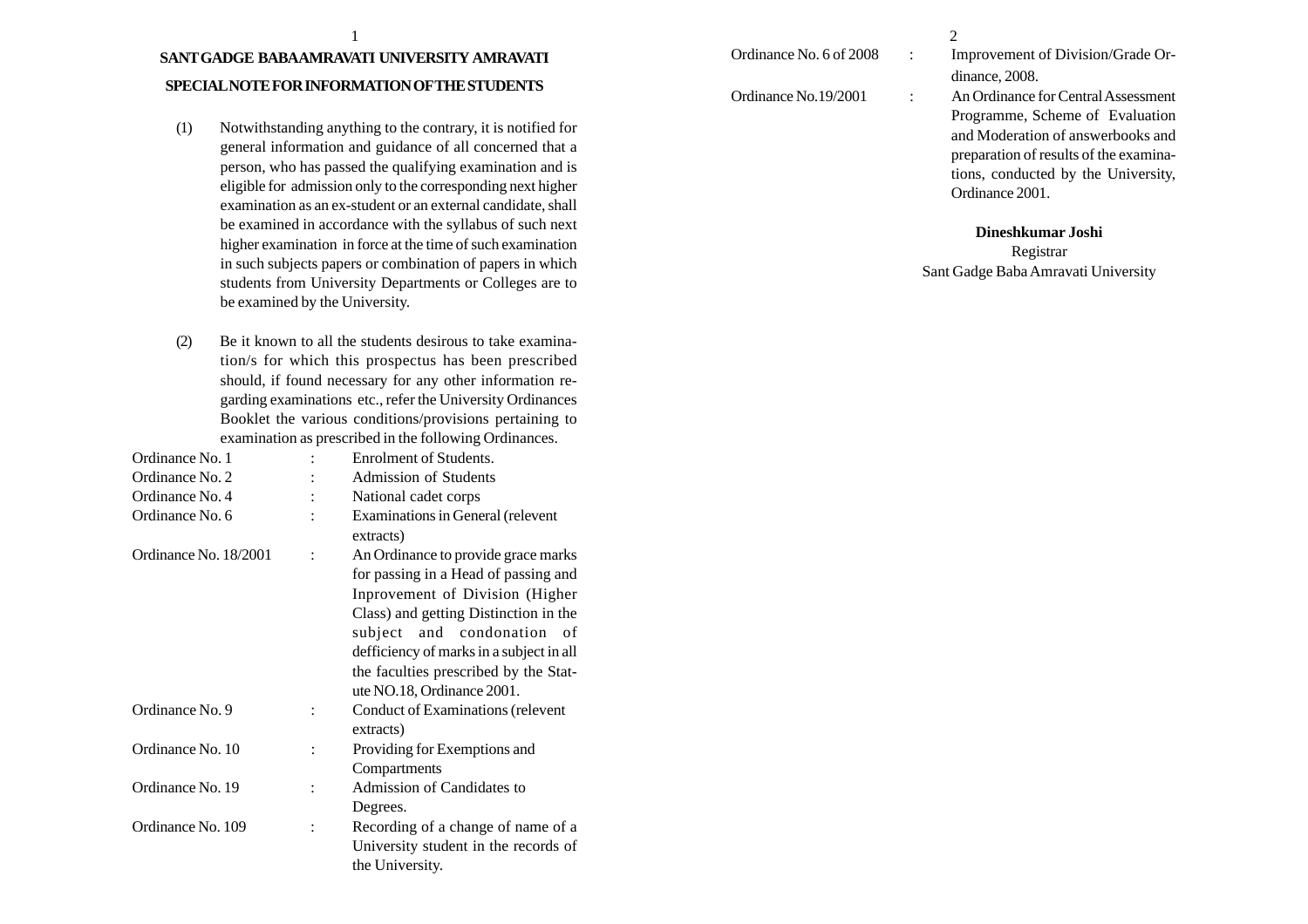# **SANT GADGE BABA AMRAVATI UNIVERSITY AMRAVATI SPECIAL NOTE FOR INFORMATION OF THE STUDENTS**

- (1) Notwithstanding anything to the contrary, it is notified for general information and guidance of all concerned that a person, who has passed the qualifying examination and is eligible for admission only to the corresponding next higher examination as an ex-student or an external candidate, shall be examined in accordance with the syllabus of such next higher examination in force at the time of such examination in such subjects papers or combination of papers in which students from University Departments or Colleges are to be examined by the University.
- (2) Be it known to all the students desirous to take examination/s for which this prospectus has been prescribed should, if found necessary for any other information regarding examinations etc., refer the University Ordinances Booklet the various conditions/provisions pertaining to examination as prescribed in the following Ordinances.

| Ordinance No. 1       |                | Enrolment of Students.                   |
|-----------------------|----------------|------------------------------------------|
| Ordinance No. 2       |                | <b>Admission of Students</b>             |
| Ordinance No. 4       |                | National cadet corps                     |
| Ordinance No. 6       |                | Examinations in General (relevent        |
|                       |                | extracts)                                |
| Ordinance No. 18/2001 | $\ddot{\cdot}$ | An Ordinance to provide grace marks      |
|                       |                | for passing in a Head of passing and     |
|                       |                | Inprovement of Division (Higher          |
|                       |                | Class) and getting Distinction in the    |
|                       |                | subject and condonation<br>- of          |
|                       |                | defficiency of marks in a subject in all |
|                       |                | the faculties prescribed by the Stat-    |
|                       |                | ute NO.18, Ordinance 2001.               |
| Ordinance No. 9       |                | Conduct of Examinations (relevent        |
|                       |                | extracts)                                |
| Ordinance No. 10      |                | Providing for Exemptions and             |
|                       |                | Compartments                             |
| Ordinance No. 19      |                | Admission of Candidates to               |
|                       |                | Degrees.                                 |
| Ordinance No. 109     |                | Recording of a change of name of a       |
|                       |                | University student in the records of     |
|                       |                | the University.                          |
|                       |                |                                          |

## $\frac{1}{2}$

Ordinance No. 6 of 2008 : Improvement of Division/Grade Ordinance, 2008.

Ordinance No.19/2001 : An Ordinance for Central Assessment Programme, Scheme of Evaluation and Moderation of answerbooks and preparation of results of the examinations, conducted by the University, Ordinance 2001.

#### **Dineshkumar Joshi**

Registrar Sant Gadge Baba Amravati University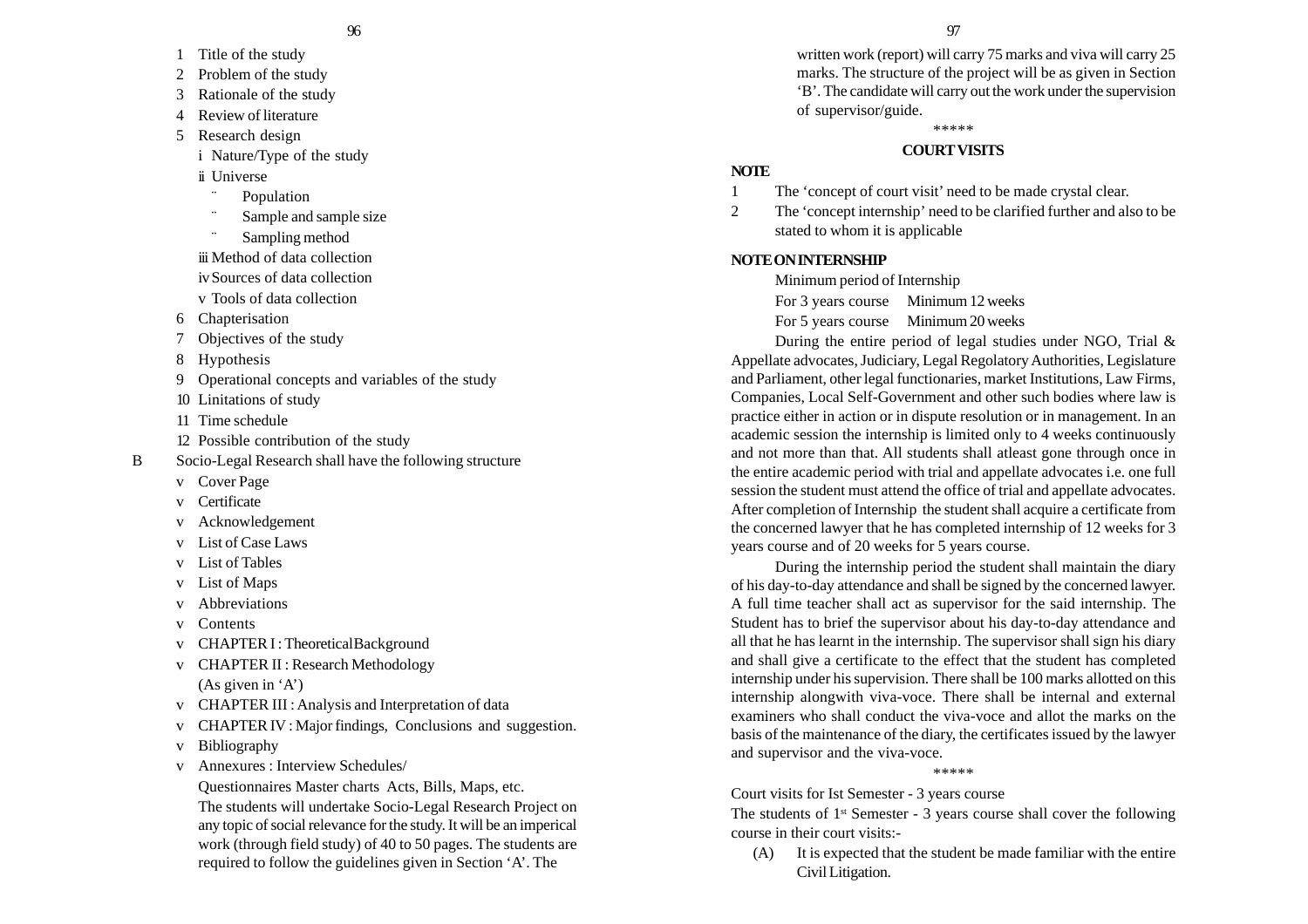- 1 Title of the study
- 2 Problem of the study
- 3 Rationale of the study
- 4 Review of literature
- 5 Research design
	- i Nature/Type of the study
	- ii Universe
		- ¨Population
	- ¨Sample and sample size
	- ¨Sampling method
	- iii Method of data collection
	- ivSources of data collection
	- <sup>v</sup> Tools of data collection
- 6 Chapterisation
- 7 Objectives of the study
- 8 Hypothesis
- 9 Operational concepts and variables of the study
- 10 Linitations of study
- 11 Time schedule
- 12 Possible contribution of the study
- B Socio-Legal Research shall have the following structure
	- <sup>v</sup> Cover Page
	- <sup>v</sup> Certificate
	- <sup>v</sup> Acknowledgement
	-
	-
	- <sup>v</sup> List of Maps
	- <sup>v</sup> Abbreviations
	- <sup>v</sup> Contents
	- v CHAPTER I : Theoretical Background
	- <sup>v</sup> CHAPTER II : Research Methodology
		- (As given in 'A')
	- <sup>v</sup> CHAPTER III : Analysis and Interpretation of data
	- <sup>v</sup> CHAPTER IV : Major findings, Conclusions and suggestion.
	- <sup>v</sup> Bibliography
	- <sup>v</sup> Annexures : Interview Schedules/
		- Questionnaires Master charts Acts, Bills, Maps, etc.

The students will undertake Socio-Legal Research Project on any topic of social relevance for the study. It will be an imperical work (through field study) of 40 to 50 pages. The students are required to follow the guidelines given in Section 'A'. The

written work (report) will carry 75 marks and viva will carry 25 marks. The structure of the project will be as given in Section 'B'. The candidate will carry out the work under the supervision of supervisor/guide.

\*\*\*\*\*

#### **COURT VISITS**

#### **NOTE**

- 1 The 'concept of court visit' need to be made crystal clear.
- 2 The 'concept internship' need to be clarified further and also to be stated to whom it is applicable

#### **NOTE ON INTERNSHIP**

Minimum period of Internship

For 3 years course Minimum 12 weeks

For 5 years course Minimum 20 weeks

During the entire period of legal studies under NGO, Trial & Appellate advocates, Judiciary, Legal Regolatory Authorities, Legislature and Parliament, other legal functionaries, market Institutions, Law Firms, Companies, Local Self-Government and other such bodies where law is practice either in action or in dispute resolution or in management. In an academic session the internship is limited only to 4 weeks continuously and not more than that. All students shall atleast gone through once in the entire academic period with trial and appellate advocates i.e. one full session the student must attend the office of trial and appellate advocates. After completion of Internship the student shall acquire a certificate from the concerned lawyer that he has completed internship of 12 weeks for 3 years course and of 20 weeks for 5 years course.

During the internship period the student shall maintain the diary of his day-to-day attendance and shall be signed by the concerned lawyer. A full time teacher shall act as supervisor for the said internship. The Student has to brief the supervisor about his day-to-day attendance and all that he has learnt in the internship. The supervisor shall sign his diary and shall give a certificate to the effect that the student has completed internship under his supervision. There shall be 100 marks allotted on this internship alongwith viva-voce. There shall be internal and external examiners who shall conduct the viva-voce and allot the marks on the basis of the maintenance of the diary, the certificates issued by the lawyer and supervisor and the viva-voce.

#### \*\*\*\*\*

#### Court visits for Ist Semester - 3 years course

The students of  $1<sup>st</sup>$  Semester - 3 years course shall cover the following course in their court visits:-

(A) It is expected that the student be made familiar with the entire Civil Litigation.

- -
	- <sup>v</sup> List of Case Laws
	- <sup>v</sup> List of Tables
	-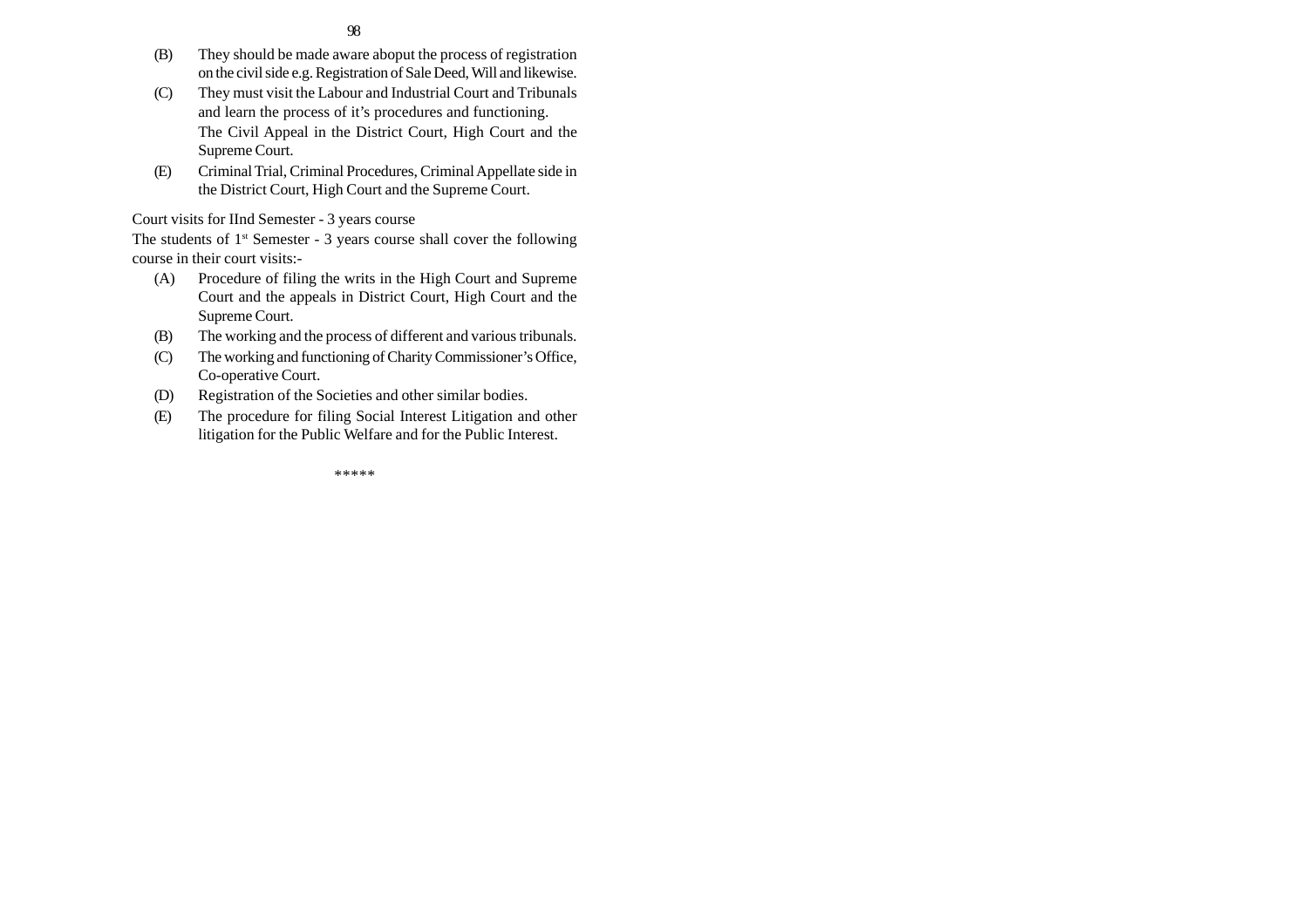- (B) They should be made aware aboput the process of registration on the civil side e.g. Registration of Sale Deed, Will and likewise.
- (C) They must visit the Labour and Industrial Court and Tribunals and learn the process of it's procedures and functioning. The Civil Appeal in the District Court, High Court and the Supreme Court.
- (E) Criminal Trial, Criminal Procedures, Criminal Appellate side in the District Court, High Court and the Supreme Court.

# Court visits for IInd Semester - 3 years course

The students of  $1<sup>st</sup>$  Semester - 3 years course shall cover the following course in their court visits:-

- (A) Procedure of filing the writs in the High Court and Supreme Court and the appeals in District Court, High Court and the Supreme Court.
- (B) The working and the process of different and various tribunals.
- (C) The working and functioning of Charity Commissioner's Office, Co-operative Court.
- (D) Registration of the Societies and other similar bodies.
- (E) The procedure for filing Social Interest Litigation and other litigation for the Public Welfare and for the Public Interest.

\*\*\*\*\*